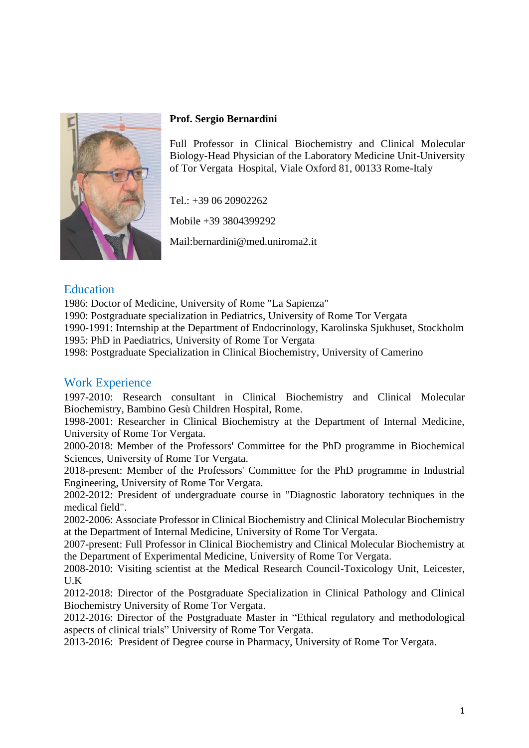

#### **Prof. Sergio Bernardini**

Full Professor in Clinical Biochemistry and Clinical Molecular Biology-Head Physician of the Laboratory Medicine Unit-University of Tor Vergata Hospital, Viale Oxford 81, 00133 Rome-Italy

Tel.: +39 06 20902262

Mobile +39 3804399292

Mail:bernardini@med.uniroma2.it

### **Education**

1986: Doctor of Medicine, University of Rome "La Sapienza"

1990: Postgraduate specialization in Pediatrics, University of Rome Tor Vergata

1990-1991: Internship at the Department of Endocrinology, Karolinska Sjukhuset, Stockholm 1995: PhD in Paediatrics, University of Rome Tor Vergata

1998: Postgraduate Specialization in Clinical Biochemistry, University of Camerino

### Work Experience

1997-2010: Research consultant in Clinical Biochemistry and Clinical Molecular Biochemistry, Bambino Gesù Children Hospital, Rome.

1998-2001: Researcher in Clinical Biochemistry at the Department of Internal Medicine, University of Rome Tor Vergata.

2000-2018: Member of the Professors' Committee for the PhD programme in Biochemical Sciences, University of Rome Tor Vergata.

2018-present: Member of the Professors' Committee for the PhD programme in Industrial Engineering, University of Rome Tor Vergata.

2002-2012: President of undergraduate course in "Diagnostic laboratory techniques in the medical field".

2002-2006: Associate Professor in Clinical Biochemistry and Clinical Molecular Biochemistry at the Department of Internal Medicine, University of Rome Tor Vergata.

2007-present: Full Professor in Clinical Biochemistry and Clinical Molecular Biochemistry at the Department of Experimental Medicine, University of Rome Tor Vergata.

2008-2010: Visiting scientist at the Medical Research Council-Toxicology Unit, Leicester, U.K

2012-2018: Director of the Postgraduate Specialization in Clinical Pathology and Clinical Biochemistry University of Rome Tor Vergata.

2012-2016: Director of the Postgraduate Master in "Ethical regulatory and methodological aspects of clinical trials" University of Rome Tor Vergata.

2013-2016: President of Degree course in Pharmacy, University of Rome Tor Vergata.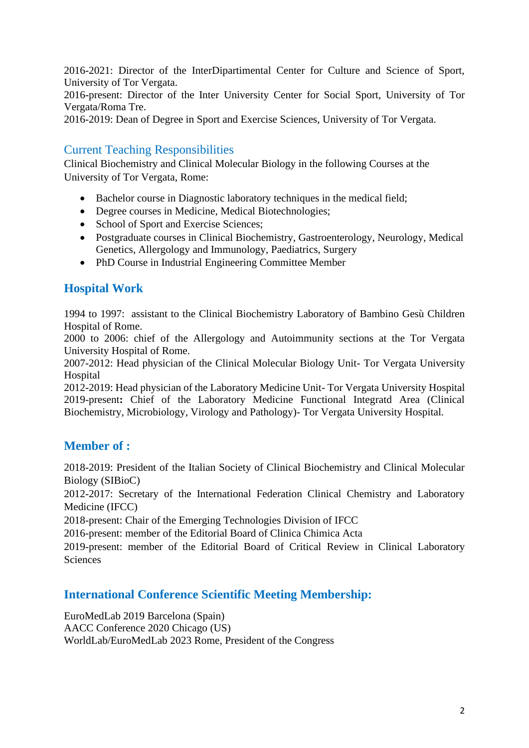2016-2021: Director of the InterDipartimental Center for Culture and Science of Sport, University of Tor Vergata.

2016-present: Director of the Inter University Center for Social Sport, University of Tor Vergata/Roma Tre.

2016-2019: Dean of Degree in Sport and Exercise Sciences, University of Tor Vergata.

### Current Teaching Responsibilities

Clinical Biochemistry and Clinical Molecular Biology in the following Courses at the University of Tor Vergata, Rome:

- Bachelor course in Diagnostic laboratory techniques in the medical field;
- Degree courses in Medicine, Medical Biotechnologies:
- School of Sport and Exercise Sciences;
- Postgraduate courses in Clinical Biochemistry, Gastroenterology, Neurology, Medical Genetics, Allergology and Immunology, Paediatrics, Surgery
- PhD Course in Industrial Engineering Committee Member

# **Hospital Work**

1994 to 1997: assistant to the Clinical Biochemistry Laboratory of Bambino Gesù Children Hospital of Rome.

2000 to 2006: chief of the Allergology and Autoimmunity sections at the Tor Vergata University Hospital of Rome.

2007-2012: Head physician of the Clinical Molecular Biology Unit- Tor Vergata University **Hospital** 

2012-2019: Head physician of the Laboratory Medicine Unit- Tor Vergata University Hospital 2019-present**:** Chief of the Laboratory Medicine Functional Integratd Area (Clinical Biochemistry, Microbiology, Virology and Pathology)- Tor Vergata University Hospital.

## **Member of :**

2018-2019: President of the Italian Society of Clinical Biochemistry and Clinical Molecular Biology (SIBioC)

2012-2017: Secretary of the International Federation Clinical Chemistry and Laboratory Medicine (IFCC)

2018-present: Chair of the Emerging Technologies Division of IFCC

2016-present: member of the Editorial Board of Clinica Chimica Acta

2019-present: member of the Editorial Board of Critical Review in Clinical Laboratory **Sciences** 

### **International Conference Scientific Meeting Membership:**

EuroMedLab 2019 Barcelona (Spain) AACC Conference 2020 Chicago (US) WorldLab/EuroMedLab 2023 Rome, President of the Congress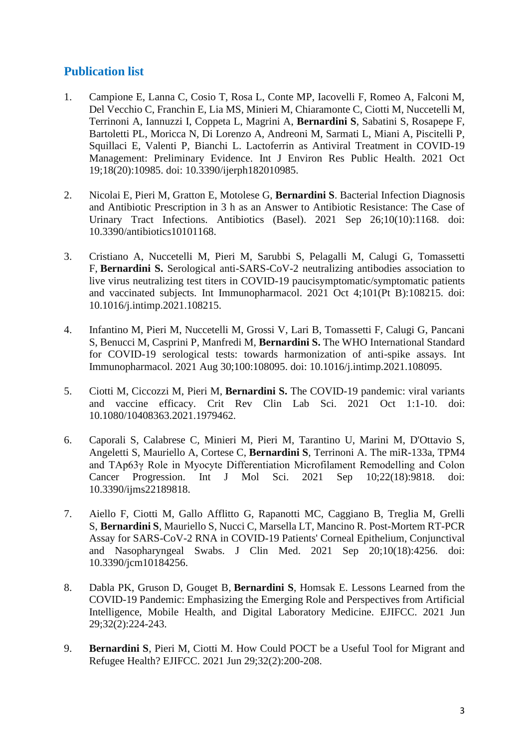# **Publication list**

- 1. Campione E, Lanna C, Cosio T, Rosa L, Conte MP, Iacovelli F, Romeo A, Falconi M, Del Vecchio C, Franchin E, Lia MS, Minieri M, Chiaramonte C, Ciotti M, Nuccetelli M, Terrinoni A, Iannuzzi I, Coppeta L, Magrini A, **Bernardini S**, Sabatini S, Rosapepe F, Bartoletti PL, Moricca N, Di Lorenzo A, Andreoni M, Sarmati L, Miani A, Piscitelli P, Squillaci E, Valenti P, Bianchi L. Lactoferrin as Antiviral Treatment in COVID-19 Management: Preliminary Evidence. Int J Environ Res Public Health. 2021 Oct 19;18(20):10985. doi: 10.3390/ijerph182010985.
- 2. Nicolai E, Pieri M, Gratton E, Motolese G, **Bernardini S**. Bacterial Infection Diagnosis and Antibiotic Prescription in 3 h as an Answer to Antibiotic Resistance: The Case of Urinary Tract Infections. Antibiotics (Basel). 2021 Sep 26;10(10):1168. doi: 10.3390/antibiotics10101168.
- 3. Cristiano A, Nuccetelli M, Pieri M, Sarubbi S, Pelagalli M, Calugi G, Tomassetti F, **Bernardini S.** [Serological anti-SARS-CoV-2 neutralizing antibodies association to](https://pubmed.ncbi.nlm.nih.gov/34649115/)  [live virus neutralizing test titers in COVID-19 paucisymptomatic/symptomatic patients](https://pubmed.ncbi.nlm.nih.gov/34649115/)  [and vaccinated subjects.](https://pubmed.ncbi.nlm.nih.gov/34649115/) Int Immunopharmacol. 2021 Oct 4;101(Pt B):108215. doi: 10.1016/j.intimp.2021.108215.
- 4. Infantino M, Pieri M, Nuccetelli M, Grossi V, Lari B, Tomassetti F, Calugi G, Pancani S, Benucci M, Casprini P, Manfredi M, **Bernardini S.** [The WHO International Standard](https://pubmed.ncbi.nlm.nih.gov/34619529/)  [for COVID-19 serological tests: towards harmonization of anti-spike assays.](https://pubmed.ncbi.nlm.nih.gov/34619529/) Int Immunopharmacol. 2021 Aug 30;100:108095. doi: 10.1016/j.intimp.2021.108095.
- 5. Ciotti M, Ciccozzi M, Pieri M, **Bernardini S.** [The COVID-19 pandemic: viral variants](https://pubmed.ncbi.nlm.nih.gov/34598660/)  [and vaccine efficacy.](https://pubmed.ncbi.nlm.nih.gov/34598660/) Crit Rev Clin Lab Sci. 2021 Oct 1:1-10. doi: 10.1080/10408363.2021.1979462.
- 6. Caporali S, Calabrese C, Minieri M, Pieri M, Tarantino U, Marini M, D'Ottavio S, Angeletti S, Mauriello A, Cortese C, **Bernardini S**, Terrinoni A. [The miR-133a, TPM4](https://pubmed.ncbi.nlm.nih.gov/34575979/) [and TAp63γ Role in Myocyte Differentiation Microfilament Remodelling and Colon](https://pubmed.ncbi.nlm.nih.gov/34575979/)  [Cancer Progression.](https://pubmed.ncbi.nlm.nih.gov/34575979/) Int J Mol Sci. 2021 Sep 10;22(18):9818. doi: 10.3390/ijms22189818.
- 7. Aiello F, Ciotti M, Gallo Afflitto G, Rapanotti MC, Caggiano B, Treglia M, Grelli S, **Bernardini S**, Mauriello S, Nucci C, Marsella LT, Mancino R. [Post-Mortem RT-PCR](https://pubmed.ncbi.nlm.nih.gov/34575369/)  [Assay for SARS-CoV-2 RNA in COVID-19 Patients' Corneal Epithelium, Conjunctival](https://pubmed.ncbi.nlm.nih.gov/34575369/)  [and Nasopharyngeal Swabs.](https://pubmed.ncbi.nlm.nih.gov/34575369/) J Clin Med. 2021 Sep 20;10(18):4256. doi: 10.3390/jcm10184256.
- 8. Dabla PK, Gruson D, Gouget B, **Bernardini S**, Homsak E. [Lessons Learned from the](https://pubmed.ncbi.nlm.nih.gov/34421492/)  [COVID-19 Pandemic: Emphasizing the Emerging Role and Perspectives from Artificial](https://pubmed.ncbi.nlm.nih.gov/34421492/)  [Intelligence, Mobile Health, and Digital Laboratory Medicine.](https://pubmed.ncbi.nlm.nih.gov/34421492/) EJIFCC. 2021 Jun 29;32(2):224-243.
- 9. **Bernardini S**, Pieri M, Ciotti M. [How Could POCT be a Useful Tool for Migrant and](https://pubmed.ncbi.nlm.nih.gov/34421489/)  [Refugee Health?](https://pubmed.ncbi.nlm.nih.gov/34421489/) EJIFCC. 2021 Jun 29;32(2):200-208.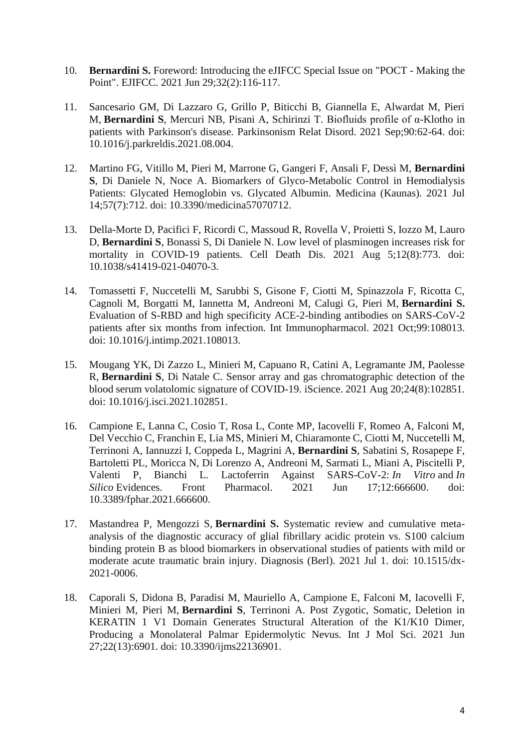- 10. **Bernardini S.** [Foreword: Introducing the eJIFCC Special Issue on "POCT -](https://pubmed.ncbi.nlm.nih.gov/34421478/) Making the [Point".](https://pubmed.ncbi.nlm.nih.gov/34421478/) EJIFCC. 2021 Jun 29;32(2):116-117.
- 11. Sancesario GM, Di Lazzaro G, Grillo P, Biticchi B, Giannella E, Alwardat M, Pieri M, **Bernardini S**, Mercuri NB, Pisani A, Schirinzi T. [Biofluids profile of α-Klotho in](https://pubmed.ncbi.nlm.nih.gov/34392132/)  [patients with Parkinson's disease.](https://pubmed.ncbi.nlm.nih.gov/34392132/) Parkinsonism Relat Disord. 2021 Sep;90:62-64. doi: 10.1016/j.parkreldis.2021.08.004.
- 12. Martino FG, Vitillo M, Pieri M, Marrone G, Gangeri F, Ansali F, Dessì M, **Bernardini S**, Di Daniele N, Noce A. [Biomarkers of Glyco-Metabolic Control in Hemodialysis](https://pubmed.ncbi.nlm.nih.gov/34356993/)  [Patients: Glycated Hemoglobin vs. Glycated Albumin.](https://pubmed.ncbi.nlm.nih.gov/34356993/) Medicina (Kaunas). 2021 Jul 14;57(7):712. doi: 10.3390/medicina57070712.
- 13. Della-Morte D, Pacifici F, Ricordi C, Massoud R, Rovella V, Proietti S, Iozzo M, Lauro D, **Bernardini S**, Bonassi S, Di Daniele N. [Low level of plasminogen increases risk for](https://pubmed.ncbi.nlm.nih.gov/34354045/)  mortality in [COVID-19 patients.](https://pubmed.ncbi.nlm.nih.gov/34354045/) Cell Death Dis. 2021 Aug 5;12(8):773. doi: 10.1038/s41419-021-04070-3.
- 14. Tomassetti F, Nuccetelli M, Sarubbi S, Gisone F, Ciotti M, Spinazzola F, Ricotta C, Cagnoli M, Borgatti M, Iannetta M, Andreoni M, Calugi G, Pieri M, **Bernardini S.** [Evaluation of S-RBD and high specificity ACE-2-binding antibodies on SARS-CoV-2](https://pubmed.ncbi.nlm.nih.gov/34339963/)  [patients after six months from infection.](https://pubmed.ncbi.nlm.nih.gov/34339963/) Int Immunopharmacol. 2021 Oct;99:108013. doi: 10.1016/j.intimp.2021.108013.
- 15. Mougang YK, Di Zazzo L, Minieri M, Capuano R, Catini A, Legramante JM, Paolesse R, **Bernardini S**, Di Natale C. [Sensor array and gas chromatographic detection of the](https://pubmed.ncbi.nlm.nih.gov/34308276/)  [blood serum volatolomic signature of COVID-19.](https://pubmed.ncbi.nlm.nih.gov/34308276/) iScience. 2021 Aug 20;24(8):102851. doi: 10.1016/j.isci.2021.102851.
- 16. Campione E, Lanna C, Cosio T, Rosa L, Conte MP, Iacovelli F, Romeo A, Falconi M, Del Vecchio C, Franchin E, Lia MS, Minieri M, Chiaramonte C, Ciotti M, Nuccetelli M, Terrinoni A, Iannuzzi I, Coppeda L, Magrini A, **Bernardini S**, Sabatini S, Rosapepe F, Bartoletti PL, Moricca N, Di Lorenzo A, Andreoni M, Sarmati L, Miani A, Piscitelli P, Valenti P, Bianchi L. [Lactoferrin Against SARS-CoV-2:](https://pubmed.ncbi.nlm.nih.gov/34220505/) *In Vitro* and *In Silico* [Evidences.](https://pubmed.ncbi.nlm.nih.gov/34220505/) Front Pharmacol. 2021 Jun 17;12:666600. doi: 10.3389/fphar.2021.666600.
- 17. Mastandrea P, Mengozzi S, **Bernardini S.** [Systematic review and cumulative meta](https://pubmed.ncbi.nlm.nih.gov/34214384/)[analysis of the diagnostic accuracy of glial fibrillary acidic protein vs. S100 calcium](https://pubmed.ncbi.nlm.nih.gov/34214384/)  [binding protein B as blood biomarkers in observational studies of patients with mild or](https://pubmed.ncbi.nlm.nih.gov/34214384/)  [moderate acute traumatic brain injury.](https://pubmed.ncbi.nlm.nih.gov/34214384/) Diagnosis (Berl). 2021 Jul 1. doi: 10.1515/dx-2021-0006.
- 18. Caporali S, Didona B, Paradisi M, Mauriello A, Campione E, Falconi M, Iacovelli F, Minieri M, Pieri M, **Bernardini S**, Terrinoni A. Post Zygotic, Somatic, Deletion in KERATIN 1 V1 Domain Generates Structural Alteration of the K1/K10 Dimer, Producing a Monolateral Palmar Epidermolytic Nevus. Int J Mol Sci. 2021 Jun 27;22(13):6901. doi: 10.3390/ijms22136901.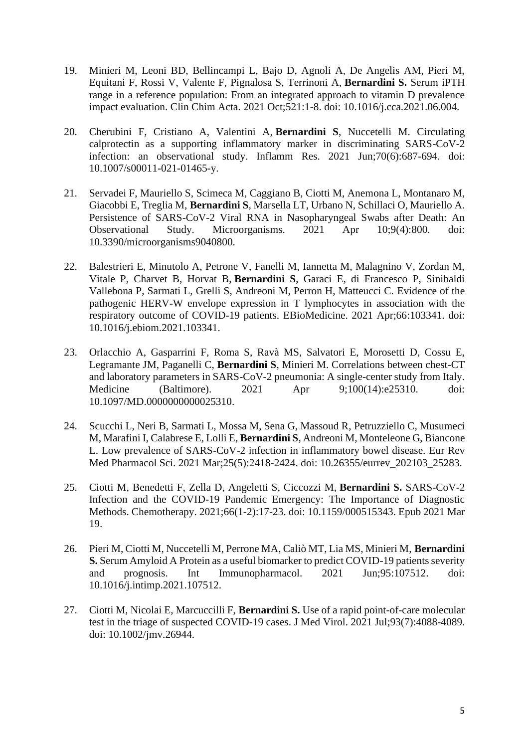- 19. Minieri M, Leoni BD, Bellincampi L, Bajo D, Agnoli A, De Angelis AM, Pieri M, Equitani F, Rossi V, Valente F, Pignalosa S, Terrinoni A, **Bernardini S.** [Serum iPTH](https://pubmed.ncbi.nlm.nih.gov/34111419/)  [range in a reference population: From an integrated approach to vitamin D prevalence](https://pubmed.ncbi.nlm.nih.gov/34111419/)  [impact evaluation.](https://pubmed.ncbi.nlm.nih.gov/34111419/) Clin Chim Acta. 2021 Oct;521:1-8. doi: 10.1016/j.cca.2021.06.004.
- 20. Cherubini F, Cristiano A, Valentini A, **Bernardini S**, Nuccetelli M. [Circulating](https://pubmed.ncbi.nlm.nih.gov/33956194/)  [calprotectin as a supporting inflammatory marker in discriminating SARS-CoV-2](https://pubmed.ncbi.nlm.nih.gov/33956194/)  [infection: an observational study.](https://pubmed.ncbi.nlm.nih.gov/33956194/) Inflamm Res. 2021 Jun;70(6):687-694. doi: 10.1007/s00011-021-01465-y.
- 21. Servadei F, Mauriello S, Scimeca M, Caggiano B, Ciotti M, Anemona L, Montanaro M, Giacobbi E, Treglia M, **Bernardini S**, Marsella LT, Urbano N, Schillaci O, Mauriello A. [Persistence of SARS-CoV-2 Viral RNA in Nasopharyngeal Swabs after Death: An](https://pubmed.ncbi.nlm.nih.gov/33920259/)  [Observational Study.](https://pubmed.ncbi.nlm.nih.gov/33920259/) Microorganisms. 2021 Apr 10;9(4):800. doi: 10.3390/microorganisms9040800.
- 22. Balestrieri E, Minutolo A, Petrone V, Fanelli M, Iannetta M, Malagnino V, Zordan M, Vitale P, Charvet B, Horvat B, **Bernardini S**, Garaci E, di Francesco P, Sinibaldi Vallebona P, Sarmati L, Grelli S, Andreoni M, Perron H, Matteucci C. [Evidence of the](https://pubmed.ncbi.nlm.nih.gov/33867312/)  [pathogenic HERV-W envelope expression in T lymphocytes in association with the](https://pubmed.ncbi.nlm.nih.gov/33867312/)  [respiratory outcome of COVID-19 patients.](https://pubmed.ncbi.nlm.nih.gov/33867312/) EBioMedicine. 2021 Apr;66:103341. doi: 10.1016/j.ebiom.2021.103341.
- 23. Orlacchio A, Gasparrini F, Roma S, Ravà MS, Salvatori E, Morosetti D, Cossu E, Legramante JM, Paganelli C, **Bernardini S**, Minieri M. [Correlations between chest-CT](https://pubmed.ncbi.nlm.nih.gov/33832103/)  [and laboratory parameters in SARS-CoV-2 pneumonia: A single-center study from Italy.](https://pubmed.ncbi.nlm.nih.gov/33832103/) Medicine (Baltimore). 2021 Apr 9;100(14):e25310. doi: 10.1097/MD.0000000000025310.
- 24. Scucchi L, Neri B, Sarmati L, Mossa M, Sena G, Massoud R, Petruzziello C, Musumeci M, Marafini I, Calabrese E, Lolli E, **Bernardini S**, Andreoni M, Monteleone G, Biancone L. Low prevalence of SARS-CoV-2 infection in inflammatory bowel disease. Eur Rev Med Pharmacol Sci. 2021 Mar;25(5):2418-2424. doi: 10.26355/eurrev\_202103\_25283.
- 25. Ciotti M, Benedetti F, Zella D, Angeletti S, Ciccozzi M, **Bernardini S.** [SARS-CoV-2](https://pubmed.ncbi.nlm.nih.gov/33744904/)  [Infection and the COVID-19 Pandemic Emergency: The Importance of Diagnostic](https://pubmed.ncbi.nlm.nih.gov/33744904/)  [Methods.](https://pubmed.ncbi.nlm.nih.gov/33744904/) Chemotherapy. 2021;66(1-2):17-23. doi: 10.1159/000515343. Epub 2021 Mar 19.
- 26. Pieri M, Ciotti M, Nuccetelli M, Perrone MA, Caliò MT, Lia MS, Minieri M, **Bernardini S.** [Serum Amyloid A Protein as a useful biomarker to predict COVID-19 patients severity](https://pubmed.ncbi.nlm.nih.gov/33735714/)  [and prognosis.](https://pubmed.ncbi.nlm.nih.gov/33735714/) Int Immunopharmacol. 2021 Jun;95:107512. doi: 10.1016/j.intimp.2021.107512.
- 27. Ciotti M, Nicolai E, Marcuccilli F, **Bernardini S.** [Use of a rapid point-of-care molecular](https://pubmed.ncbi.nlm.nih.gov/33729585/)  [test in the triage of suspected COVID-19 cases.](https://pubmed.ncbi.nlm.nih.gov/33729585/) J Med Virol. 2021 Jul;93(7):4088-4089. doi: 10.1002/jmv.26944.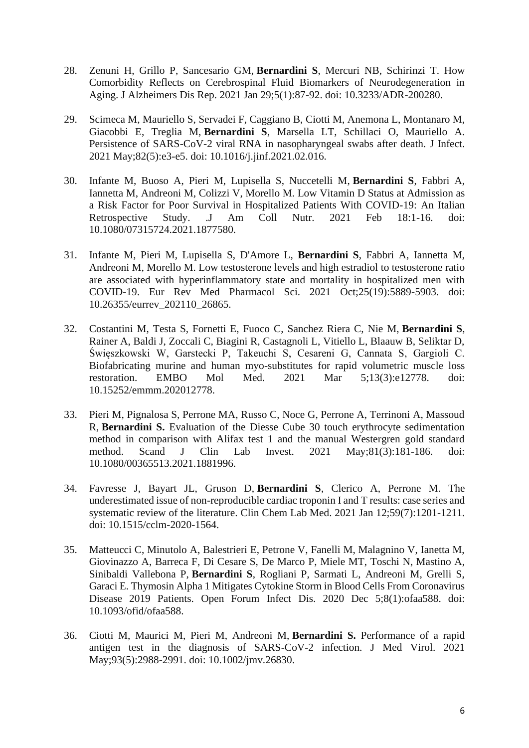- 28. Zenuni H, Grillo P, Sancesario GM, **Bernardini S**, Mercuri NB, Schirinzi T. [How](https://pubmed.ncbi.nlm.nih.gov/33681720/)  [Comorbidity Reflects on Cerebrospinal Fluid Biomarkers of Neurodegeneration in](https://pubmed.ncbi.nlm.nih.gov/33681720/)  [Aging.](https://pubmed.ncbi.nlm.nih.gov/33681720/) J Alzheimers Dis Rep. 2021 Jan 29;5(1):87-92. doi: 10.3233/ADR-200280.
- 29. Scimeca M, Mauriello S, Servadei F, Caggiano B, Ciotti M, Anemona L, Montanaro M, Giacobbi E, Treglia M, **Bernardini S**, Marsella LT, Schillaci O, Mauriello A. [Persistence of SARS-CoV-2 viral RNA in nasopharyngeal swabs after death.](https://pubmed.ncbi.nlm.nih.gov/33609587/) J Infect. 2021 May;82(5):e3-e5. doi: 10.1016/j.jinf.2021.02.016.
- 30. Infante M, Buoso A, Pieri M, Lupisella S, Nuccetelli M, **Bernardini S**, Fabbri A, Iannetta M, Andreoni M, Colizzi V, Morello M. [Low Vitamin D Status at Admission as](https://pubmed.ncbi.nlm.nih.gov/33600292/)  [a Risk Factor for Poor Survival in Hospitalized Patients With COVID-19: An Italian](https://pubmed.ncbi.nlm.nih.gov/33600292/)  [Retrospective Study. .J](https://pubmed.ncbi.nlm.nih.gov/33600292/) Am Coll Nutr. 2021 Feb 18:1-16. doi: 10.1080/07315724.2021.1877580.
- 31. Infante M, Pieri M, Lupisella S, D'Amore L, **Bernardini S**, Fabbri A, Iannetta M, Andreoni M, Morello M. Low testosterone levels and high estradiol to testosterone ratio are associated with hyperinflammatory state and mortality in hospitalized men with COVID-19. Eur Rev Med Pharmacol Sci. 2021 Oct;25(19):5889-5903. doi: 10.26355/eurrev\_202110\_26865.
- 32. Costantini M, Testa S, Fornetti E, Fuoco C, Sanchez Riera C, Nie M, **Bernardini S**, Rainer A, Baldi J, Zoccali C, Biagini R, Castagnoli L, Vitiello L, Blaauw B, Seliktar D, Święszkowski W, Garstecki P, Takeuchi S, Cesareni G, Cannata S, Gargioli C. [Biofabricating murine and human myo-substitutes for rapid volumetric muscle loss](https://pubmed.ncbi.nlm.nih.gov/33587336/)  [restoration.](https://pubmed.ncbi.nlm.nih.gov/33587336/) EMBO Mol Med. 2021 Mar 5;13(3):e12778. doi: 10.15252/emmm.202012778.
- 33. Pieri M, Pignalosa S, Perrone MA, Russo C, Noce G, Perrone A, Terrinoni A, Massoud R, **Bernardini S.** [Evaluation of the Diesse Cube 30 touch erythrocyte sedimentation](https://pubmed.ncbi.nlm.nih.gov/33586554/)  [method in comparison with Alifax test 1 and the manual Westergren gold standard](https://pubmed.ncbi.nlm.nih.gov/33586554/)  [method.](https://pubmed.ncbi.nlm.nih.gov/33586554/) Scand J Clin Lab Invest. 2021 May;81(3):181-186. doi: 10.1080/00365513.2021.1881996.
- 34. Favresse J, Bayart JL, Gruson D, **Bernardini S**, Clerico A, Perrone M. [The](https://pubmed.ncbi.nlm.nih.gov/33554552/)  [underestimated issue of non-reproducible cardiac troponin I and T results: case series and](https://pubmed.ncbi.nlm.nih.gov/33554552/)  [systematic review of the literature.](https://pubmed.ncbi.nlm.nih.gov/33554552/) Clin Chem Lab Med. 2021 Jan 12;59(7):1201-1211. doi: 10.1515/cclm-2020-1564.
- 35. Matteucci C, Minutolo A, Balestrieri E, Petrone V, Fanelli M, Malagnino V, Ianetta M, Giovinazzo A, Barreca F, Di Cesare S, De Marco P, Miele MT, Toschi N, Mastino A, Sinibaldi Vallebona P, **Bernardini S**, Rogliani P, Sarmati L, Andreoni M, Grelli S, Garaci E. [Thymosin Alpha 1 Mitigates Cytokine Storm in Blood Cells From Coronavirus](https://pubmed.ncbi.nlm.nih.gov/33506065/)  [Disease 2019 Patients.](https://pubmed.ncbi.nlm.nih.gov/33506065/) Open Forum Infect Dis. 2020 Dec 5;8(1):ofaa588. doi: 10.1093/ofid/ofaa588.
- 36. Ciotti M, Maurici M, Pieri M, Andreoni M, **Bernardini S.** [Performance of a rapid](https://pubmed.ncbi.nlm.nih.gov/33527409/) [antigen test in the diagnosis of SARS-CoV-2 infection.](https://pubmed.ncbi.nlm.nih.gov/33527409/) J Med Virol. 2021 May;93(5):2988-2991. doi: 10.1002/jmv.26830.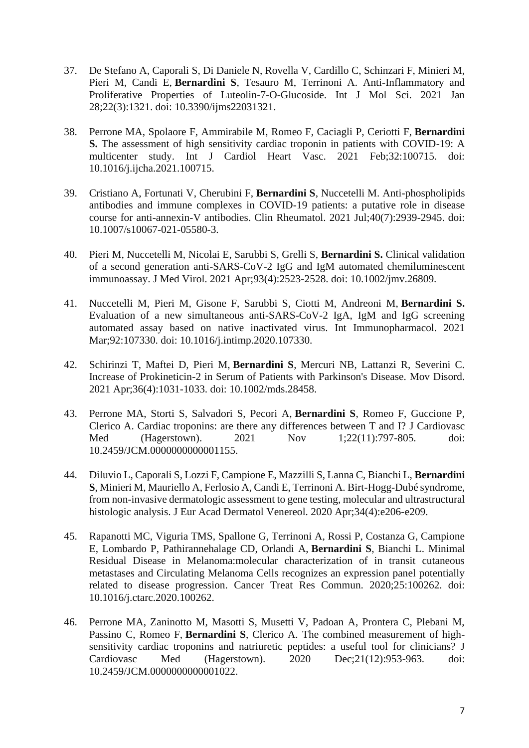- 37. De Stefano A, Caporali S, Di Daniele N, Rovella V, Cardillo C, Schinzari F, Minieri M, Pieri M, Candi E, **Bernardini S**, Tesauro M, Terrinoni A. [Anti-Inflammatory and](https://pubmed.ncbi.nlm.nih.gov/33525692/)  [Proliferative Properties of Luteolin-7-O-Glucoside.](https://pubmed.ncbi.nlm.nih.gov/33525692/) Int J Mol Sci. 2021 Jan 28;22(3):1321. doi: 10.3390/ijms22031321.
- 38. Perrone MA, Spolaore F, Ammirabile M, Romeo F, Caciagli P, Ceriotti F, **Bernardini S.** [The assessment of high sensitivity cardiac troponin in patients with COVID-19: A](https://pubmed.ncbi.nlm.nih.gov/33457490/)  [multicenter study.](https://pubmed.ncbi.nlm.nih.gov/33457490/) Int J Cardiol Heart Vasc. 2021 Feb;32:100715. doi: 10.1016/j.ijcha.2021.100715.
- 39. Cristiano A, Fortunati V, Cherubini F, **Bernardini S**, Nuccetelli M. [Anti-phospholipids](https://pubmed.ncbi.nlm.nih.gov/33464429/)  [antibodies and immune complexes in COVID-19 patients: a putative role in disease](https://pubmed.ncbi.nlm.nih.gov/33464429/)  [course for anti-annexin-V antibodies.](https://pubmed.ncbi.nlm.nih.gov/33464429/) Clin Rheumatol. 2021 Jul;40(7):2939-2945. doi: 10.1007/s10067-021-05580-3.
- 40. Pieri M, Nuccetelli M, Nicolai E, Sarubbi S, Grelli S, **Bernardini S.** [Clinical validation](https://pubmed.ncbi.nlm.nih.gov/33463719/)  [of a second generation anti-SARS-CoV-2 IgG and IgM automated chemiluminescent](https://pubmed.ncbi.nlm.nih.gov/33463719/)  [immunoassay.](https://pubmed.ncbi.nlm.nih.gov/33463719/) J Med Virol. 2021 Apr;93(4):2523-2528. doi: 10.1002/jmv.26809.
- 41. Nuccetelli M, Pieri M, Gisone F, Sarubbi S, Ciotti M, Andreoni M, **Bernardini S.** [Evaluation of a new simultaneous anti-SARS-CoV-2 IgA, IgM and IgG screening](https://pubmed.ncbi.nlm.nih.gov/33412393/)  [automated assay based on native inactivated virus.](https://pubmed.ncbi.nlm.nih.gov/33412393/) Int Immunopharmacol. 2021 Mar;92:107330. doi: 10.1016/j.intimp.2020.107330.
- 42. Schirinzi T, Maftei D, Pieri M, **Bernardini S**, Mercuri NB, Lattanzi R, Severini C. [Increase of Prokineticin-2 in Serum of Patients with Parkinson's Disease.](https://pubmed.ncbi.nlm.nih.gov/33404134/) Mov Disord. 2021 Apr;36(4):1031-1033. doi: 10.1002/mds.28458.
- 43. Perrone MA, Storti S, Salvadori S, Pecori A, **Bernardini S**, Romeo F, Guccione P, Clerico A. [Cardiac troponins: are there any differences between T and I?](https://pubmed.ncbi.nlm.nih.gov/33399346/) J Cardiovasc Med (Hagerstown). 2021 Nov 1;22(11):797-805. doi: 10.2459/JCM.0000000000001155.
- 44. Diluvio L, Caporali S, Lozzi F, Campione E, Mazzilli S, Lanna C, Bianchi L, **Bernardini S**, Minieri M, Mauriello A, Ferlosio A, Candi E, Terrinoni A. Birt-Hogg-Dubé syndrome, from non-invasive dermatologic assessment to gene testing, molecular and ultrastructural histologic analysis. J Eur Acad Dermatol Venereol. 2020 Apr;34(4):e206-e209.
- 45. Rapanotti MC, Viguria TMS, Spallone G, Terrinoni A, Rossi P, Costanza G, Campione E, Lombardo P, Pathirannehalage CD, Orlandi A, **Bernardini S**, Bianchi L. [Minimal](https://pubmed.ncbi.nlm.nih.gov/33338742/)  [Residual Disease in Melanoma:molecular characterization of in transit cutaneous](https://pubmed.ncbi.nlm.nih.gov/33338742/)  [metastases and Circulating Melanoma Cells recognizes an expression panel potentially](https://pubmed.ncbi.nlm.nih.gov/33338742/)  [related to disease progression.](https://pubmed.ncbi.nlm.nih.gov/33338742/) Cancer Treat Res Commun. 2020;25:100262. doi: 10.1016/j.ctarc.2020.100262.
- 46. Perrone MA, Zaninotto M, Masotti S, Musetti V, Padoan A, Prontera C, Plebani M, Passino C, Romeo F, **Bernardini S**, Clerico A. [The combined measurement of high](https://pubmed.ncbi.nlm.nih.gov/33156589/)[sensitivity cardiac troponins and natriuretic peptides: a useful tool for clinicians?](https://pubmed.ncbi.nlm.nih.gov/33156589/) J Cardiovasc Med (Hagerstown). 2020 Dec;21(12):953-963. doi: 10.2459/JCM.0000000000001022.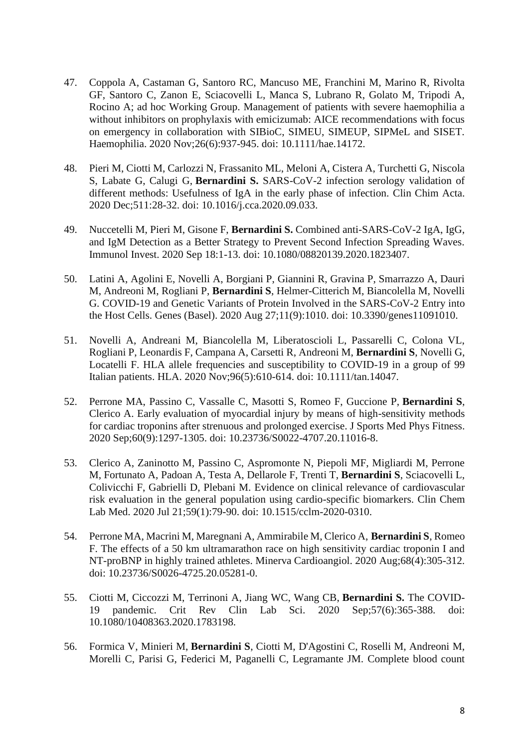- 47. Coppola A, Castaman G, Santoro RC, Mancuso ME, Franchini M, Marino R, Rivolta GF, Santoro C, Zanon E, Sciacovelli L, Manca S, Lubrano R, Golato M, Tripodi A, Rocino A; ad hoc Working Group. [Management of patients with severe haemophilia a](https://pubmed.ncbi.nlm.nih.gov/33094880/)  [without inhibitors on prophylaxis with emicizumab: AICE recommendations with focus](https://pubmed.ncbi.nlm.nih.gov/33094880/)  [on emergency in collaboration with SIBioC, SIMEU, SIMEUP, SIPMeL and SISET.](https://pubmed.ncbi.nlm.nih.gov/33094880/) Haemophilia. 2020 Nov;26(6):937-945. doi: 10.1111/hae.14172.
- 48. Pieri M, Ciotti M, Carlozzi N, Frassanito ML, Meloni A, Cistera A, Turchetti G, Niscola S, Labate G, Calugi G, **Bernardini S.** [SARS-CoV-2 infection serology validation of](https://pubmed.ncbi.nlm.nih.gov/33002475/)  [different methods: Usefulness of IgA in the early phase of infection.](https://pubmed.ncbi.nlm.nih.gov/33002475/) Clin Chim Acta. 2020 Dec;511:28-32. doi: 10.1016/j.cca.2020.09.033.
- 49. Nuccetelli M, Pieri M, Gisone F, **Bernardini S.** [Combined anti-SARS-CoV-2 IgA, IgG,](https://pubmed.ncbi.nlm.nih.gov/32945214/)  [and IgM Detection as a Better Strategy to Prevent Second Infection Spreading Waves.](https://pubmed.ncbi.nlm.nih.gov/32945214/) Immunol Invest. 2020 Sep 18:1-13. doi: 10.1080/08820139.2020.1823407.
- 50. Latini A, Agolini E, Novelli A, Borgiani P, Giannini R, Gravina P, Smarrazzo A, Dauri M, Andreoni M, Rogliani P, **Bernardini S**, Helmer-Citterich M, Biancolella M, Novelli G. [COVID-19 and Genetic Variants of Protein Involved in the SARS-CoV-2 Entry into](https://pubmed.ncbi.nlm.nih.gov/32867305/)  [the Host Cells.](https://pubmed.ncbi.nlm.nih.gov/32867305/) Genes (Basel). 2020 Aug 27;11(9):1010. doi: 10.3390/genes11091010.
- 51. Novelli A, Andreani M, Biancolella M, Liberatoscioli L, Passarelli C, Colona VL, Rogliani P, Leonardis F, Campana A, Carsetti R, Andreoni M, **Bernardini S**, Novelli G, Locatelli F. [HLA allele frequencies and susceptibility to COVID-19 in a group of 99](https://pubmed.ncbi.nlm.nih.gov/32827207/)  [Italian patients.](https://pubmed.ncbi.nlm.nih.gov/32827207/) HLA. 2020 Nov;96(5):610-614. doi: 10.1111/tan.14047.
- 52. Perrone MA, Passino C, Vassalle C, Masotti S, Romeo F, Guccione P, **Bernardini S**, Clerico A. [Early evaluation of myocardial injury by means of high-sensitivity methods](https://pubmed.ncbi.nlm.nih.gov/32720778/)  [for cardiac troponins after strenuous and prolonged exercise.](https://pubmed.ncbi.nlm.nih.gov/32720778/) J Sports Med Phys Fitness. 2020 Sep;60(9):1297-1305. doi: 10.23736/S0022-4707.20.11016-8.
- 53. Clerico A, Zaninotto M, Passino C, Aspromonte N, Piepoli MF, Migliardi M, Perrone M, Fortunato A, Padoan A, Testa A, Dellarole F, Trenti T, **Bernardini S**, Sciacovelli L, Colivicchi F, Gabrielli D, Plebani M. [Evidence on clinical relevance of cardiovascular](https://pubmed.ncbi.nlm.nih.gov/32692693/)  [risk evaluation in the general population using cardio-specific biomarkers.](https://pubmed.ncbi.nlm.nih.gov/32692693/) Clin Chem Lab Med. 2020 Jul 21;59(1):79-90. doi: 10.1515/cclm-2020-0310.
- 54. Perrone MA, Macrini M, Maregnani A, Ammirabile M, Clerico A, **Bernardini S**, Romeo F. [The effects of a 50 km ultramarathon race](https://pubmed.ncbi.nlm.nih.gov/32657560/) on high sensitivity cardiac troponin I and [NT-proBNP in highly trained athletes.](https://pubmed.ncbi.nlm.nih.gov/32657560/) Minerva Cardioangiol. 2020 Aug;68(4):305-312. doi: 10.23736/S0026-4725.20.05281-0.
- 55. Ciotti M, Ciccozzi M, Terrinoni A, Jiang WC, Wang CB, **Bernardini S.** [The COVID-](https://pubmed.ncbi.nlm.nih.gov/32645276/)[19 pandemic.](https://pubmed.ncbi.nlm.nih.gov/32645276/) Crit Rev Clin Lab Sci. 2020 Sep;57(6):365-388. doi: 10.1080/10408363.2020.1783198.
- 56. Formica V, Minieri M, **Bernardini S**, Ciotti M, D'Agostini C, Roselli M, Andreoni M, Morelli C, Parisi G, Federici M, Paganelli C, Legramante JM. [Complete blood count](https://pubmed.ncbi.nlm.nih.gov/32620590/)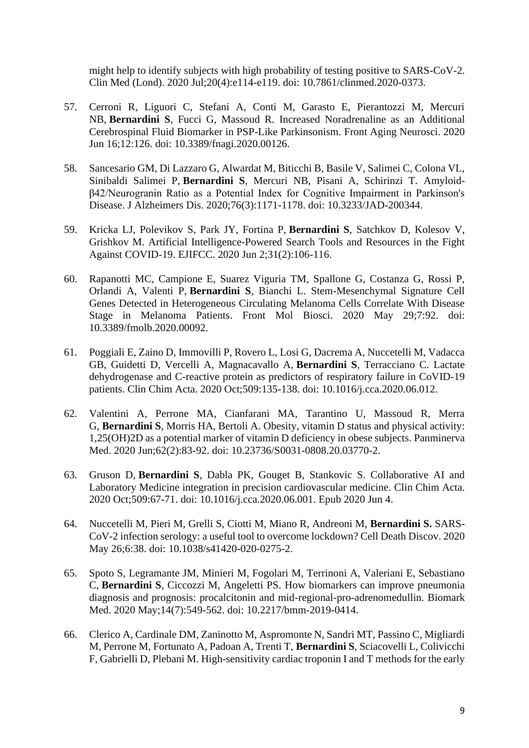[might help to identify subjects with high probability of testing positive to SARS-CoV-2.](https://pubmed.ncbi.nlm.nih.gov/32620590/) Clin Med (Lond). 2020 Jul;20(4):e114-e119. doi: 10.7861/clinmed.2020-0373.

- 57. Cerroni R, Liguori C, Stefani A, Conti M, Garasto E, Pierantozzi M, Mercuri NB, **Bernardini S**, Fucci G, Massoud R. [Increased Noradrenaline as an Additional](https://pubmed.ncbi.nlm.nih.gov/32612521/)  [Cerebrospinal Fluid Biomarker in PSP-Like Parkinsonism.](https://pubmed.ncbi.nlm.nih.gov/32612521/) Front Aging Neurosci. 2020 Jun 16;12:126. doi: 10.3389/fnagi.2020.00126.
- 58. Sancesario GM, Di Lazzaro G, Alwardat M, Biticchi B, Basile V, Salimei C, Colona VL, Sinibaldi Salimei P, **Bernardini S**, Mercuri NB, Pisani A, Schirinzi T. [Amyloid](https://pubmed.ncbi.nlm.nih.gov/32597810/)[β42/Neurogranin Ratio as a Potential Index for Cognitive Impairment in Parkinson's](https://pubmed.ncbi.nlm.nih.gov/32597810/)  [Disease.](https://pubmed.ncbi.nlm.nih.gov/32597810/) J Alzheimers Dis. 2020;76(3):1171-1178. doi: 10.3233/JAD-200344.
- 59. Kricka LJ, Polevikov S, Park JY, Fortina P, **Bernardini S**, Satchkov D, Kolesov V, Grishkov M. [Artificial Intelligence-Powered Search Tools and Resources in the Fight](https://pubmed.ncbi.nlm.nih.gov/32549878/)  [Against COVID-19.](https://pubmed.ncbi.nlm.nih.gov/32549878/) EJIFCC. 2020 Jun 2;31(2):106-116.
- 60. Rapanotti MC, Campione E, Suarez Viguria TM, Spallone G, Costanza G, Rossi P, Orlandi A, Valenti P, **Bernardini S**, Bianchi L. [Stem-Mesenchymal Signature Cell](https://pubmed.ncbi.nlm.nih.gov/32548126/)  [Genes Detected in Heterogeneous Circulating Melanoma Cells Correlate With Disease](https://pubmed.ncbi.nlm.nih.gov/32548126/)  [Stage in Melanoma Patients.](https://pubmed.ncbi.nlm.nih.gov/32548126/) Front Mol Biosci. 2020 May 29;7:92. doi: 10.3389/fmolb.2020.00092.
- 61. Poggiali E, Zaino D, Immovilli P, Rovero L, Losi G, Dacrema A, Nuccetelli M, Vadacca GB, Guidetti D, Vercelli A, Magnacavallo A, **Bernardini S**, Terracciano C. [Lactate](https://pubmed.ncbi.nlm.nih.gov/32531257/)  [dehydrogenase and C-reactive protein as predictors of respiratory failure in CoVID-19](https://pubmed.ncbi.nlm.nih.gov/32531257/)  [patients.](https://pubmed.ncbi.nlm.nih.gov/32531257/) Clin Chim Acta. 2020 Oct;509:135-138. doi: 10.1016/j.cca.2020.06.012.
- 62. Valentini A, Perrone MA, Cianfarani MA, Tarantino U, Massoud R, Merra G, **Bernardini S**, Morris HA, Bertoli A. [Obesity, vitamin D status and physical activity:](https://pubmed.ncbi.nlm.nih.gov/32515572/)  [1,25\(OH\)2D as a potential marker of vitamin D deficiency in obese subjects.](https://pubmed.ncbi.nlm.nih.gov/32515572/) Panminerva Med. 2020 Jun;62(2):83-92. doi: 10.23736/S0031-0808.20.03770-2.
- 63. Gruson D, **Bernardini S**, Dabla PK, Gouget B, Stankovic S. [Collaborative AI and](https://pubmed.ncbi.nlm.nih.gov/32505771/)  [Laboratory Medicine integration in precision cardiovascular medicine.](https://pubmed.ncbi.nlm.nih.gov/32505771/) Clin Chim Acta. 2020 Oct;509:67-71. doi: 10.1016/j.cca.2020.06.001. Epub 2020 Jun 4.
- 64. Nuccetelli M, Pieri M, Grelli S, Ciotti M, Miano R, Andreoni M, **Bernardini S.** [SARS-](https://pubmed.ncbi.nlm.nih.gov/32501411/)[CoV-2 infection serology: a useful tool to overcome lockdown?](https://pubmed.ncbi.nlm.nih.gov/32501411/) Cell Death Discov. 2020 May 26;6:38. doi: 10.1038/s41420-020-0275-2.
- 65. Spoto S, Legramante JM, Minieri M, Fogolari M, Terrinoni A, Valeriani E, Sebastiano C, **Bernardini S**, Ciccozzi M, Angeletti PS. [How biomarkers can improve pneumonia](https://pubmed.ncbi.nlm.nih.gov/32462910/)  [diagnosis and prognosis: procalcitonin and mid-regional-pro-adrenomedullin.](https://pubmed.ncbi.nlm.nih.gov/32462910/) Biomark Med. 2020 May;14(7):549-562. doi: 10.2217/bmm-2019-0414.
- 66. Clerico A, Cardinale DM, Zaninotto M, Aspromonte N, Sandri MT, Passino C, Migliardi M, Perrone M, Fortunato A, Padoan A, Trenti T, **Bernardini S**, Sciacovelli L, Colivicchi F, Gabrielli D, Plebani M. [High-sensitivity cardiac troponin I and T methods for the early](https://pubmed.ncbi.nlm.nih.gov/32441665/)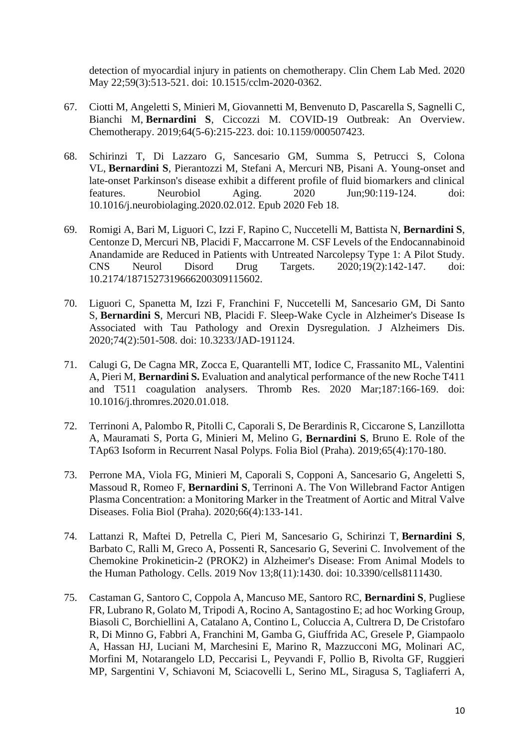[detection of myocardial injury in patients on chemotherapy.](https://pubmed.ncbi.nlm.nih.gov/32441665/) Clin Chem Lab Med. 2020 May 22;59(3):513-521. doi: 10.1515/cclm-2020-0362.

- 67. Ciotti M, Angeletti S, Minieri M, Giovannetti M, Benvenuto D, Pascarella S, Sagnelli C, Bianchi M, **Bernardini S**, Ciccozzi M. [COVID-19 Outbreak: An Overview.](https://pubmed.ncbi.nlm.nih.gov/32259829/) Chemotherapy. 2019;64(5-6):215-223. doi: 10.1159/000507423.
- 68. Schirinzi T, Di Lazzaro G, Sancesario GM, Summa S, Petrucci S, Colona VL, **Bernardini S**, Pierantozzi M, Stefani A, Mercuri NB, Pisani A. [Young-onset and](https://pubmed.ncbi.nlm.nih.gov/32169356/)  [late-onset Parkinson's disease exhibit a different profile of fluid biomarkers and clinical](https://pubmed.ncbi.nlm.nih.gov/32169356/)  [features.](https://pubmed.ncbi.nlm.nih.gov/32169356/) Neurobiol Aging. 2020 Jun;90:119-124. doi: 10.1016/j.neurobiolaging.2020.02.012. Epub 2020 Feb 18.
- 69. Romigi A, Bari M, Liguori C, Izzi F, Rapino C, Nuccetelli M, Battista N, **Bernardini S**, Centonze D, Mercuri NB, Placidi F, Maccarrone M. [CSF Levels of the Endocannabinoid](https://pubmed.ncbi.nlm.nih.gov/32148204/)  [Anandamide are Reduced in Patients with Untreated Narcolepsy Type 1: A Pilot Study.](https://pubmed.ncbi.nlm.nih.gov/32148204/) CNS Neurol Disord Drug Targets. 2020;19(2):142-147. doi: 10.2174/1871527319666200309115602.
- 70. Liguori C, Spanetta M, Izzi F, Franchini F, Nuccetelli M, Sancesario GM, Di Santo S, **Bernardini S**, Mercuri NB, Placidi F. [Sleep-Wake Cycle in Alzheimer's Disease Is](https://pubmed.ncbi.nlm.nih.gov/32065791/)  [Associated with Tau Pathology and Orexin Dysregulation.](https://pubmed.ncbi.nlm.nih.gov/32065791/) J Alzheimers Dis. 2020;74(2):501-508. doi: 10.3233/JAD-191124.
- 71. Calugi G, De Cagna MR, Zocca E, Quarantelli MT, Iodice C, Frassanito ML, Valentini A, Pieri M, **Bernardini S.** [Evaluation and analytical performance of the new Roche T411](https://pubmed.ncbi.nlm.nih.gov/32004877/)  [and T511 coagulation analysers.](https://pubmed.ncbi.nlm.nih.gov/32004877/) Thromb Res. 2020 Mar;187:166-169. doi: 10.1016/j.thromres.2020.01.018.
- 72. Terrinoni A, Palombo R, Pitolli C, Caporali S, De Berardinis R, Ciccarone S, Lanzillotta A, Mauramati S, Porta G, Minieri M, Melino G, **Bernardini S**, Bruno E. Role of the TAp63 Isoform in Recurrent Nasal Polyps. Folia Biol (Praha). 2019;65(4):170-180.
- 73. Perrone MA, Viola FG, Minieri M, Caporali S, Copponi A, Sancesario G, Angeletti S, Massoud R, Romeo F, **Bernardini S**, Terrinoni A. The Von Willebrand Factor Antigen Plasma Concentration: a Monitoring Marker in the Treatment of Aortic and Mitral Valve Diseases. Folia Biol (Praha). 2020;66(4):133-141.
- 74. Lattanzi R, Maftei D, Petrella C, Pieri M, Sancesario G, Schirinzi T, **Bernardini S**, Barbato C, Ralli M, Greco A, Possenti R, Sancesario G, Severini C. [Involvement of the](https://pubmed.ncbi.nlm.nih.gov/31766244/)  [Chemokine Prokineticin-2 \(PROK2\) in Alzheimer's Disease: From Animal Models to](https://pubmed.ncbi.nlm.nih.gov/31766244/)  [the Human Pathology.](https://pubmed.ncbi.nlm.nih.gov/31766244/) Cells. 2019 Nov 13;8(11):1430. doi: 10.3390/cells8111430.
- 75. Castaman G, Santoro C, Coppola A, Mancuso ME, Santoro RC, **Bernardini S**, Pugliese FR, Lubrano R, Golato M, Tripodi A, Rocino A, Santagostino E; ad hoc Working Group, Biasoli C, Borchiellini A, Catalano A, Contino L, Coluccia A, Cultrera D, De Cristofaro R, Di Minno G, Fabbri A, Franchini M, Gamba G, Giuffrida AC, Gresele P, Giampaolo A, Hassan HJ, Luciani M, Marchesini E, Marino R, Mazzucconi MG, Molinari AC, Morfini M, Notarangelo LD, Peccarisi L, Peyvandi F, Pollio B, Rivolta GF, Ruggieri MP, Sargentini V, Schiavoni M, Sciacovelli L, Serino ML, Siragusa S, Tagliaferri A,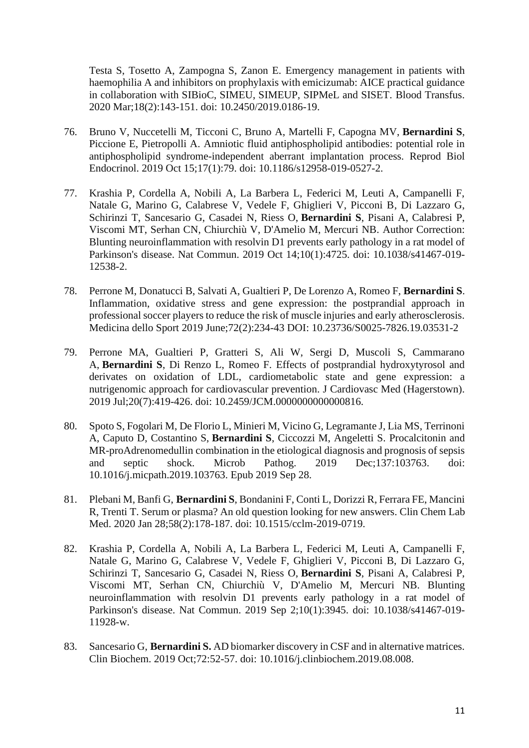Testa S, Tosetto A, Zampogna S, Zanon E. [Emergency management in patients with](https://pubmed.ncbi.nlm.nih.gov/31657709/)  [haemophilia A and inhibitors on prophylaxis with emicizumab: AICE practical guidance](https://pubmed.ncbi.nlm.nih.gov/31657709/)  [in collaboration with SIBioC, SIMEU, SIMEUP, SIPMeL and SISET.](https://pubmed.ncbi.nlm.nih.gov/31657709/) Blood Transfus. 2020 Mar;18(2):143-151. doi: 10.2450/2019.0186-19.

- 76. Bruno V, Nuccetelli M, Ticconi C, Bruno A, Martelli F, Capogna MV, **Bernardini S**, Piccione E, Pietropolli A. [Amniotic fluid antiphospholipid antibodies: potential role in](https://pubmed.ncbi.nlm.nih.gov/31615575/)  [antiphospholipid syndrome-independent aberrant implantation process.](https://pubmed.ncbi.nlm.nih.gov/31615575/) Reprod Biol Endocrinol. 2019 Oct 15;17(1):79. doi: 10.1186/s12958-019-0527-2.
- 77. Krashia P, Cordella A, Nobili A, La Barbera L, Federici M, Leuti A, Campanelli F, Natale G, Marino G, Calabrese V, Vedele F, Ghiglieri V, Picconi B, Di Lazzaro G, Schirinzi T, Sancesario G, Casadei N, Riess O, **Bernardini S**, Pisani A, Calabresi P, Viscomi MT, Serhan CN, Chiurchiù V, D'Amelio M, Mercuri NB. [Author Correction:](https://pubmed.ncbi.nlm.nih.gov/31611555/)  [Blunting neuroinflammation with resolvin D1 prevents early pathology in a rat model of](https://pubmed.ncbi.nlm.nih.gov/31611555/)  [Parkinson's disease.](https://pubmed.ncbi.nlm.nih.gov/31611555/) Nat Commun. 2019 Oct 14;10(1):4725. doi: 10.1038/s41467-019- 12538-2.
- 78. Perrone M, Donatucci B, Salvati A, Gualtieri P, De Lorenzo A, Romeo F, **Bernardini S**. Inflammation, oxidative stress and gene expression: the postprandial approach in professional soccer players to reduce the risk of muscle injuries and early atherosclerosis. Medicina dello Sport 2019 June;72(2):234-43 DOI: 10.23736/S0025-7826.19.03531-2
- 79. Perrone MA, Gualtieri P, Gratteri S, Ali W, Sergi D, Muscoli S, Cammarano A, **Bernardini S**, Di Renzo L, Romeo F. [Effects of postprandial hydroxytyrosol and](https://pubmed.ncbi.nlm.nih.gov/31593559/)  [derivates on oxidation of LDL, cardiometabolic state and](https://pubmed.ncbi.nlm.nih.gov/31593559/) gene expression: a [nutrigenomic approach for cardiovascular prevention.](https://pubmed.ncbi.nlm.nih.gov/31593559/) J Cardiovasc Med (Hagerstown). 2019 Jul;20(7):419-426. doi: 10.2459/JCM.0000000000000816.
- 80. Spoto S, Fogolari M, De Florio L, Minieri M, Vicino G, Legramante J, Lia MS, Terrinoni A, Caputo D, Costantino S, **Bernardini S**, Ciccozzi M, Angeletti S. [Procalcitonin and](https://pubmed.ncbi.nlm.nih.gov/31574301/)  MR-proAdrenomedullin [combination in the etiological diagnosis and prognosis of sepsis](https://pubmed.ncbi.nlm.nih.gov/31574301/)  [and septic shock.](https://pubmed.ncbi.nlm.nih.gov/31574301/) Microb Pathog. 2019 Dec;137:103763. doi: 10.1016/j.micpath.2019.103763. Epub 2019 Sep 28.
- 81. Plebani M, Banfi G, **Bernardini S**, Bondanini F, Conti L, Dorizzi R, Ferrara FE, Mancini R, Trenti T. [Serum or plasma? An old question looking for new answers.](https://pubmed.ncbi.nlm.nih.gov/31525152/) Clin Chem Lab Med. 2020 Jan 28;58(2):178-187. doi: 10.1515/cclm-2019-0719.
- 82. Krashia P, Cordella A, Nobili A, La Barbera L, Federici M, Leuti A, Campanelli F, Natale G, Marino G, Calabrese V, Vedele F, Ghiglieri V, Picconi B, Di Lazzaro G, Schirinzi T, Sancesario G, Casadei N, Riess O, **Bernardini S**, Pisani A, Calabresi P, Viscomi MT, Serhan CN, Chiurchiù V, D'Amelio M, Mercuri NB. [Blunting](https://pubmed.ncbi.nlm.nih.gov/31477726/)  [neuroinflammation with resolvin D1 prevents early pathology in a rat model of](https://pubmed.ncbi.nlm.nih.gov/31477726/)  [Parkinson's disease.](https://pubmed.ncbi.nlm.nih.gov/31477726/) Nat Commun. 2019 Sep 2;10(1):3945. doi: 10.1038/s41467-019- 11928-w.
- 83. Sancesario G, **Bernardini S.** [AD biomarker discovery in CSF and in alternative matrices.](https://pubmed.ncbi.nlm.nih.gov/31437430/) Clin Biochem. 2019 Oct;72:52-57. doi: 10.1016/j.clinbiochem.2019.08.008.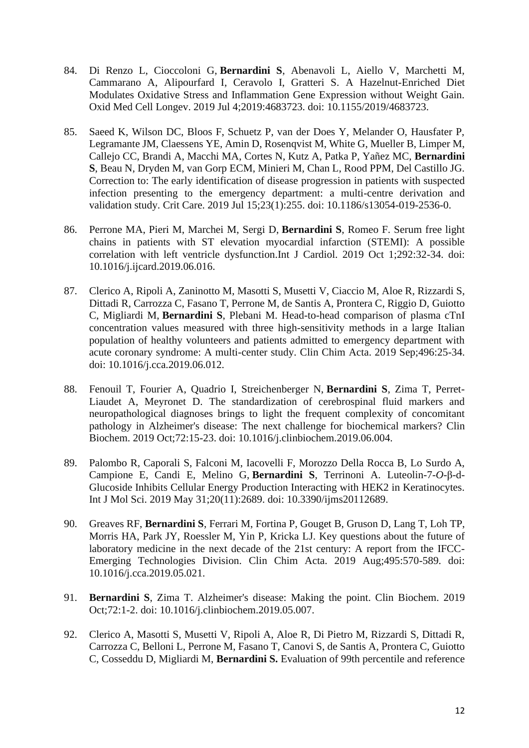- 84. Di Renzo L, Cioccoloni G, **Bernardini S**, Abenavoli L, Aiello V, Marchetti M, Cammarano A, Alipourfard I, Ceravolo I, Gratteri S. [A Hazelnut-Enriched Diet](https://pubmed.ncbi.nlm.nih.gov/31354906/)  [Modulates Oxidative Stress and Inflammation Gene Expression without Weight Gain.](https://pubmed.ncbi.nlm.nih.gov/31354906/) Oxid Med Cell Longev. 2019 Jul 4;2019:4683723. doi: 10.1155/2019/4683723.
- 85. Saeed K, Wilson DC, Bloos F, Schuetz P, van der Does Y, Melander O, Hausfater P, Legramante JM, Claessens YE, Amin D, Rosenqvist M, White G, Mueller B, Limper M, Callejo CC, Brandi A, Macchi MA, Cortes N, Kutz A, Patka P, Yañez MC, **Bernardini S**, Beau N, Dryden M, van Gorp ECM, Minieri M, Chan L, Rood PPM, Del Castillo JG. [Correction to: The early identification of disease progression in patients with suspected](https://pubmed.ncbi.nlm.nih.gov/31307526/)  [infection presenting to the emergency department: a multi-centre derivation and](https://pubmed.ncbi.nlm.nih.gov/31307526/)  [validation study.](https://pubmed.ncbi.nlm.nih.gov/31307526/) Crit Care. 2019 Jul 15;23(1):255. doi: 10.1186/s13054-019-2536-0.
- 86. Perrone MA, Pieri M, Marchei M, Sergi D, **Bernardini S**, Romeo F. [Serum free light](https://pubmed.ncbi.nlm.nih.gov/31253526/)  [chains in patients with ST elevation myocardial infarction \(STEMI\): A possible](https://pubmed.ncbi.nlm.nih.gov/31253526/)  [correlation with left ventricle dysfunction.I](https://pubmed.ncbi.nlm.nih.gov/31253526/)nt J Cardiol. 2019 Oct 1;292:32-34. doi: 10.1016/j.ijcard.2019.06.016.
- 87. Clerico A, Ripoli A, Zaninotto M, Masotti S, Musetti V, Ciaccio M, Aloe R, Rizzardi S, Dittadi R, Carrozza C, Fasano T, Perrone M, de Santis A, Prontera C, Riggio D, Guiotto C, Migliardi M, **Bernardini S**, Plebani M. [Head-to-head comparison of plasma cTnI](https://pubmed.ncbi.nlm.nih.gov/31201817/)  [concentration values measured with three high-sensitivity methods in a large Italian](https://pubmed.ncbi.nlm.nih.gov/31201817/)  [population of healthy volunteers and patients admitted to emergency department with](https://pubmed.ncbi.nlm.nih.gov/31201817/)  [acute coronary syndrome: A multi-center study.](https://pubmed.ncbi.nlm.nih.gov/31201817/) Clin Chim Acta. 2019 Sep;496:25-34. doi: 10.1016/j.cca.2019.06.012.
- 88. Fenouil T, Fourier A, Quadrio I, Streichenberger N, **Bernardini S**, Zima T, Perret-Liaudet A, Meyronet D. [The standardization of cerebrospinal fluid markers and](https://pubmed.ncbi.nlm.nih.gov/31194969/)  [neuropathological diagnoses brings to light the frequent complexity of concomitant](https://pubmed.ncbi.nlm.nih.gov/31194969/)  [pathology in Alzheimer's disease: The next challenge for biochemical markers?](https://pubmed.ncbi.nlm.nih.gov/31194969/) Clin Biochem. 2019 Oct;72:15-23. doi: 10.1016/j.clinbiochem.2019.06.004.
- 89. Palombo R, Caporali S, Falconi M, Iacovelli F, Morozzo Della Rocca B, Lo Surdo A, Campione E, Candi E, Melino G, **Bernardini S**, Terrinoni A. [Luteolin-7-](https://pubmed.ncbi.nlm.nih.gov/31159225/)*O*-β-d-[Glucoside Inhibits Cellular Energy Production Interacting with HEK2 in Keratinocytes.](https://pubmed.ncbi.nlm.nih.gov/31159225/) Int J Mol Sci. 2019 May 31;20(11):2689. doi: 10.3390/ijms20112689.
- 90. Greaves RF, **Bernardini S**, Ferrari M, Fortina P, Gouget B, Gruson D, Lang T, Loh TP, Morris HA, Park JY, Roessler M, Yin P, Kricka LJ. [Key questions about the future of](https://pubmed.ncbi.nlm.nih.gov/31145895/)  [laboratory medicine in the next decade of the 21st century: A report from the IFCC-](https://pubmed.ncbi.nlm.nih.gov/31145895/)[Emerging Technologies Division.](https://pubmed.ncbi.nlm.nih.gov/31145895/) Clin Chim Acta. 2019 Aug;495:570-589. doi: 10.1016/j.cca.2019.05.021.
- 91. **Bernardini S**, Zima T. [Alzheimer's disease: Making the](https://pubmed.ncbi.nlm.nih.gov/31125534/) point. Clin Biochem. 2019 Oct;72:1-2. doi: 10.1016/j.clinbiochem.2019.05.007.
- 92. Clerico A, Masotti S, Musetti V, Ripoli A, Aloe R, Di Pietro M, Rizzardi S, Dittadi R, Carrozza C, Belloni L, Perrone M, Fasano T, Canovi S, de Santis A, Prontera C, Guiotto C, Cosseddu D, Migliardi M, **Bernardini S.** [Evaluation of 99th percentile and reference](https://pubmed.ncbi.nlm.nih.gov/30978328/)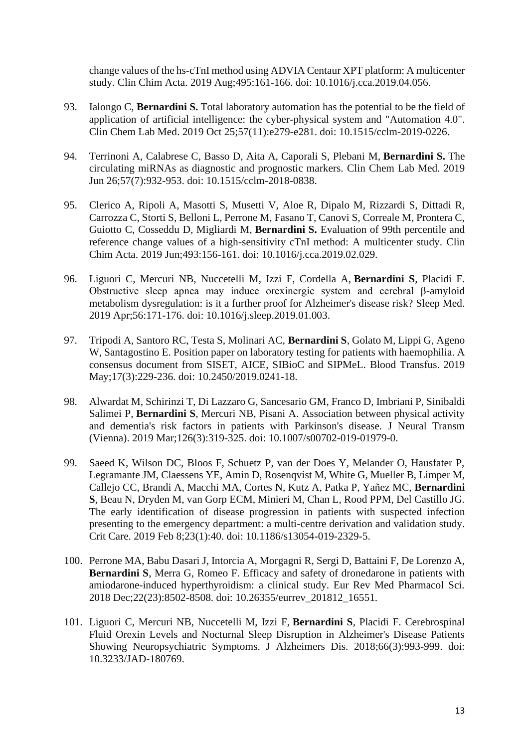change values of the hs-cTnI [method using ADVIA Centaur XPT platform: A multicenter](https://pubmed.ncbi.nlm.nih.gov/30978328/)  [study.](https://pubmed.ncbi.nlm.nih.gov/30978328/) Clin Chim Acta. 2019 Aug;495:161-166. doi: 10.1016/j.cca.2019.04.056.

- 93. Ialongo C, **Bernardini S.** [Total laboratory automation has the potential to be the field of](https://pubmed.ncbi.nlm.nih.gov/30956229/)  [application of artificial intelligence: the cyber-physical system and "Automation 4.0".](https://pubmed.ncbi.nlm.nih.gov/30956229/) Clin Chem Lab Med. 2019 Oct 25;57(11):e279-e281. doi: 10.1515/cclm-2019-0226.
- 94. Terrinoni A, Calabrese C, Basso D, Aita A, Caporali S, Plebani M, **Bernardini S.** [The](https://pubmed.ncbi.nlm.nih.gov/30838832/)  [circulating miRNAs as diagnostic and prognostic markers.](https://pubmed.ncbi.nlm.nih.gov/30838832/) Clin Chem Lab Med. 2019 Jun 26;57(7):932-953. doi: 10.1515/cclm-2018-0838.
- 95. Clerico A, Ripoli A, Masotti S, Musetti V, Aloe R, Dipalo M, Rizzardi S, Dittadi R, Carrozza C, Storti S, Belloni L, Perrone M, Fasano T, Canovi S, Correale M, Prontera C, Guiotto C, Cosseddu D, Migliardi M, **Bernardini S.** [Evaluation of 99th percentile and](https://pubmed.ncbi.nlm.nih.gov/30826369/)  [reference change values of a high-sensitivity cTnI method: A multicenter study.](https://pubmed.ncbi.nlm.nih.gov/30826369/) Clin Chim Acta. 2019 Jun;493:156-161. doi: 10.1016/j.cca.2019.02.029.
- 96. Liguori C, Mercuri NB, Nuccetelli M, Izzi F, Cordella A, **Bernardini S**, Placidi F. [Obstructive sleep apnea may induce orexinergic system and cerebral β-amyloid](https://pubmed.ncbi.nlm.nih.gov/30799255/)  [metabolism dysregulation: is it a further proof for Alzheimer's disease risk?](https://pubmed.ncbi.nlm.nih.gov/30799255/) Sleep Med. 2019 Apr;56:171-176. doi: 10.1016/j.sleep.2019.01.003.
- 97. Tripodi A, Santoro RC, Testa S, Molinari AC, **Bernardini S**, Golato M, Lippi G, Ageno W, Santagostino E. [Position paper on laboratory testing for patients with haemophilia. A](https://pubmed.ncbi.nlm.nih.gov/30747702/)  [consensus document from SISET, AICE, SIBioC and SIPMeL.](https://pubmed.ncbi.nlm.nih.gov/30747702/) Blood Transfus. 2019 May;17(3):229-236. doi: 10.2450/2019.0241-18.
- 98. Alwardat M, Schirinzi T, Di Lazzaro G, Sancesario GM, Franco D, Imbriani P, Sinibaldi Salimei P, **Bernardini S**, Mercuri NB, Pisani A. [Association between physical activity](https://pubmed.ncbi.nlm.nih.gov/30746564/)  [and dementia's risk factors in patients with Parkinson's disease.](https://pubmed.ncbi.nlm.nih.gov/30746564/) J Neural Transm (Vienna). 2019 Mar;126(3):319-325. doi: 10.1007/s00702-019-01979-0.
- 99. Saeed K, Wilson DC, Bloos F, Schuetz P, van der Does Y, Melander O, Hausfater P, Legramante JM, Claessens YE, Amin D, Rosenqvist M, White G, Mueller B, Limper M, Callejo CC, Brandi A, Macchi MA, Cortes N, Kutz A, Patka P, Yañez MC, **Bernardini S**, Beau N, Dryden M, van Gorp ECM, Minieri M, Chan L, Rood PPM, Del Castillo JG. [The early identification of disease progression in patients with suspected infection](https://pubmed.ncbi.nlm.nih.gov/30736862/)  [presenting to the emergency department: a multi-centre derivation and validation study.](https://pubmed.ncbi.nlm.nih.gov/30736862/) Crit Care. 2019 Feb 8;23(1):40. doi: 10.1186/s13054-019-2329-5.
- 100. Perrone MA, Babu Dasari J, Intorcia A, Morgagni R, Sergi D, Battaini F, De Lorenzo A, **Bernardini S**, Merra G, Romeo F. Efficacy and safety of dronedarone in patients with amiodarone-induced hyperthyroidism: a clinical study. Eur Rev Med Pharmacol Sci. 2018 Dec;22(23):8502-8508. doi: 10.26355/eurrev\_201812\_16551.
- 101. Liguori C, Mercuri NB, Nuccetelli M, Izzi F, **Bernardini S**, Placidi F. [Cerebrospinal](https://pubmed.ncbi.nlm.nih.gov/30372684/)  [Fluid Orexin Levels and Nocturnal Sleep Disruption in Alzheimer's Disease Patients](https://pubmed.ncbi.nlm.nih.gov/30372684/)  [Showing Neuropsychiatric Symptoms.](https://pubmed.ncbi.nlm.nih.gov/30372684/) J Alzheimers Dis. 2018;66(3):993-999. doi: 10.3233/JAD-180769.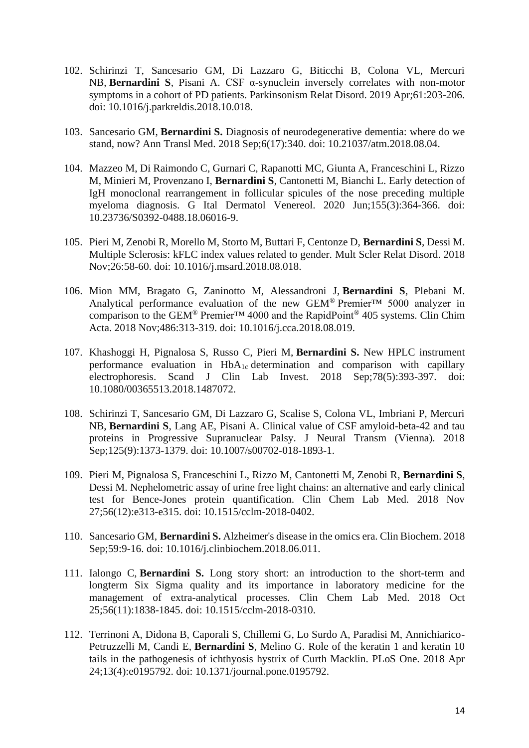- 102. Schirinzi T, Sancesario GM, Di Lazzaro G, Biticchi B, Colona VL, Mercuri NB, **Bernardini S**, Pisani A. [CSF α-synuclein inversely correlates with non-motor](https://pubmed.ncbi.nlm.nih.gov/30348495/)  [symptoms in a cohort of](https://pubmed.ncbi.nlm.nih.gov/30348495/) PD patients. Parkinsonism Relat Disord. 2019 Apr;61:203-206. doi: 10.1016/j.parkreldis.2018.10.018.
- 103. Sancesario GM, **Bernardini S.** [Diagnosis of neurodegenerative dementia: where do we](https://pubmed.ncbi.nlm.nih.gov/30306079/)  [stand, now?](https://pubmed.ncbi.nlm.nih.gov/30306079/) Ann Transl Med. 2018 Sep;6(17):340. doi: 10.21037/atm.2018.08.04.
- 104. Mazzeo M, Di Raimondo C, Gurnari C, Rapanotti MC, Giunta A, Franceschini L, Rizzo M, Minieri M, Provenzano I, **Bernardini S**, Cantonetti M, Bianchi L. [Early detection of](https://pubmed.ncbi.nlm.nih.gov/30249084/)  [IgH monoclonal rearrangement in follicular spicules of the nose preceding multiple](https://pubmed.ncbi.nlm.nih.gov/30249084/)  [myeloma diagnosis.](https://pubmed.ncbi.nlm.nih.gov/30249084/) G Ital Dermatol Venereol. 2020 Jun;155(3):364-366. doi: 10.23736/S0392-0488.18.06016-9.
- 105. Pieri M, Zenobi R, Morello M, Storto M, Buttari F, Centonze D, **Bernardini S**, Dessi M. [Multiple Sclerosis: kFLC index values related to gender.](https://pubmed.ncbi.nlm.nih.gov/30223231/) Mult Scler Relat Disord. 2018 Nov;26:58-60. doi: 10.1016/j.msard.2018.08.018.
- 106. Mion MM, Bragato G, Zaninotto M, Alessandroni J, **Bernardini S**, Plebani M. [Analytical performance evaluation of the new GEM](https://pubmed.ncbi.nlm.nih.gov/30118673/)<sup>®</sup> Premier<sup>TM</sup> 5000 analyzer in comparison to the GEM® [Premier™ 4000 and the RapidPoint](https://pubmed.ncbi.nlm.nih.gov/30118673/)® 405 systems. Clin Chim Acta. 2018 Nov;486:313-319. doi: 10.1016/j.cca.2018.08.019.
- 107. Khashoggi H, Pignalosa S, Russo C, Pieri M, **Bernardini S.** [New HPLC instrument](https://pubmed.ncbi.nlm.nih.gov/29993292/)  performance evaluation in  $HbA_{1c}$  determination and comparison with capillary [electrophoresis.](https://pubmed.ncbi.nlm.nih.gov/29993292/) Scand J Clin Lab Invest. 2018 Sep;78(5):393-397. doi: 10.1080/00365513.2018.1487072.
- 108. Schirinzi T, Sancesario GM, Di Lazzaro G, Scalise S, Colona VL, Imbriani P, Mercuri NB, **Bernardini S**, Lang AE, Pisani A. [Clinical value of CSF amyloid-beta-42 and tau](https://pubmed.ncbi.nlm.nih.gov/29948175/)  [proteins in Progressive Supranuclear Palsy.](https://pubmed.ncbi.nlm.nih.gov/29948175/) J Neural Transm (Vienna). 2018 Sep;125(9):1373-1379. doi: 10.1007/s00702-018-1893-1.
- 109. Pieri M, Pignalosa S, Franceschini L, Rizzo M, Cantonetti M, Zenobi R, **Bernardini S**, Dessi M. [Nephelometric assay of urine free light chains: an alternative and early clinical](https://pubmed.ncbi.nlm.nih.gov/29935112/)  [test for Bence-Jones protein quantification.](https://pubmed.ncbi.nlm.nih.gov/29935112/) Clin Chem Lab Med. 2018 Nov 27;56(12):e313-e315. doi: 10.1515/cclm-2018-0402.
- 110. Sancesario GM, **Bernardini S.** [Alzheimer's disease in the omics era.](https://pubmed.ncbi.nlm.nih.gov/29920246/) Clin Biochem. 2018 Sep;59:9-16. doi: 10.1016/j.clinbiochem.2018.06.011.
- 111. Ialongo C, **Bernardini S.** [Long story short: an introduction to the short-term and](https://pubmed.ncbi.nlm.nih.gov/29909405/)  [longterm Six Sigma quality and its importance in laboratory medicine for the](https://pubmed.ncbi.nlm.nih.gov/29909405/)  [management of extra-analytical processes.](https://pubmed.ncbi.nlm.nih.gov/29909405/) Clin Chem Lab Med. 2018 Oct 25;56(11):1838-1845. doi: 10.1515/cclm-2018-0310.
- 112. Terrinoni A, Didona B, Caporali S, Chillemi G, Lo Surdo A, Paradisi M, Annichiarico-Petruzzelli M, Candi E, **Bernardini S**, Melino G. [Role of the keratin 1 and keratin 10](https://pubmed.ncbi.nlm.nih.gov/29689068/)  [tails in the pathogenesis of ichthyosis hystrix of Curth Macklin.](https://pubmed.ncbi.nlm.nih.gov/29689068/) PLoS One. 2018 Apr 24;13(4):e0195792. doi: 10.1371/journal.pone.0195792.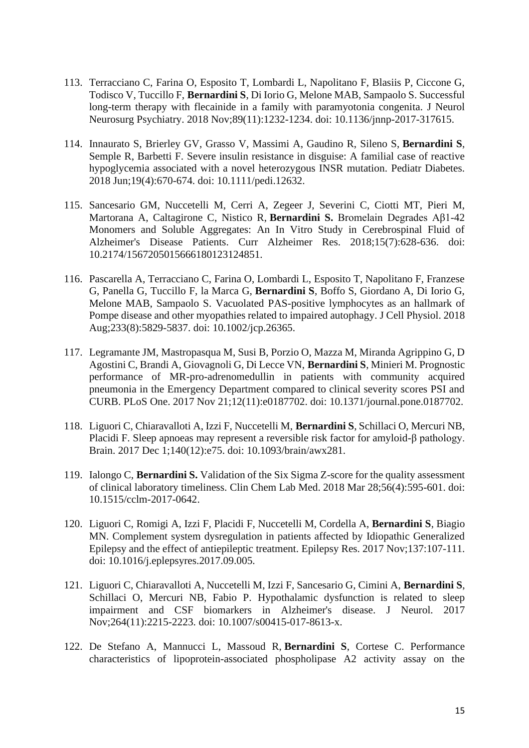- 113. Terracciano C, Farina O, Esposito T, Lombardi L, Napolitano F, Blasiis P, Ciccone G, Todisco V, Tuccillo F, **Bernardini S**, Di Iorio G, Melone MAB, Sampaolo S. [Successful](https://pubmed.ncbi.nlm.nih.gov/29487168/)  [long-term therapy with flecainide in a family with paramyotonia congenita.](https://pubmed.ncbi.nlm.nih.gov/29487168/) J Neurol Neurosurg Psychiatry. 2018 Nov;89(11):1232-1234. doi: 10.1136/jnnp-2017-317615.
- 114. Innaurato S, Brierley GV, Grasso V, Massimi A, Gaudino R, Sileno S, **Bernardini S**, Semple R, Barbetti F. [Severe insulin resistance in disguise: A familial case of reactive](https://pubmed.ncbi.nlm.nih.gov/29411486/)  [hypoglycemia associated with a novel heterozygous INSR mutation.](https://pubmed.ncbi.nlm.nih.gov/29411486/) Pediatr Diabetes. 2018 Jun;19(4):670-674. doi: 10.1111/pedi.12632.
- 115. Sancesario GM, Nuccetelli M, Cerri A, Zegeer J, Severini C, Ciotti MT, Pieri M, Martorana A, Caltagirone C, Nistico R, **Bernardini S.** [Bromelain Degrades Aβ1-42](https://pubmed.ncbi.nlm.nih.gov/29359669/)  [Monomers and Soluble Aggregates: An In Vitro Study in Cerebrospinal Fluid of](https://pubmed.ncbi.nlm.nih.gov/29359669/)  [Alzheimer's Disease Patients.](https://pubmed.ncbi.nlm.nih.gov/29359669/) Curr Alzheimer Res. 2018;15(7):628-636. doi: 10.2174/1567205015666180123124851.
- 116. Pascarella A, Terracciano C, Farina O, Lombardi L, Esposito T, Napolitano F, Franzese G, Panella G, Tuccillo F, la Marca G, **Bernardini S**, Boffo S, Giordano A, Di Iorio G, Melone MAB, Sampaolo S. [Vacuolated PAS-positive lymphocytes as an hallmark of](https://pubmed.ncbi.nlm.nih.gov/29215735/)  [Pompe disease and other myopathies related to impaired autophagy.](https://pubmed.ncbi.nlm.nih.gov/29215735/) J Cell Physiol. 2018 Aug;233(8):5829-5837. doi: 10.1002/jcp.26365.
- 117. Legramante JM, Mastropasqua M, Susi B, Porzio O, Mazza M, Miranda Agrippino G, D Agostini C, Brandi A, Giovagnoli G, Di Lecce VN, **Bernardini S**, Minieri M. [Prognostic](https://pubmed.ncbi.nlm.nih.gov/29161297/)  [performance of MR-pro-adrenomedullin in patients with community acquired](https://pubmed.ncbi.nlm.nih.gov/29161297/)  [pneumonia in the Emergency Department compared to clinical severity scores PSI and](https://pubmed.ncbi.nlm.nih.gov/29161297/)  [CURB.](https://pubmed.ncbi.nlm.nih.gov/29161297/) PLoS One. 2017 Nov 21;12(11):e0187702. doi: 10.1371/journal.pone.0187702.
- 118. Liguori C, Chiaravalloti A, Izzi F, Nuccetelli M, **Bernardini S**, Schillaci O, Mercuri NB, Placidi F. [Sleep apnoeas may represent a reversible risk factor for amyloid-β pathology.](https://pubmed.ncbi.nlm.nih.gov/29077794/) Brain. 2017 Dec 1;140(12):e75. doi: 10.1093/brain/awx281.
- 119. Ialongo C, **Bernardini S.** [Validation of the Six Sigma Z-score for the quality assessment](https://pubmed.ncbi.nlm.nih.gov/29040063/)  [of clinical laboratory timeliness.](https://pubmed.ncbi.nlm.nih.gov/29040063/) Clin Chem Lab Med. 2018 Mar 28;56(4):595-601. doi: 10.1515/cclm-2017-0642.
- 120. Liguori C, Romigi A, Izzi F, Placidi F, Nuccetelli M, Cordella A, **Bernardini S**, Biagio MN. [Complement system dysregulation in patients affected by Idiopathic Generalized](https://pubmed.ncbi.nlm.nih.gov/28985614/)  [Epilepsy and the effect of antiepileptic treatment.](https://pubmed.ncbi.nlm.nih.gov/28985614/) Epilepsy Res. 2017 Nov;137:107-111. doi: 10.1016/j.eplepsyres.2017.09.005.
- 121. Liguori C, Chiaravalloti A, Nuccetelli M, Izzi F, Sancesario G, Cimini A, **Bernardini S**, Schillaci O, Mercuri NB, Fabio P. [Hypothalamic dysfunction is related to sleep](https://pubmed.ncbi.nlm.nih.gov/28900724/)  [impairment and CSF biomarkers in Alzheimer's disease.](https://pubmed.ncbi.nlm.nih.gov/28900724/) J Neurol. 2017 Nov;264(11):2215-2223. doi: 10.1007/s00415-017-8613-x.
- 122. De Stefano A, Mannucci L, Massoud R, **Bernardini S**, Cortese C. [Performance](https://pubmed.ncbi.nlm.nih.gov/28900364/)  [characteristics of lipoprotein-associated phospholipase A2 activity assay on the](https://pubmed.ncbi.nlm.nih.gov/28900364/)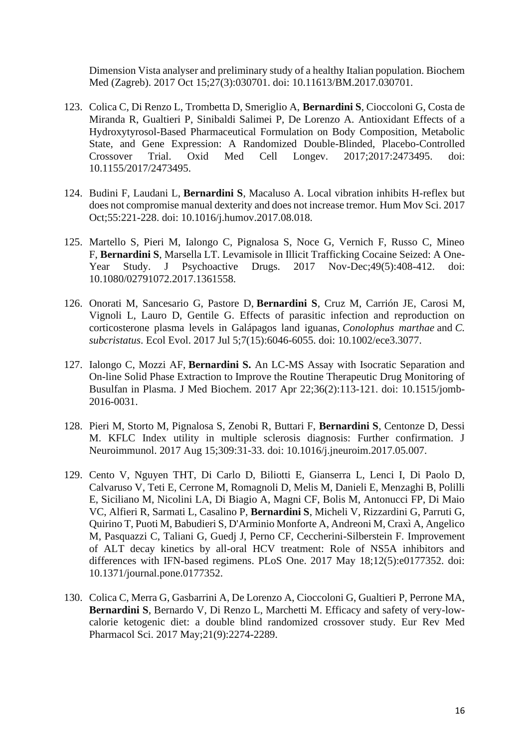[Dimension Vista analyser and preliminary study of a healthy Italian population.](https://pubmed.ncbi.nlm.nih.gov/28900364/) Biochem Med (Zagreb). 2017 Oct 15;27(3):030701. doi: 10.11613/BM.2017.030701.

- 123. Colica C, Di Renzo L, Trombetta D, Smeriglio A, **Bernardini S**, Cioccoloni G, Costa de Miranda R, Gualtieri P, Sinibaldi Salimei P, De Lorenzo A. [Antioxidant Effects of a](https://pubmed.ncbi.nlm.nih.gov/28855976/)  [Hydroxytyrosol-Based Pharmaceutical Formulation on Body Composition, Metabolic](https://pubmed.ncbi.nlm.nih.gov/28855976/)  [State, and Gene Expression: A Randomized Double-Blinded, Placebo-Controlled](https://pubmed.ncbi.nlm.nih.gov/28855976/)  [Crossover Trial.](https://pubmed.ncbi.nlm.nih.gov/28855976/) Oxid Med Cell Longev. 2017;2017:2473495. doi: 10.1155/2017/2473495.
- 124. Budini F, Laudani L, **Bernardini S**, Macaluso A. [Local vibration inhibits H-reflex but](https://pubmed.ncbi.nlm.nih.gov/28843638/)  [does not compromise manual dexterity and does not increase tremor.](https://pubmed.ncbi.nlm.nih.gov/28843638/) Hum Mov Sci. 2017 Oct;55:221-228. doi: 10.1016/j.humov.2017.08.018.
- 125. Martello S, Pieri M, Ialongo C, Pignalosa S, Noce G, Vernich F, Russo C, Mineo F, **Bernardini S**, Marsella LT. [Levamisole in Illicit Trafficking Cocaine Seized: A One-](https://pubmed.ncbi.nlm.nih.gov/28813206/)[Year Study.](https://pubmed.ncbi.nlm.nih.gov/28813206/) J Psychoactive Drugs. 2017 Nov-Dec;49(5):408-412. doi: 10.1080/02791072.2017.1361558.
- 126. Onorati M, Sancesario G, Pastore D, **Bernardini S**, Cruz M, Carrión JE, Carosi M, Vignoli L, Lauro D, Gentile G. [Effects of parasitic infection and reproduction on](https://pubmed.ncbi.nlm.nih.gov/28808564/)  [corticosterone plasma levels in Galápagos land iguanas,](https://pubmed.ncbi.nlm.nih.gov/28808564/) *Conolophus marthae* and *C. [subcristatus](https://pubmed.ncbi.nlm.nih.gov/28808564/)*. Ecol Evol. 2017 Jul 5;7(15):6046-6055. doi: 10.1002/ece3.3077.
- 127. Ialongo C, Mozzi AF, **Bernardini S.** [An LC-MS Assay with Isocratic Separation and](https://pubmed.ncbi.nlm.nih.gov/28680354/)  [On-line Solid Phase Extraction to Improve the Routine Therapeutic Drug Monitoring of](https://pubmed.ncbi.nlm.nih.gov/28680354/)  [Busulfan in Plasma.](https://pubmed.ncbi.nlm.nih.gov/28680354/) J Med Biochem. 2017 Apr 22;36(2):113-121. doi: 10.1515/jomb-2016-0031.
- 128. Pieri M, Storto M, Pignalosa S, Zenobi R, Buttari F, **Bernardini S**, Centonze D, Dessi M. KFLC Index utility in multiple sclerosis diagnosis: Further confirmation. J Neuroimmunol. 2017 Aug 15;309:31-33. doi: 10.1016/j.jneuroim.2017.05.007.
- 129. Cento V, Nguyen THT, Di Carlo D, Biliotti E, Gianserra L, Lenci I, Di Paolo D, Calvaruso V, Teti E, Cerrone M, Romagnoli D, Melis M, Danieli E, Menzaghi B, Polilli E, Siciliano M, Nicolini LA, Di Biagio A, Magni CF, Bolis M, Antonucci FP, Di Maio VC, Alfieri R, Sarmati L, Casalino P, **Bernardini S**, Micheli V, Rizzardini G, Parruti G, Quirino T, Puoti M, Babudieri S, D'Arminio Monforte A, Andreoni M, Craxì A, Angelico M, Pasquazzi C, Taliani G, Guedj J, Perno CF, Ceccherini-Silberstein F. [Improvement](https://pubmed.ncbi.nlm.nih.gov/28545127/)  [of ALT decay kinetics by all-oral HCV treatment: Role of NS5A inhibitors and](https://pubmed.ncbi.nlm.nih.gov/28545127/)  [differences with IFN-based regimens.](https://pubmed.ncbi.nlm.nih.gov/28545127/) PLoS One. 2017 May 18;12(5):e0177352. doi: 10.1371/journal.pone.0177352.
- 130. Colica C, Merra G, Gasbarrini A, De Lorenzo A, Cioccoloni G, Gualtieri P, Perrone MA, **Bernardini S**, Bernardo V, Di Renzo L, Marchetti M. Efficacy and safety of very-lowcalorie ketogenic diet: a double blind randomized crossover study. Eur Rev Med Pharmacol Sci. 2017 May;21(9):2274-2289.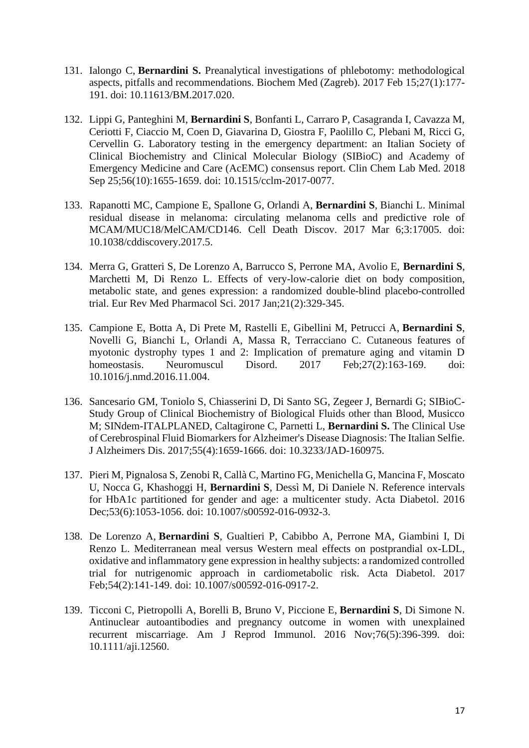- 131. Ialongo C, **Bernardini S.** [Preanalytical investigations of phlebotomy: methodological](https://pubmed.ncbi.nlm.nih.gov/28392739/)  [aspects, pitfalls and recommendations.](https://pubmed.ncbi.nlm.nih.gov/28392739/) Biochem Med (Zagreb). 2017 Feb 15;27(1):177- 191. doi: 10.11613/BM.2017.020.
- 132. Lippi G, Panteghini M, **Bernardini S**, Bonfanti L, Carraro P, Casagranda I, Cavazza M, Ceriotti F, Ciaccio M, Coen D, Giavarina D, Giostra F, Paolillo C, Plebani M, Ricci G, Cervellin G. [Laboratory testing in the emergency department: an Italian Society of](https://pubmed.ncbi.nlm.nih.gov/28361782/)  [Clinical Biochemistry and Clinical Molecular Biology \(SIBioC\) and Academy of](https://pubmed.ncbi.nlm.nih.gov/28361782/)  [Emergency Medicine and Care \(AcEMC\) consensus report.](https://pubmed.ncbi.nlm.nih.gov/28361782/) Clin Chem Lab Med. 2018 Sep 25;56(10):1655-1659. doi: 10.1515/cclm-2017-0077.
- 133. Rapanotti MC, Campione E, Spallone G, Orlandi A, **Bernardini S**, Bianchi L. [Minimal](https://pubmed.ncbi.nlm.nih.gov/28280601/)  [residual disease in melanoma: circulating melanoma cells and predictive role of](https://pubmed.ncbi.nlm.nih.gov/28280601/)  [MCAM/MUC18/MelCAM/CD146.](https://pubmed.ncbi.nlm.nih.gov/28280601/) Cell Death Discov. 2017 Mar 6;3:17005. doi: 10.1038/cddiscovery.2017.5.
- 134. Merra G, Gratteri S, De Lorenzo A, Barrucco S, Perrone MA, Avolio E, **Bernardini S**, Marchetti M, Di Renzo L. Effects of very-low-calorie diet on body composition, metabolic state, and genes expression: a randomized double-blind placebo-controlled trial. Eur Rev Med Pharmacol Sci. 2017 Jan;21(2):329-345.
- 135. Campione E, Botta A, Di Prete M, Rastelli E, Gibellini M, Petrucci A, **Bernardini S**, Novelli G, Bianchi L, Orlandi A, Massa R, Terracciano C. [Cutaneous features of](https://pubmed.ncbi.nlm.nih.gov/28065683/)  [myotonic dystrophy types 1 and 2: Implication of premature aging and vitamin D](https://pubmed.ncbi.nlm.nih.gov/28065683/)  [homeostasis.](https://pubmed.ncbi.nlm.nih.gov/28065683/) Neuromuscul Disord. 2017 Feb; 27(2):163-169. doi: 10.1016/j.nmd.2016.11.004.
- 136. Sancesario GM, Toniolo S, Chiasserini D, Di Santo SG, Zegeer J, Bernardi G; SIBioC-Study Group of Clinical Biochemistry of Biological Fluids other than Blood, Musicco M; SINdem-ITALPLANED, Caltagirone C, Parnetti L, **Bernardini S.** [The Clinical Use](https://pubmed.ncbi.nlm.nih.gov/27911328/)  [of Cerebrospinal Fluid Biomarkers for Alzheimer's Disease Diagnosis: The Italian Selfie.](https://pubmed.ncbi.nlm.nih.gov/27911328/) J Alzheimers Dis. 2017;55(4):1659-1666. doi: 10.3233/JAD-160975.
- 137. Pieri M, Pignalosa S, Zenobi R, Callà C, Martino FG, Menichella G, Mancina F, Moscato U, Nocca G, Khashoggi H, **Bernardini S**, Dessì M, Di Daniele N. Reference intervals for HbA1c partitioned for gender and age: a multicenter study. Acta Diabetol. 2016 Dec;53(6):1053-1056. doi: 10.1007/s00592-016-0932-3.
- 138. De Lorenzo A, **Bernardini S**, Gualtieri P, Cabibbo A, Perrone MA, Giambini I, Di Renzo L. [Mediterranean meal versus Western meal effects on postprandial ox-LDL,](https://pubmed.ncbi.nlm.nih.gov/27709360/)  [oxidative and inflammatory gene expression in healthy subjects: a randomized controlled](https://pubmed.ncbi.nlm.nih.gov/27709360/)  [trial for nutrigenomic approach in cardiometabolic risk.](https://pubmed.ncbi.nlm.nih.gov/27709360/) Acta Diabetol. 2017 Feb;54(2):141-149. doi: 10.1007/s00592-016-0917-2.
- 139. Ticconi C, Pietropolli A, Borelli B, Bruno V, Piccione E, **Bernardini S**, Di Simone N. [Antinuclear autoantibodies and pregnancy outcome in women with unexplained](https://pubmed.ncbi.nlm.nih.gov/27616598/)  [recurrent miscarriage.](https://pubmed.ncbi.nlm.nih.gov/27616598/) Am J Reprod Immunol. 2016 Nov;76(5):396-399. doi: 10.1111/aji.12560.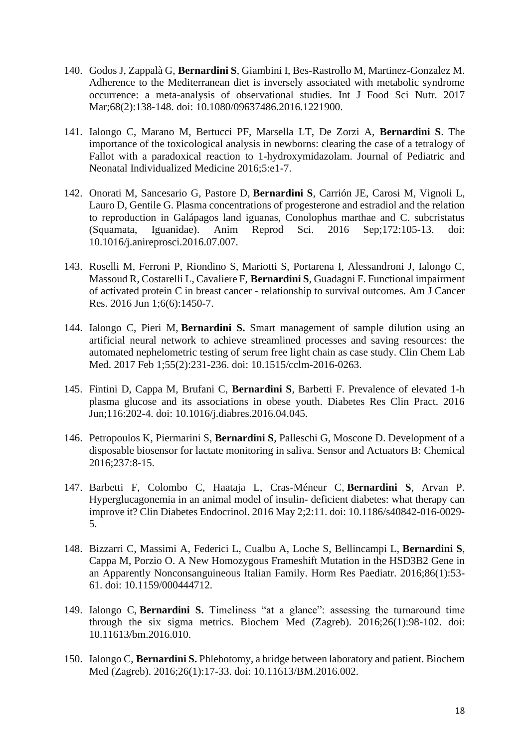- 140. Godos J, Zappalà G, **Bernardini S**, Giambini I, Bes-Rastrollo M, Martinez-Gonzalez M. [Adherence to the Mediterranean diet is inversely associated with metabolic syndrome](https://pubmed.ncbi.nlm.nih.gov/27557591/)  [occurrence: a meta-analysis of observational studies.](https://pubmed.ncbi.nlm.nih.gov/27557591/) Int J Food Sci Nutr. 2017 Mar;68(2):138-148. doi: 10.1080/09637486.2016.1221900.
- 141. Ialongo C, Marano M, Bertucci PF, Marsella LT, De Zorzi A, **Bernardini S**. The importance of the toxicological analysis in newborns: clearing the case of a tetralogy of Fallot with a paradoxical reaction to 1-hydroxymidazolam. Journal of Pediatric and Neonatal Individualized Medicine 2016;5:e1-7.
- 142. Onorati M, Sancesario G, Pastore D, **Bernardini S**, Carrión JE, Carosi M, Vignoli L, Lauro D, Gentile G. [Plasma concentrations of progesterone and estradiol and the relation](https://pubmed.ncbi.nlm.nih.gov/27449407/)  [to reproduction in Galápagos land iguanas, Conolophus marthae and C. subcristatus](https://pubmed.ncbi.nlm.nih.gov/27449407/)  [\(Squamata, Iguanidae\).](https://pubmed.ncbi.nlm.nih.gov/27449407/) Anim Reprod Sci. 2016 Sep;172:105-13. doi: 10.1016/j.anireprosci.2016.07.007.
- 143. Roselli M, Ferroni P, Riondino S, Mariotti S, Portarena I, Alessandroni J, Ialongo C, Massoud R, Costarelli L, Cavaliere F, **Bernardini S**, Guadagni F. [Functional impairment](https://pubmed.ncbi.nlm.nih.gov/27429857/)  [of activated protein C in breast cancer -](https://pubmed.ncbi.nlm.nih.gov/27429857/) relationship to survival outcomes. Am J Cancer Res. 2016 Jun 1;6(6):1450-7.
- 144. Ialongo C, Pieri M, **Bernardini S.** [Smart management of sample dilution using an](https://pubmed.ncbi.nlm.nih.gov/27404901/)  [artificial neural network to achieve streamlined processes and saving resources: the](https://pubmed.ncbi.nlm.nih.gov/27404901/)  [automated nephelometric testing of serum free light chain as case study.](https://pubmed.ncbi.nlm.nih.gov/27404901/) Clin Chem Lab Med. 2017 Feb 1;55(2):231-236. doi: 10.1515/cclm-2016-0263.
- 145. Fintini D, Cappa M, Brufani C, **Bernardini S**, Barbetti F. Prevalence of elevated 1-h plasma glucose and its associations in obese youth. Diabetes Res Clin Pract. 2016 Jun;116:202-4. doi: 10.1016/j.diabres.2016.04.045.
- 146. Petropoulos K, Piermarini S, **Bernardini S**, Palleschi G, Moscone D. Development of a disposable biosensor for lactate monitoring in saliva. Sensor and Actuators B: Chemical 2016;237:8-15.
- 147. Barbetti F, Colombo C, Haataja L, Cras-Méneur C, **Bernardini S**, Arvan P. [Hyperglucagonemia in an animal model of insulin-](https://pubmed.ncbi.nlm.nih.gov/28702245/) deficient diabetes: what therapy can [improve it?](https://pubmed.ncbi.nlm.nih.gov/28702245/) Clin Diabetes Endocrinol. 2016 May 2;2:11. doi: 10.1186/s40842-016-0029- 5.
- 148. Bizzarri C, Massimi A, Federici L, Cualbu A, Loche S, Bellincampi L, **Bernardini S**, Cappa M, Porzio O. [A New Homozygous Frameshift Mutation in the HSD3B2 Gene in](https://pubmed.ncbi.nlm.nih.gov/27082427/)  [an Apparently Nonconsanguineous Italian Family.](https://pubmed.ncbi.nlm.nih.gov/27082427/) Horm Res Paediatr. 2016;86(1):53- 61. doi: 10.1159/000444712.
- 149. Ialongo C, **Bernardini S.** [Timeliness "at a glance": assessing the turnaround time](https://pubmed.ncbi.nlm.nih.gov/27019886/)  [through the six sigma metrics.](https://pubmed.ncbi.nlm.nih.gov/27019886/) Biochem Med (Zagreb). 2016;26(1):98-102. doi: 10.11613/bm.2016.010.
- 150. Ialongo C, **Bernardini S.** [Phlebotomy, a bridge between laboratory and patient.](https://pubmed.ncbi.nlm.nih.gov/26981016/) Biochem Med (Zagreb). 2016;26(1):17-33. doi: 10.11613/BM.2016.002.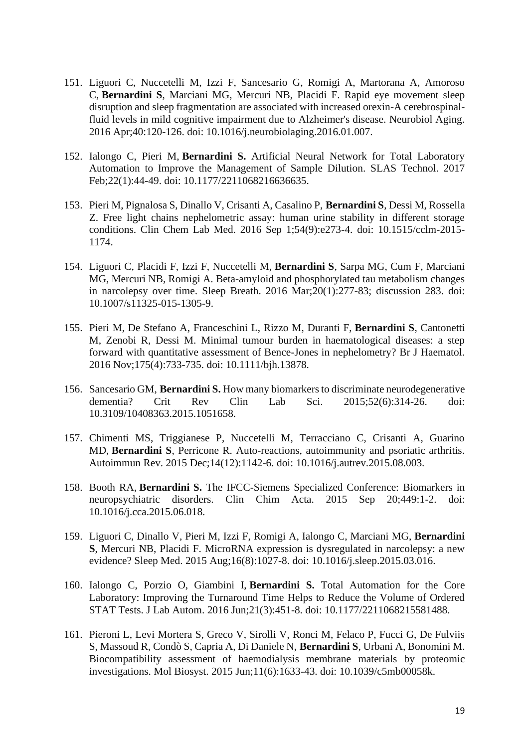- 151. Liguori C, Nuccetelli M, Izzi F, Sancesario G, Romigi A, Martorana A, Amoroso C, **Bernardini S**, Marciani MG, Mercuri NB, Placidi F. [Rapid eye movement sleep](https://pubmed.ncbi.nlm.nih.gov/26973111/)  [disruption and sleep fragmentation are associated with increased orexin-A cerebrospinal](https://pubmed.ncbi.nlm.nih.gov/26973111/)[fluid levels in mild cognitive impairment due to Alzheimer's disease.](https://pubmed.ncbi.nlm.nih.gov/26973111/) Neurobiol Aging. 2016 Apr;40:120-126. doi: 10.1016/j.neurobiolaging.2016.01.007.
- 152. Ialongo C, Pieri M, **Bernardini S.** [Artificial Neural Network for Total Laboratory](https://pubmed.ncbi.nlm.nih.gov/26956577/)  [Automation to Improve the Management of Sample Dilution.](https://pubmed.ncbi.nlm.nih.gov/26956577/) SLAS Technol. 2017 Feb;22(1):44-49. doi: 10.1177/2211068216636635.
- 153. Pieri M, Pignalosa S, Dinallo V, Crisanti A, Casalino P, **Bernardini S**, Dessi M, Rossella Z. [Free light chains nephelometric assay: human urine stability in different storage](https://pubmed.ncbi.nlm.nih.gov/26913458/)  [conditions.](https://pubmed.ncbi.nlm.nih.gov/26913458/) Clin Chem Lab Med. 2016 Sep 1;54(9):e273-4. doi: 10.1515/cclm-2015- 1174.
- 154. Liguori C, Placidi F, Izzi F, Nuccetelli M, **Bernardini S**, Sarpa MG, Cum F, Marciani MG, Mercuri NB, Romigi A. [Beta-amyloid and phosphorylated tau metabolism changes](https://pubmed.ncbi.nlm.nih.gov/26803606/)  [in narcolepsy over time.](https://pubmed.ncbi.nlm.nih.gov/26803606/) Sleep Breath. 2016 Mar;20(1):277-83; discussion 283. doi: 10.1007/s11325-015-1305-9.
- 155. Pieri M, De Stefano A, Franceschini L, Rizzo M, Duranti F, **Bernardini S**, Cantonetti M, Zenobi R, Dessi M. [Minimal tumour burden in haematological diseases: a step](https://pubmed.ncbi.nlm.nih.gov/26685003/)  [forward with quantitative assessment of Bence-Jones in nephelometry?](https://pubmed.ncbi.nlm.nih.gov/26685003/) Br J Haematol. 2016 Nov;175(4):733-735. doi: 10.1111/bjh.13878.
- 156. Sancesario GM, **Bernardini S.** [How many biomarkers to discriminate neurodegenerative](https://pubmed.ncbi.nlm.nih.gov/26292074/)  [dementia?](https://pubmed.ncbi.nlm.nih.gov/26292074/) Crit Rev Clin Lab Sci. 2015;52(6):314-26. doi: 10.3109/10408363.2015.1051658.
- 157. Chimenti MS, Triggianese P, Nuccetelli M, Terracciano C, Crisanti A, Guarino MD, **Bernardini S**, Perricone R. [Auto-reactions, autoimmunity and psoriatic arthritis.](https://pubmed.ncbi.nlm.nih.gov/26254734/) Autoimmun Rev. 2015 Dec;14(12):1142-6. doi: 10.1016/j.autrev.2015.08.003.
- 158. Booth RA, **Bernardini S.** [The IFCC-Siemens Specialized Conference: Biomarkers in](https://pubmed.ncbi.nlm.nih.gov/26118322/)  [neuropsychiatric disorders.](https://pubmed.ncbi.nlm.nih.gov/26118322/) Clin Chim Acta. 2015 Sep 20;449:1-2. doi: 10.1016/j.cca.2015.06.018.
- 159. Liguori C, Dinallo V, Pieri M, Izzi F, Romigi A, Ialongo C, Marciani MG, **Bernardini S**, Mercuri NB, Placidi F. [MicroRNA expression is dysregulated in narcolepsy: a new](https://pubmed.ncbi.nlm.nih.gov/26028057/)  [evidence?](https://pubmed.ncbi.nlm.nih.gov/26028057/) Sleep Med. 2015 Aug;16(8):1027-8. doi: 10.1016/j.sleep.2015.03.016.
- 160. Ialongo C, Porzio O, Giambini I, **Bernardini S.** [Total Automation for the Core](https://pubmed.ncbi.nlm.nih.gov/25882188/)  [Laboratory: Improving the Turnaround Time Helps to Reduce the Volume of Ordered](https://pubmed.ncbi.nlm.nih.gov/25882188/)  [STAT Tests.](https://pubmed.ncbi.nlm.nih.gov/25882188/) J Lab Autom. 2016 Jun;21(3):451-8. doi: 10.1177/2211068215581488.
- 161. Pieroni L, Levi Mortera S, Greco V, Sirolli V, Ronci M, Felaco P, Fucci G, De Fulviis S, Massoud R, Condò S, Capria A, Di Daniele N, **Bernardini S**, Urbani A, Bonomini M. [Biocompatibility assessment of haemodialysis membrane](https://pubmed.ncbi.nlm.nih.gov/25845767/) materials by proteomic [investigations.](https://pubmed.ncbi.nlm.nih.gov/25845767/) Mol Biosyst. 2015 Jun;11(6):1633-43. doi: 10.1039/c5mb00058k.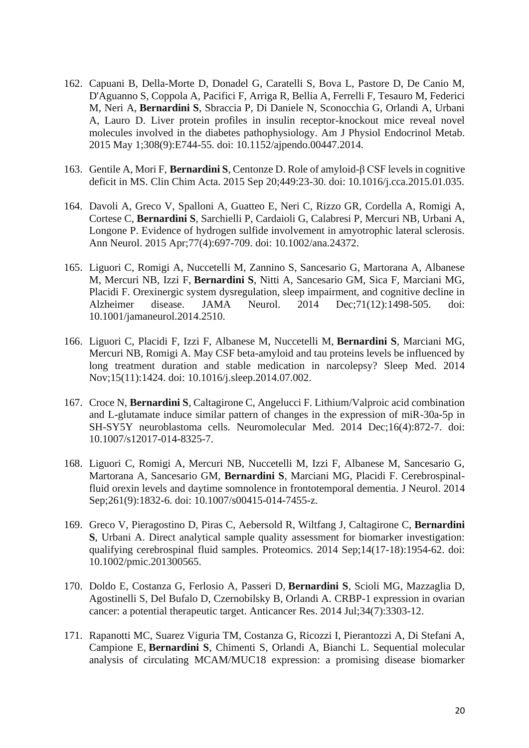- 162. Capuani B, Della-Morte D, Donadel G, Caratelli S, Bova L, Pastore D, De Canio M, D'Aguanno S, Coppola A, Pacifici F, Arriga R, Bellia A, Ferrelli F, Tesauro M, Federici M, Neri A, **Bernardini S**, Sbraccia P, Di Daniele N, Sconocchia G, Orlandi A, Urbani A, Lauro D. [Liver protein profiles in insulin receptor-knockout mice reveal novel](https://pubmed.ncbi.nlm.nih.gov/25714671/)  [molecules involved in the diabetes pathophysiology.](https://pubmed.ncbi.nlm.nih.gov/25714671/) Am J Physiol Endocrinol Metab. 2015 May 1;308(9):E744-55. doi: 10.1152/ajpendo.00447.2014.
- 163. Gentile A, Mori F, **Bernardini S**, Centonze D. [Role of amyloid-β CSF levels in cognitive](https://pubmed.ncbi.nlm.nih.gov/25659291/)  [deficit in MS.](https://pubmed.ncbi.nlm.nih.gov/25659291/) Clin Chim Acta. 2015 Sep 20;449:23-30. doi: 10.1016/j.cca.2015.01.035.
- 164. Davoli A, Greco V, Spalloni A, Guatteo E, Neri C, Rizzo GR, Cordella A, Romigi A, Cortese C, **Bernardini S**, Sarchielli P, Cardaioli G, Calabresi P, Mercuri NB, Urbani A, Longone P. [Evidence of hydrogen sulfide involvement in amyotrophic lateral sclerosis.](https://pubmed.ncbi.nlm.nih.gov/25627240/) Ann Neurol. 2015 Apr;77(4):697-709. doi: 10.1002/ana.24372.
- 165. Liguori C, Romigi A, Nuccetelli M, Zannino S, Sancesario G, Martorana A, Albanese M, Mercuri NB, Izzi F, **Bernardini S**, Nitti A, Sancesario GM, Sica F, Marciani MG, Placidi F. [Orexinergic system dysregulation, sleep impairment, and cognitive decline in](https://pubmed.ncbi.nlm.nih.gov/25322206/)  [Alzheimer disease.](https://pubmed.ncbi.nlm.nih.gov/25322206/) JAMA Neurol. 2014 Dec;71(12):1498-505. doi: 10.1001/jamaneurol.2014.2510.
- 166. Liguori C, Placidi F, Izzi F, Albanese M, Nuccetelli M, **Bernardini S**, Marciani MG, Mercuri NB, Romigi A. [May CSF beta-amyloid and tau proteins levels be influenced by](https://pubmed.ncbi.nlm.nih.gov/25192675/)  [long treatment duration and stable medication in narcolepsy?](https://pubmed.ncbi.nlm.nih.gov/25192675/) Sleep Med. 2014 Nov;15(11):1424. doi: 10.1016/j.sleep.2014.07.002.
- 167. Croce N, **Bernardini S**, Caltagirone C, Angelucci F. [Lithium/Valproic acid combination](https://pubmed.ncbi.nlm.nih.gov/25149854/)  [and L-glutamate induce similar pattern of changes in the expression of miR-30a-5p in](https://pubmed.ncbi.nlm.nih.gov/25149854/)  [SH-SY5Y neuroblastoma cells.](https://pubmed.ncbi.nlm.nih.gov/25149854/) Neuromolecular Med. 2014 Dec;16(4):872-7. doi: 10.1007/s12017-014-8325-7.
- 168. Liguori C, Romigi A, Mercuri NB, Nuccetelli M, Izzi F, Albanese M, Sancesario G, Martorana A, Sancesario GM, **Bernardini S**, Marciani MG, Placidi F. Cerebrospinalfluid orexin levels and daytime somnolence in frontotemporal dementia. J Neurol. 2014 Sep;261(9):1832-6. doi: 10.1007/s00415-014-7455-z.
- 169. Greco V, Pieragostino D, Piras C, Aebersold R, Wiltfang J, Caltagirone C, **Bernardini S**, Urbani A. [Direct analytical sample quality assessment for biomarker investigation:](https://pubmed.ncbi.nlm.nih.gov/25044759/)  [qualifying cerebrospinal fluid samples.](https://pubmed.ncbi.nlm.nih.gov/25044759/) Proteomics. 2014 Sep;14(17-18):1954-62. doi: 10.1002/pmic.201300565.
- 170. Doldo E, Costanza G, Ferlosio A, Passeri D, **Bernardini S**, Scioli MG, Mazzaglia D, Agostinelli S, Del Bufalo D, Czernobilsky B, Orlandi A. [CRBP-1 expression in ovarian](https://pubmed.ncbi.nlm.nih.gov/24982334/)  [cancer: a potential therapeutic target.](https://pubmed.ncbi.nlm.nih.gov/24982334/) Anticancer Res. 2014 Jul;34(7):3303-12.
- 171. Rapanotti MC, Suarez Viguria TM, Costanza G, Ricozzi I, Pierantozzi A, Di Stefani A, Campione E, **Bernardini S**, Chimenti S, Orlandi A, Bianchi L. [Sequential molecular](https://pubmed.ncbi.nlm.nih.gov/24902661/)  [analysis of circulating MCAM/MUC18 expression: a promising disease biomarker](https://pubmed.ncbi.nlm.nih.gov/24902661/)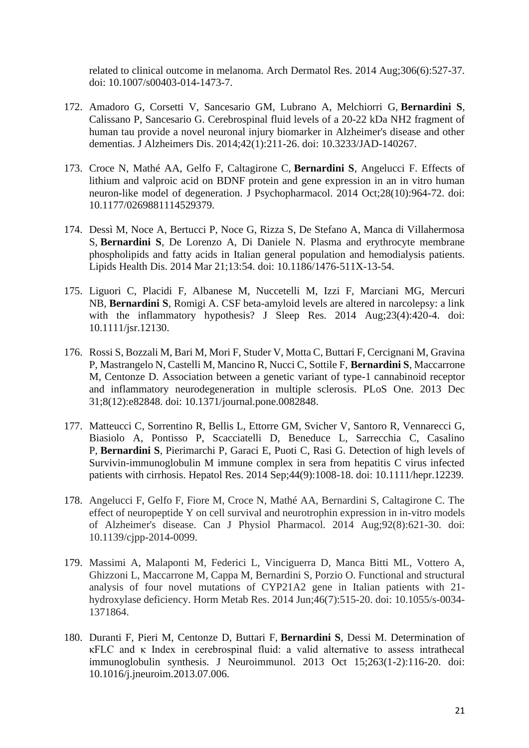[related to clinical outcome in melanoma.](https://pubmed.ncbi.nlm.nih.gov/24902661/) Arch Dermatol Res. 2014 Aug;306(6):527-37. doi: 10.1007/s00403-014-1473-7.

- 172. Amadoro G, Corsetti V, Sancesario GM, Lubrano A, Melchiorri G, **Bernardini S**, Calissano P, Sancesario G. [Cerebrospinal fluid levels of a 20-22 kDa NH2 fragment of](https://pubmed.ncbi.nlm.nih.gov/24851856/)  [human tau provide a novel neuronal injury biomarker in Alzheimer's disease and other](https://pubmed.ncbi.nlm.nih.gov/24851856/)  [dementias.](https://pubmed.ncbi.nlm.nih.gov/24851856/) J Alzheimers Dis. 2014;42(1):211-26. doi: 10.3233/JAD-140267.
- 173. Croce N, Mathé AA, Gelfo F, Caltagirone C, **Bernardini S**, Angelucci F. [Effects of](https://pubmed.ncbi.nlm.nih.gov/24699060/)  [lithium and valproic acid on BDNF protein and gene expression in an in vitro human](https://pubmed.ncbi.nlm.nih.gov/24699060/)  [neuron-like model of degeneration.](https://pubmed.ncbi.nlm.nih.gov/24699060/) J Psychopharmacol. 2014 Oct;28(10):964-72. doi: 10.1177/0269881114529379.
- 174. Dessì M, Noce A, Bertucci P, Noce G, Rizza S, De Stefano A, Manca di Villahermosa S, **Bernardini S**, De Lorenzo A, Di Daniele N. [Plasma and erythrocyte membrane](https://pubmed.ncbi.nlm.nih.gov/24655786/)  [phospholipids and fatty acids in Italian general population and hemodialysis patients.](https://pubmed.ncbi.nlm.nih.gov/24655786/) Lipids Health Dis. 2014 Mar 21;13:54. doi: 10.1186/1476-511X-13-54.
- 175. Liguori C, Placidi F, Albanese M, Nuccetelli M, Izzi F, Marciani MG, Mercuri NB, **Bernardini S**, Romigi A. [CSF beta-amyloid levels are altered in narcolepsy: a link](https://pubmed.ncbi.nlm.nih.gov/24635662/)  [with the inflammatory hypothesis?](https://pubmed.ncbi.nlm.nih.gov/24635662/) J Sleep Res. 2014 Aug; 23(4): 420-4. doi: 10.1111/jsr.12130.
- 176. Rossi S, Bozzali M, Bari M, Mori F, Studer V, Motta C, Buttari F, Cercignani M, Gravina P, Mastrangelo N, Castelli M, Mancino R, Nucci C, Sottile F, **Bernardini S**, Maccarrone M, Centonze D. [Association between a genetic variant of type-1 cannabinoid receptor](https://pubmed.ncbi.nlm.nih.gov/24391723/)  [and inflammatory neurodegeneration in multiple sclerosis.](https://pubmed.ncbi.nlm.nih.gov/24391723/) PLoS One. 2013 Dec 31;8(12):e82848. doi: 10.1371/journal.pone.0082848.
- 177. Matteucci C, Sorrentino R, Bellis L, Ettorre GM, Svicher V, Santoro R, Vennarecci G, Biasiolo A, Pontisso P, Scacciatelli D, Beneduce L, Sarrecchia C, Casalino P, **Bernardini S**, Pierimarchi P, Garaci E, Puoti C, Rasi G. [Detection of high levels of](https://pubmed.ncbi.nlm.nih.gov/24102797/)  [Survivin-immunoglobulin M immune complex in sera from hepatitis C virus infected](https://pubmed.ncbi.nlm.nih.gov/24102797/)  [patients with cirrhosis.](https://pubmed.ncbi.nlm.nih.gov/24102797/) Hepatol Res. 2014 Sep;44(9):1008-18. doi: 10.1111/hepr.12239.
- 178. Angelucci F, Gelfo F, Fiore M, Croce N, Mathé AA, Bernardini S, Caltagirone C. The effect of neuropeptide Y on cell survival and neurotrophin expression in in-vitro models of Alzheimer's disease. Can J Physiol Pharmacol. 2014 Aug;92(8):621-30. doi: 10.1139/cjpp-2014-0099.
- 179. Massimi A, Malaponti M, Federici L, Vinciguerra D, Manca Bitti ML, Vottero A, Ghizzoni L, Maccarrone M, Cappa M, Bernardini S, Porzio O. Functional and structural analysis of four novel mutations of CYP21A2 gene in Italian patients with 21 hydroxylase deficiency. Horm Metab Res. 2014 Jun;46(7):515-20. doi: 10.1055/s-0034- 1371864.
- 180. Duranti F, Pieri M, Centonze D, Buttari F, **Bernardini S**, Dessi M. [Determination of](https://pubmed.ncbi.nlm.nih.gov/23916392/)  [κFLC and κ Index in cerebrospinal fluid: a valid alternative to assess intrathecal](https://pubmed.ncbi.nlm.nih.gov/23916392/)  [immunoglobulin synthesis.](https://pubmed.ncbi.nlm.nih.gov/23916392/) J Neuroimmunol. 2013 Oct 15;263(1-2):116-20. doi: 10.1016/j.jneuroim.2013.07.006.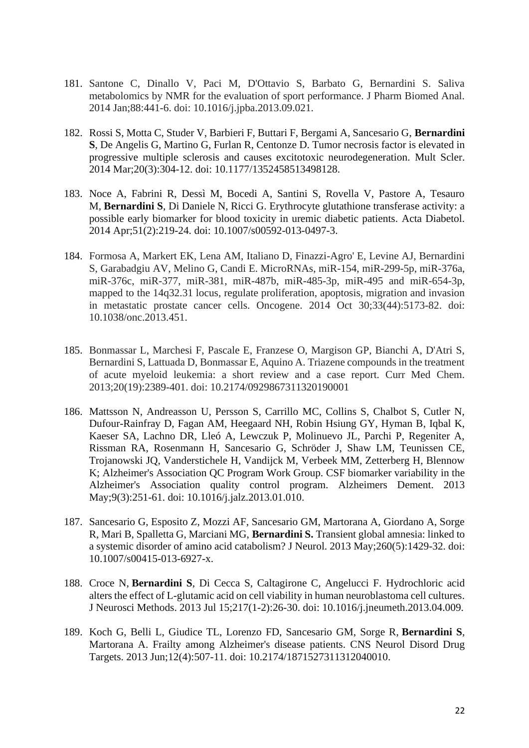- 181. Santone C, Dinallo V, Paci M, D'Ottavio S, Barbato G, Bernardini S. Saliva metabolomics by NMR for the evaluation of sport performance. J Pharm Biomed Anal. 2014 Jan;88:441-6. doi: 10.1016/j.jpba.2013.09.021.
- 182. Rossi S, Motta C, Studer V, Barbieri F, Buttari F, Bergami A, Sancesario G, **Bernardini S**, De Angelis G, Martino G, Furlan R, Centonze D. [Tumor necrosis factor is elevated in](https://pubmed.ncbi.nlm.nih.gov/23886826/)  [progressive multiple sclerosis and causes excitotoxic neurodegeneration.](https://pubmed.ncbi.nlm.nih.gov/23886826/) Mult Scler. 2014 Mar;20(3):304-12. doi: 10.1177/1352458513498128.
- 183. Noce A, Fabrini R, Dessì M, Bocedi A, Santini S, Rovella V, Pastore A, Tesauro M, **Bernardini S**, Di Daniele N, Ricci G. [Erythrocyte glutathione transferase activity: a](https://pubmed.ncbi.nlm.nih.gov/23818012/)  [possible early biomarker for blood toxicity in uremic diabetic patients.](https://pubmed.ncbi.nlm.nih.gov/23818012/) Acta Diabetol. 2014 Apr;51(2):219-24. doi: 10.1007/s00592-013-0497-3.
- 184. Formosa A, Markert EK, Lena AM, Italiano D, Finazzi-Agro' E, Levine AJ, Bernardini S, Garabadgiu AV, Melino G, Candi E. MicroRNAs, miR-154, miR-299-5p, miR-376a, miR-376c, miR-377, miR-381, miR-487b, miR-485-3p, miR-495 and miR-654-3p, mapped to the 14q32.31 locus, regulate proliferation, apoptosis, migration and invasion in metastatic prostate cancer cells. Oncogene. 2014 Oct 30;33(44):5173-82. doi: 10.1038/onc.2013.451.
- 185. Bonmassar L, Marchesi F, Pascale E, Franzese O, Margison GP, Bianchi A, D'Atri S, Bernardini S, Lattuada D, Bonmassar E, Aquino A. Triazene compounds in the treatment of acute myeloid leukemia: a short review and a case report. Curr Med Chem. 2013;20(19):2389-401. doi: 10.2174/0929867311320190001
- 186. Mattsson N, Andreasson U, Persson S, Carrillo MC, Collins S, Chalbot S, Cutler N, Dufour-Rainfray D, Fagan AM, Heegaard NH, Robin Hsiung GY, Hyman B, Iqbal K, Kaeser SA, Lachno DR, Lleó A, Lewczuk P, Molinuevo JL, Parchi P, Regeniter A, Rissman RA, Rosenmann H, Sancesario G, Schröder J, Shaw LM, Teunissen CE, Trojanowski JQ, Vanderstichele H, Vandijck M, Verbeek MM, Zetterberg H, Blennow K; Alzheimer's Association QC Program Work Group. [CSF biomarker variability in the](https://pubmed.ncbi.nlm.nih.gov/23622690/)  [Alzheimer's Association quality control program.](https://pubmed.ncbi.nlm.nih.gov/23622690/) Alzheimers Dement. 2013 May;9(3):251-61. doi: 10.1016/j.jalz.2013.01.010.
- 187. Sancesario G, Esposito Z, Mozzi AF, Sancesario GM, Martorana A, Giordano A, Sorge R, Mari B, Spalletta G, Marciani MG, **Bernardini S.** [Transient global amnesia: linked to](https://pubmed.ncbi.nlm.nih.gov/23615704/)  [a systemic disorder of amino acid](https://pubmed.ncbi.nlm.nih.gov/23615704/) catabolism? J Neurol. 2013 May;260(5):1429-32. doi: 10.1007/s00415-013-6927-x.
- 188. Croce N, **Bernardini S**, Di Cecca S, Caltagirone C, Angelucci F. [Hydrochloric acid](https://pubmed.ncbi.nlm.nih.gov/23612442/)  [alters the effect of L-glutamic acid on cell viability in human neuroblastoma cell cultures.](https://pubmed.ncbi.nlm.nih.gov/23612442/) J Neurosci Methods. 2013 Jul 15;217(1-2):26-30. doi: 10.1016/j.jneumeth.2013.04.009.
- 189. Koch G, Belli L, Giudice TL, Lorenzo FD, Sancesario GM, Sorge R, **Bernardini S**, Martorana A. [Frailty among Alzheimer's disease patients.](https://pubmed.ncbi.nlm.nih.gov/23574166/) CNS Neurol Disord Drug Targets. 2013 Jun;12(4):507-11. doi: 10.2174/1871527311312040010.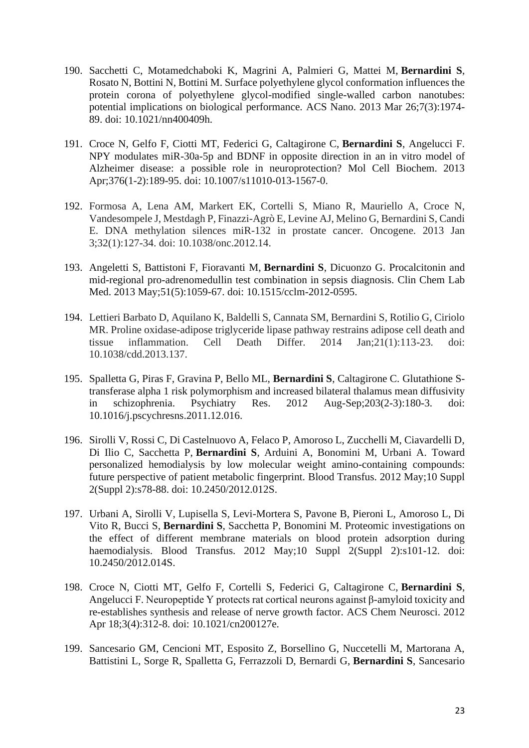- 190. Sacchetti C, Motamedchaboki K, Magrini A, Palmieri G, Mattei M, **Bernardini S**, Rosato N, Bottini N, Bottini M. [Surface polyethylene glycol conformation influences the](https://pubmed.ncbi.nlm.nih.gov/23413928/)  [protein corona of polyethylene glycol-modified single-walled carbon nanotubes:](https://pubmed.ncbi.nlm.nih.gov/23413928/)  [potential implications on biological performance.](https://pubmed.ncbi.nlm.nih.gov/23413928/) ACS Nano. 2013 Mar 26;7(3):1974- 89. doi: 10.1021/nn400409h.
- 191. Croce N, Gelfo F, Ciotti MT, Federici G, Caltagirone C, **Bernardini S**, Angelucci F. [NPY modulates miR-30a-5p and BDNF in opposite direction in an in vitro model of](https://pubmed.ncbi.nlm.nih.gov/23358924/)  [Alzheimer disease: a possible role in neuroprotection?](https://pubmed.ncbi.nlm.nih.gov/23358924/) Mol Cell Biochem. 2013 Apr;376(1-2):189-95. doi: 10.1007/s11010-013-1567-0.
- 192. Formosa A, Lena AM, Markert EK, Cortelli S, Miano R, Mauriello A, Croce N, Vandesompele J, Mestdagh P, Finazzi-Agrò E, Levine AJ, Melino G, Bernardini S, Candi E. DNA methylation silences miR-132 in prostate cancer. Oncogene. 2013 Jan 3;32(1):127-34. doi: 10.1038/onc.2012.14.
- 193. Angeletti S, Battistoni F, Fioravanti M, **Bernardini S**, Dicuonzo G. [Procalcitonin and](https://pubmed.ncbi.nlm.nih.gov/23072859/)  [mid-regional pro-adrenomedullin test combination in sepsis diagnosis.](https://pubmed.ncbi.nlm.nih.gov/23072859/) Clin Chem Lab Med. 2013 May;51(5):1059-67. doi: 10.1515/cclm-2012-0595.
- 194. Lettieri Barbato D, Aquilano K, Baldelli S, Cannata SM, Bernardini S, Rotilio G, Ciriolo MR. Proline oxidase-adipose triglyceride lipase pathway restrains adipose cell death and tissue inflammation. Cell Death Differ. 2014 Jan;21(1):113-23. doi: 10.1038/cdd.2013.137.
- 195. Spalletta G, Piras F, Gravina P, Bello ML, **Bernardini S**, Caltagirone C. [Glutathione S](https://pubmed.ncbi.nlm.nih.gov/22959778/)[transferase alpha 1 risk polymorphism and increased bilateral thalamus mean diffusivity](https://pubmed.ncbi.nlm.nih.gov/22959778/)  [in schizophrenia.](https://pubmed.ncbi.nlm.nih.gov/22959778/) Psychiatry Res. 2012 Aug-Sep;203(2-3):180-3. doi: 10.1016/j.pscychresns.2011.12.016.
- 196. Sirolli V, Rossi C, Di Castelnuovo A, Felaco P, Amoroso L, Zucchelli M, Ciavardelli D, Di Ilio C, Sacchetta P, **Bernardini S**, Arduini A, Bonomini M, Urbani A. [Toward](https://pubmed.ncbi.nlm.nih.gov/22890273/)  [personalized hemodialysis by low molecular weight amino-containing compounds:](https://pubmed.ncbi.nlm.nih.gov/22890273/)  [future perspective of patient metabolic fingerprint.](https://pubmed.ncbi.nlm.nih.gov/22890273/) Blood Transfus. 2012 May;10 Suppl 2(Suppl 2):s78-88. doi: 10.2450/2012.012S.
- 197. Urbani A, Sirolli V, Lupisella S, Levi-Mortera S, Pavone B, Pieroni L, Amoroso L, Di Vito R, Bucci S, **Bernardini S**, Sacchetta P, Bonomini M. [Proteomic investigations on](https://pubmed.ncbi.nlm.nih.gov/22890260/)  the effect of [different membrane materials on blood protein adsorption during](https://pubmed.ncbi.nlm.nih.gov/22890260/)  [haemodialysis.](https://pubmed.ncbi.nlm.nih.gov/22890260/) Blood Transfus. 2012 May;10 Suppl 2(Suppl 2):s101-12. doi: 10.2450/2012.014S.
- 198. Croce N, Ciotti MT, Gelfo F, Cortelli S, Federici G, Caltagirone C, **Bernardini S**, Angelucci F. [Neuropeptide Y protects rat cortical neurons against β-amyloid toxicity and](https://pubmed.ncbi.nlm.nih.gov/22860197/)  [re-establishes synthesis and release of nerve growth factor.](https://pubmed.ncbi.nlm.nih.gov/22860197/) ACS Chem Neurosci. 2012 Apr 18;3(4):312-8. doi: 10.1021/cn200127e.
- 199. Sancesario GM, Cencioni MT, Esposito Z, Borsellino G, Nuccetelli M, Martorana A, Battistini L, Sorge R, Spalletta G, Ferrazzoli D, Bernardi G, **Bernardini S**, Sancesario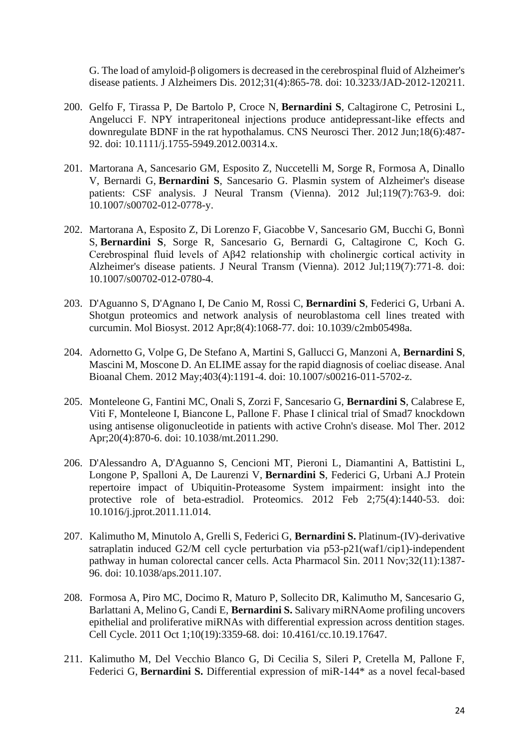G. The load of amyloid-β [oligomers is decreased in the cerebrospinal fluid of Alzheimer's](https://pubmed.ncbi.nlm.nih.gov/22717612/)  [disease patients.](https://pubmed.ncbi.nlm.nih.gov/22717612/) J Alzheimers Dis. 2012;31(4):865-78. doi: 10.3233/JAD-2012-120211.

- 200. Gelfo F, Tirassa P, De Bartolo P, Croce N, **Bernardini S**, Caltagirone C, Petrosini L, Angelucci F. [NPY intraperitoneal injections produce antidepressant-like effects and](https://pubmed.ncbi.nlm.nih.gov/22672302/)  [downregulate BDNF in the rat hypothalamus.](https://pubmed.ncbi.nlm.nih.gov/22672302/) CNS Neurosci Ther. 2012 Jun;18(6):487- 92. doi: 10.1111/j.1755-5949.2012.00314.x.
- 201. Martorana A, Sancesario GM, Esposito Z, Nuccetelli M, Sorge R, Formosa A, Dinallo V, Bernardi G, **Bernardini S**, Sancesario G. [Plasmin system of Alzheimer's disease](https://pubmed.ncbi.nlm.nih.gov/22415062/)  [patients: CSF analysis.](https://pubmed.ncbi.nlm.nih.gov/22415062/) J Neural Transm (Vienna). 2012 Jul;119(7):763-9. doi: 10.1007/s00702-012-0778-y.
- 202. Martorana A, Esposito Z, Di Lorenzo F, Giacobbe V, Sancesario GM, Bucchi G, Bonnì S, **Bernardini S**, Sorge R, Sancesario G, Bernardi G, Caltagirone C, Koch G. [Cerebrospinal fluid levels of Aβ42 relationship with cholinergic cortical activity in](https://pubmed.ncbi.nlm.nih.gov/22402892/)  [Alzheimer's disease patients.](https://pubmed.ncbi.nlm.nih.gov/22402892/) J Neural Transm (Vienna). 2012 Jul;119(7):771-8. doi: 10.1007/s00702-012-0780-4.
- 203. D'Aguanno S, D'Agnano I, De Canio M, Rossi C, **Bernardini S**, Federici G, Urbani A. [Shotgun proteomics and network analysis of neuroblastoma cell lines treated with](https://pubmed.ncbi.nlm.nih.gov/22315092/)  [curcumin.](https://pubmed.ncbi.nlm.nih.gov/22315092/) Mol Biosyst. 2012 Apr;8(4):1068-77. doi: 10.1039/c2mb05498a.
- 204. Adornetto G, Volpe G, De Stefano A, Martini S, Gallucci G, Manzoni A, **Bernardini S**, Mascini M, Moscone D. [An ELIME assay for the rapid diagnosis of coeliac disease.](https://pubmed.ncbi.nlm.nih.gov/22258206/) Anal Bioanal Chem. 2012 May;403(4):1191-4. doi: 10.1007/s00216-011-5702-z.
- 205. Monteleone G, Fantini MC, Onali S, Zorzi F, Sancesario G, **Bernardini S**, Calabrese E, Viti F, Monteleone I, Biancone L, Pallone F. [Phase I clinical trial of Smad7 knockdown](https://pubmed.ncbi.nlm.nih.gov/22252452/)  [using antisense oligonucleotide in patients with active Crohn's disease.](https://pubmed.ncbi.nlm.nih.gov/22252452/) Mol Ther. 2012 Apr;20(4):870-6. doi: 10.1038/mt.2011.290.
- 206. D'Alessandro A, D'Aguanno S, Cencioni MT, Pieroni L, Diamantini A, Battistini L, Longone P, Spalloni A, De Laurenzi V, **Bernardini S**, Federici G, Urbani A.J [Protein](https://pubmed.ncbi.nlm.nih.gov/22146475/)  [repertoire impact of Ubiquitin-Proteasome System impairment: insight into the](https://pubmed.ncbi.nlm.nih.gov/22146475/)  [protective role of beta-estradiol.](https://pubmed.ncbi.nlm.nih.gov/22146475/) Proteomics. 2012 Feb 2;75(4):1440-53. doi: 10.1016/j.jprot.2011.11.014.
- 207. Kalimutho M, Minutolo A, Grelli S, Federici G, **Bernardini S.** [Platinum-\(IV\)-derivative](https://pubmed.ncbi.nlm.nih.gov/21927014/)  [satraplatin induced G2/M cell cycle perturbation via p53-p21\(waf1/cip1\)-independent](https://pubmed.ncbi.nlm.nih.gov/21927014/)  [pathway in human colorectal cancer cells.](https://pubmed.ncbi.nlm.nih.gov/21927014/) Acta Pharmacol Sin. 2011 Nov;32(11):1387- 96. doi: 10.1038/aps.2011.107.
- 208. Formosa A, Piro MC, Docimo R, Maturo P, Sollecito DR, Kalimutho M, Sancesario G, Barlattani A, Melino G, Candi E, **Bernardini S.** [Salivary miRNAome profiling uncovers](https://pubmed.ncbi.nlm.nih.gov/21926479/)  [epithelial and proliferative miRNAs with differential expression across dentition stages.](https://pubmed.ncbi.nlm.nih.gov/21926479/) Cell Cycle. 2011 Oct 1;10(19):3359-68. doi: 10.4161/cc.10.19.17647.
- 211. Kalimutho M, Del Vecchio Blanco G, Di Cecilia S, Sileri P, Cretella M, Pallone F, Federici G, **Bernardini S.** [Differential expression of miR-144\\* as a novel fecal-based](https://pubmed.ncbi.nlm.nih.gov/21863218/)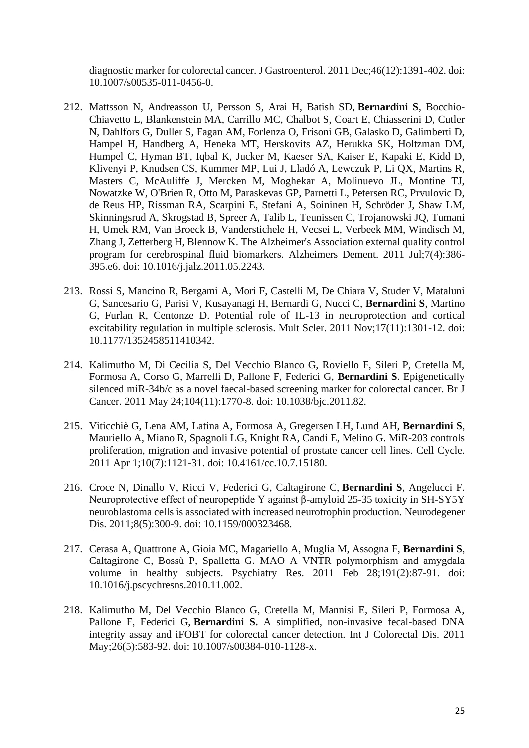[diagnostic marker for colorectal cancer.](https://pubmed.ncbi.nlm.nih.gov/21863218/) J Gastroenterol. 2011 Dec;46(12):1391-402. doi: 10.1007/s00535-011-0456-0.

- 212. Mattsson N, Andreasson U, Persson S, Arai H, Batish SD, **Bernardini S**, Bocchio-Chiavetto L, Blankenstein MA, Carrillo MC, Chalbot S, Coart E, Chiasserini D, Cutler N, Dahlfors G, Duller S, Fagan AM, Forlenza O, Frisoni GB, Galasko D, Galimberti D, Hampel H, Handberg A, Heneka MT, Herskovits AZ, Herukka SK, Holtzman DM, Humpel C, Hyman BT, Iqbal K, Jucker M, Kaeser SA, Kaiser E, Kapaki E, Kidd D, Klivenyi P, Knudsen CS, Kummer MP, Lui J, Lladó A, Lewczuk P, Li QX, Martins R, Masters C, McAuliffe J, Mercken M, Moghekar A, Molinuevo JL, Montine TJ, Nowatzke W, O'Brien R, Otto M, Paraskevas GP, Parnetti L, Petersen RC, Prvulovic D, de Reus HP, Rissman RA, Scarpini E, Stefani A, Soininen H, Schröder J, Shaw LM, Skinningsrud A, Skrogstad B, Spreer A, Talib L, Teunissen C, Trojanowski JQ, Tumani H, Umek RM, Van Broeck B, Vanderstichele H, Vecsei L, Verbeek MM, Windisch M, Zhang J, Zetterberg H, Blennow K. [The Alzheimer's Association external quality control](https://pubmed.ncbi.nlm.nih.gov/21784349/)  [program for cerebrospinal fluid biomarkers.](https://pubmed.ncbi.nlm.nih.gov/21784349/) Alzheimers Dement. 2011 Jul;7(4):386- 395.e6. doi: 10.1016/j.jalz.2011.05.2243.
- 213. Rossi S, Mancino R, Bergami A, Mori F, Castelli M, De Chiara V, Studer V, Mataluni G, Sancesario G, Parisi V, Kusayanagi H, Bernardi G, Nucci C, **Bernardini S**, Martino G, Furlan R, Centonze D. Potential role of IL-13 in neuroprotection and cortical excitability regulation in multiple sclerosis. Mult Scler. 2011 Nov;17(11):1301-12. doi: 10.1177/1352458511410342.
- 214. Kalimutho M, Di Cecilia S, Del Vecchio Blanco G, Roviello F, Sileri P, Cretella M, Formosa A, Corso G, Marrelli D, Pallone F, Federici G, **Bernardini S**. Epigenetically silenced miR-34b/c as a novel faecal-based screening marker for colorectal cancer. Br J Cancer. 2011 May 24;104(11):1770-8. doi: 10.1038/bjc.2011.82.
- 215. Viticchiè G, Lena AM, Latina A, Formosa A, Gregersen LH, Lund AH, **Bernardini S**, Mauriello A, Miano R, Spagnoli LG, Knight RA, Candi E, Melino G. [MiR-203 controls](https://pubmed.ncbi.nlm.nih.gov/21368580/)  [proliferation, migration and invasive potential of prostate cancer cell lines.](https://pubmed.ncbi.nlm.nih.gov/21368580/) Cell Cycle. 2011 Apr 1;10(7):1121-31. doi: 10.4161/cc.10.7.15180.
- 216. Croce N, Dinallo V, Ricci V, Federici G, Caltagirone C, **Bernardini S**, Angelucci F. [Neuroprotective effect of neuropeptide Y against β-amyloid 25-35 toxicity in SH-SY5Y](https://pubmed.ncbi.nlm.nih.gov/21346312/)  [neuroblastoma cells is associated with increased neurotrophin production.](https://pubmed.ncbi.nlm.nih.gov/21346312/) Neurodegener Dis. 2011;8(5):300-9. doi: 10.1159/000323468.
- 217. Cerasa A, Quattrone A, Gioia MC, Magariello A, Muglia M, Assogna F, **Bernardini S**, Caltagirone C, Bossù P, Spalletta G. [MAO A VNTR polymorphism and amygdala](https://pubmed.ncbi.nlm.nih.gov/21236646/)  [volume in healthy subjects.](https://pubmed.ncbi.nlm.nih.gov/21236646/) Psychiatry Res. 2011 Feb 28;191(2):87-91. doi: 10.1016/j.pscychresns.2010.11.002.
- 218. Kalimutho M, Del Vecchio Blanco G, Cretella M, Mannisi E, Sileri P, Formosa A, Pallone F, Federici G, **Bernardini S.** [A simplified, non-invasive fecal-based DNA](https://pubmed.ncbi.nlm.nih.gov/21225430/)  [integrity assay and iFOBT for colorectal cancer detection.](https://pubmed.ncbi.nlm.nih.gov/21225430/) Int J Colorectal Dis. 2011 May;26(5):583-92. doi: 10.1007/s00384-010-1128-x.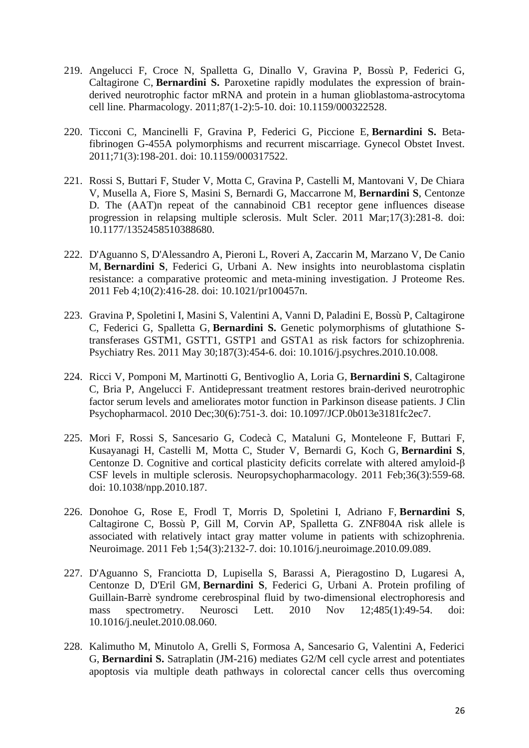- 219. Angelucci F, Croce N, Spalletta G, Dinallo V, Gravina P, Bossù P, Federici G, Caltagirone C, **Bernardini S.** [Paroxetine rapidly modulates the expression of brain](https://pubmed.ncbi.nlm.nih.gov/21178384/)[derived neurotrophic factor mRNA and protein in a human glioblastoma-astrocytoma](https://pubmed.ncbi.nlm.nih.gov/21178384/)  [cell line.](https://pubmed.ncbi.nlm.nih.gov/21178384/) Pharmacology. 2011;87(1-2):5-10. doi: 10.1159/000322528.
- 220. Ticconi C, Mancinelli F, Gravina P, Federici G, Piccione E, **Bernardini S.** [Beta](https://pubmed.ncbi.nlm.nih.gov/21160146/)[fibrinogen G-455A polymorphisms and recurrent miscarriage.](https://pubmed.ncbi.nlm.nih.gov/21160146/) Gynecol Obstet Invest. 2011;71(3):198-201. doi: 10.1159/000317522.
- 221. Rossi S, Buttari F, Studer V, Motta C, Gravina P, Castelli M, Mantovani V, De Chiara V, Musella A, Fiore S, Masini S, Bernardi G, Maccarrone M, **Bernardini S**, Centonze D. [The \(AAT\)n repeat of the cannabinoid CB1 receptor gene influences disease](https://pubmed.ncbi.nlm.nih.gov/21148019/)  [progression in relapsing multiple sclerosis.](https://pubmed.ncbi.nlm.nih.gov/21148019/) Mult Scler. 2011 Mar;17(3):281-8. doi: 10.1177/1352458510388680.
- 222. D'Aguanno S, D'Alessandro A, Pieroni L, Roveri A, Zaccarin M, Marzano V, De Canio M, **Bernardini S**, Federici G, Urbani A. [New insights into neuroblastoma cisplatin](https://pubmed.ncbi.nlm.nih.gov/21128686/)  [resistance: a comparative proteomic and meta-mining investigation.](https://pubmed.ncbi.nlm.nih.gov/21128686/) J Proteome Res. 2011 Feb 4;10(2):416-28. doi: 10.1021/pr100457n.
- 223. Gravina P, Spoletini I, Masini S, Valentini A, Vanni D, Paladini E, Bossù P, Caltagirone C, Federici G, Spalletta G, **Bernardini S.** [Genetic polymorphisms of glutathione S](https://pubmed.ncbi.nlm.nih.gov/21093063/)[transferases GSTM1, GSTT1, GSTP1 and GSTA1 as risk factors for schizophrenia.](https://pubmed.ncbi.nlm.nih.gov/21093063/) Psychiatry Res. 2011 May 30;187(3):454-6. doi: 10.1016/j.psychres.2010.10.008.
- 224. Ricci V, Pomponi M, Martinotti G, Bentivoglio A, Loria G, **Bernardini S**, Caltagirone C, Bria P, Angelucci F. [Antidepressant treatment restores brain-derived neurotrophic](https://pubmed.ncbi.nlm.nih.gov/21057246/)  [factor serum levels and ameliorates motor function in Parkinson disease patients.](https://pubmed.ncbi.nlm.nih.gov/21057246/) J Clin Psychopharmacol. 2010 Dec;30(6):751-3. doi: 10.1097/JCP.0b013e3181fc2ec7.
- 225. Mori F, Rossi S, Sancesario G, Codecà C, Mataluni G, Monteleone F, Buttari F, Kusayanagi H, Castelli M, Motta C, Studer V, Bernardi G, Koch G, **Bernardini S**, Centonze D. [Cognitive and cortical plasticity deficits correlate with altered amyloid-β](https://pubmed.ncbi.nlm.nih.gov/20944553/)  [CSF levels in multiple sclerosis.](https://pubmed.ncbi.nlm.nih.gov/20944553/) Neuropsychopharmacology. 2011 Feb;36(3):559-68. doi: 10.1038/npp.2010.187.
- 226. Donohoe G, Rose E, Frodl T, Morris D, Spoletini I, Adriano F, **Bernardini S**, Caltagirone C, Bossù P, Gill M, Corvin AP, Spalletta G. [ZNF804A risk allele is](https://pubmed.ncbi.nlm.nih.gov/20934520/)  [associated with relatively intact gray matter volume in patients with schizophrenia.](https://pubmed.ncbi.nlm.nih.gov/20934520/) Neuroimage. 2011 Feb 1;54(3):2132-7. doi: 10.1016/j.neuroimage.2010.09.089.
- 227. D'Aguanno S, Franciotta D, Lupisella S, Barassi A, Pieragostino D, Lugaresi A, Centonze D, D'Eril GM, **Bernardini S**, Federici G, Urbani A. [Protein profiling of](https://pubmed.ncbi.nlm.nih.gov/20801190/)  [Guillain-Barrè syndrome cerebrospinal fluid by two-dimensional electrophoresis and](https://pubmed.ncbi.nlm.nih.gov/20801190/)  [mass spectrometry.](https://pubmed.ncbi.nlm.nih.gov/20801190/) Neurosci Lett. 2010 Nov 12;485(1):49-54. doi: 10.1016/j.neulet.2010.08.060.
- 228. Kalimutho M, Minutolo A, Grelli S, Formosa A, Sancesario G, Valentini A, Federici G, **Bernardini S.** [Satraplatin \(JM-216\) mediates G2/M cell cycle arrest and potentiates](https://pubmed.ncbi.nlm.nih.gov/20734047/)  [apoptosis via multiple death pathways in colorectal cancer cells thus overcoming](https://pubmed.ncbi.nlm.nih.gov/20734047/)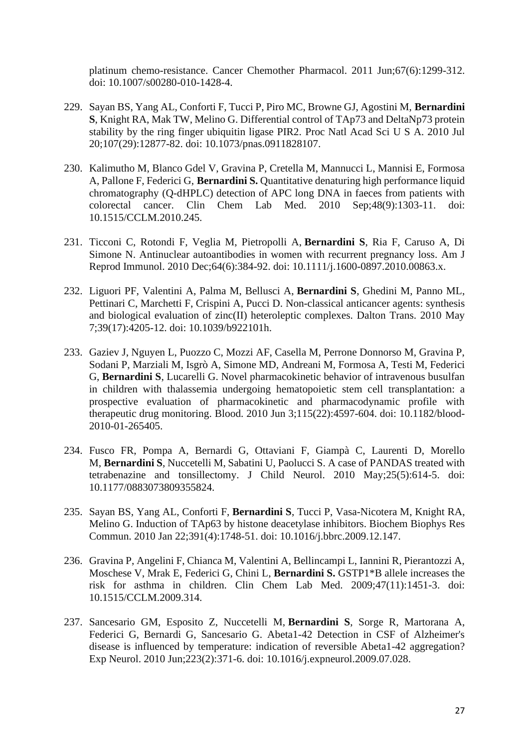[platinum chemo-resistance.](https://pubmed.ncbi.nlm.nih.gov/20734047/) Cancer Chemother Pharmacol. 2011 Jun;67(6):1299-312. doi: 10.1007/s00280-010-1428-4.

- 229. Sayan BS, Yang AL, Conforti F, Tucci P, Piro MC, Browne GJ, Agostini M, **Bernardini S**, Knight RA, Mak TW, Melino G. [Differential control of TAp73 and DeltaNp73 protein](https://pubmed.ncbi.nlm.nih.gov/20615966/)  [stability by the ring finger ubiquitin ligase PIR2.](https://pubmed.ncbi.nlm.nih.gov/20615966/) Proc Natl Acad Sci U S A. 2010 Jul 20;107(29):12877-82. doi: 10.1073/pnas.0911828107.
- 230. Kalimutho M, Blanco Gdel V, Gravina P, Cretella M, Mannucci L, Mannisi E, Formosa A, Pallone F, Federici G, **Bernardini S.** [Quantitative denaturing high performance liquid](https://pubmed.ncbi.nlm.nih.gov/20504269/)  [chromatography \(Q-dHPLC\) detection of APC long DNA in faeces from patients with](https://pubmed.ncbi.nlm.nih.gov/20504269/)  [colorectal cancer.](https://pubmed.ncbi.nlm.nih.gov/20504269/) Clin Chem Lab Med. 2010 Sep;48(9):1303-11. doi: 10.1515/CCLM.2010.245.
- 231. Ticconi C, Rotondi F, Veglia M, Pietropolli A, **Bernardini S**, Ria F, Caruso A, Di Simone N. [Antinuclear autoantibodies in women with recurrent pregnancy loss.](https://pubmed.ncbi.nlm.nih.gov/20482520/) Am J Reprod Immunol. 2010 Dec;64(6):384-92. doi: 10.1111/j.1600-0897.2010.00863.x.
- 232. Liguori PF, Valentini A, Palma M, Bellusci A, **Bernardini S**, Ghedini M, Panno ML, Pettinari C, Marchetti F, Crispini A, Pucci D. [Non-classical anticancer agents: synthesis](https://pubmed.ncbi.nlm.nih.gov/20390185/)  [and biological evaluation of zinc\(II\) heteroleptic complexes.](https://pubmed.ncbi.nlm.nih.gov/20390185/) Dalton Trans. 2010 May 7;39(17):4205-12. doi: 10.1039/b922101h.
- 233. Gaziev J, Nguyen L, Puozzo C, Mozzi AF, Casella M, Perrone Donnorso M, Gravina P, Sodani P, Marziali M, Isgrò A, Simone MD, Andreani M, Formosa A, Testi M, Federici G, **Bernardini S**, Lucarelli G. [Novel pharmacokinetic behavior of intravenous busulfan](https://pubmed.ncbi.nlm.nih.gov/20237319/)  [in children with thalassemia undergoing hematopoietic stem cell transplantation: a](https://pubmed.ncbi.nlm.nih.gov/20237319/)  [prospective evaluation of pharmacokinetic and pharmacodynamic profile with](https://pubmed.ncbi.nlm.nih.gov/20237319/)  [therapeutic drug monitoring.](https://pubmed.ncbi.nlm.nih.gov/20237319/) Blood. 2010 Jun 3;115(22):4597-604. doi: 10.1182/blood-2010-01-265405.
- 234. Fusco FR, Pompa A, Bernardi G, Ottaviani F, Giampà C, Laurenti D, Morello M, **Bernardini S**, Nuccetelli M, Sabatini U, Paolucci S. [A case of PANDAS treated with](https://pubmed.ncbi.nlm.nih.gov/20207613/)  [tetrabenazine and tonsillectomy.](https://pubmed.ncbi.nlm.nih.gov/20207613/) J Child Neurol. 2010 May;25(5):614-5. doi: 10.1177/0883073809355824.
- 235. Sayan BS, Yang AL, Conforti F, **Bernardini S**, Tucci P, Vasa-Nicotera M, Knight RA, Melino G. [Induction of TAp63 by histone deacetylase inhibitors.](https://pubmed.ncbi.nlm.nih.gov/20043870/) Biochem Biophys Res Commun. 2010 Jan 22;391(4):1748-51. doi: 10.1016/j.bbrc.2009.12.147.
- 236. Gravina P, Angelini F, Chianca M, Valentini A, Bellincampi L, Iannini R, Pierantozzi A, Moschese V, Mrak E, Federici G, Chini L, **Bernardini S.** [GSTP1\\*B allele increases the](https://pubmed.ncbi.nlm.nih.gov/19912051/)  [risk for asthma in children.](https://pubmed.ncbi.nlm.nih.gov/19912051/) Clin Chem Lab Med. 2009;47(11):1451-3. doi: 10.1515/CCLM.2009.314.
- 237. Sancesario GM, Esposito Z, Nuccetelli M, **Bernardini S**, Sorge R, Martorana A, Federici G, Bernardi G, Sancesario G. [Abeta1-42 Detection in CSF of Alzheimer's](https://pubmed.ncbi.nlm.nih.gov/19664624/)  [disease is influenced by temperature: indication of reversible Abeta1-42 aggregation?](https://pubmed.ncbi.nlm.nih.gov/19664624/) Exp Neurol. 2010 Jun;223(2):371-6. doi: 10.1016/j.expneurol.2009.07.028.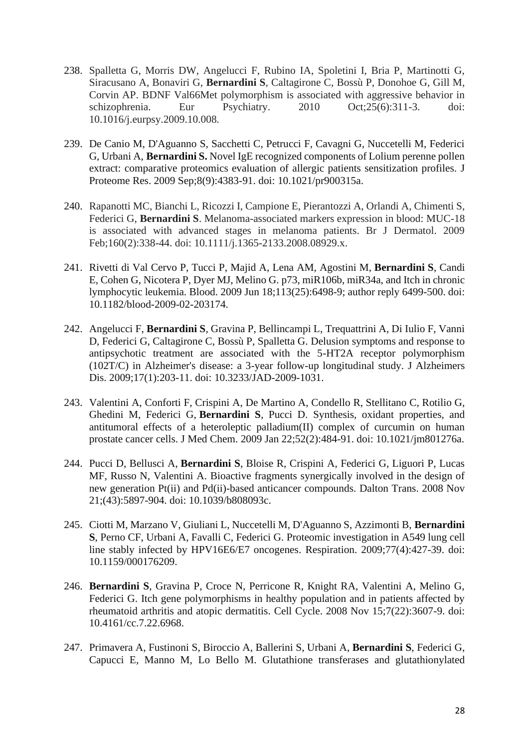- 238. Spalletta G, Morris DW, Angelucci F, Rubino IA, Spoletini I, Bria P, Martinotti G, Siracusano A, Bonaviri G, **Bernardini S**, Caltagirone C, Bossù P, Donohoe G, Gill M, Corvin AP. BDNF Val66Met polymorphism is associated with aggressive behavior in schizophrenia. Eur Psychiatry. 2010 Oct;25(6):311-3. doi: 10.1016/j.eurpsy.2009.10.008.
- 239. De Canio M, D'Aguanno S, Sacchetti C, Petrucci F, Cavagni G, Nuccetelli M, Federici G, Urbani A, **Bernardini S.** [Novel IgE recognized components of Lolium perenne pollen](https://pubmed.ncbi.nlm.nih.gov/19585971/)  [extract: comparative proteomics evaluation of allergic patients sensitization profiles.](https://pubmed.ncbi.nlm.nih.gov/19585971/) J Proteome Res. 2009 Sep;8(9):4383-91. doi: 10.1021/pr900315a.
- 240. Rapanotti MC, Bianchi L, Ricozzi I, Campione E, Pierantozzi A, Orlandi A, Chimenti S, Federici G, **Bernardini S**. Melanoma-associated markers expression in blood: MUC-18 is associated with advanced stages in melanoma patients. Br J Dermatol. 2009 Feb;160(2):338-44. doi: 10.1111/j.1365-2133.2008.08929.x.
- 241. Rivetti di Val Cervo P, Tucci P, Majid A, Lena AM, Agostini M, **Bernardini S**, Candi E, Cohen G, Nicotera P, Dyer MJ, Melino G[. p73, miR106b, miR34a, and Itch in chronic](https://pubmed.ncbi.nlm.nih.gov/19541840/)  [lymphocytic leukemia.](https://pubmed.ncbi.nlm.nih.gov/19541840/) Blood. 2009 Jun 18;113(25):6498-9; author reply 6499-500. doi: 10.1182/blood-2009-02-203174.
- 242. Angelucci F, **Bernardini S**, Gravina P, Bellincampi L, Trequattrini A, Di Iulio F, Vanni D, Federici G, Caltagirone C, Bossù P, Spalletta G. [Delusion symptoms and response to](https://pubmed.ncbi.nlm.nih.gov/19494443/)  [antipsychotic treatment are associated with the 5-HT2A receptor polymorphism](https://pubmed.ncbi.nlm.nih.gov/19494443/)  [\(102T/C\) in Alzheimer's disease: a 3-year follow-up longitudinal study.](https://pubmed.ncbi.nlm.nih.gov/19494443/) J Alzheimers Dis. 2009;17(1):203-11. doi: 10.3233/JAD-2009-1031.
- 243. Valentini A, Conforti F, Crispini A, De Martino A, Condello R, Stellitano C, Rotilio G, Ghedini M, Federici G, **Bernardini S**, Pucci D. [Synthesis, oxidant properties, and](https://pubmed.ncbi.nlm.nih.gov/19113979/)  [antitumoral effects of a heteroleptic palladium\(II\) complex of curcumin on human](https://pubmed.ncbi.nlm.nih.gov/19113979/)  [prostate cancer cells.](https://pubmed.ncbi.nlm.nih.gov/19113979/) J Med Chem. 2009 Jan 22;52(2):484-91. doi: 10.1021/jm801276a.
- 244. Pucci D, Bellusci A, **Bernardini S**, Bloise R, Crispini A, Federici G, Liguori P, Lucas MF, Russo N, Valentini A. [Bioactive fragments synergically involved in the design of](https://pubmed.ncbi.nlm.nih.gov/19082045/)  [new generation Pt\(ii\) and Pd\(ii\)-based anticancer compounds.](https://pubmed.ncbi.nlm.nih.gov/19082045/) Dalton Trans. 2008 Nov 21;(43):5897-904. doi: 10.1039/b808093c.
- 245. Ciotti M, Marzano V, Giuliani L, Nuccetelli M, D'Aguanno S, Azzimonti B, **Bernardini S**, Perno CF, Urbani A, Favalli C, Federici G. Proteomic [investigation in A549 lung cell](https://pubmed.ncbi.nlm.nih.gov/19023193/)  [line stably infected by HPV16E6/E7 oncogenes.](https://pubmed.ncbi.nlm.nih.gov/19023193/) Respiration. 2009;77(4):427-39. doi: 10.1159/000176209.
- 246. **Bernardini S**, Gravina P, Croce N, Perricone R, Knight RA, Valentini A, Melino G, Federici G. [Itch gene polymorphisms in healthy population and in patients affected by](https://pubmed.ncbi.nlm.nih.gov/19001863/)  [rheumatoid arthritis and atopic dermatitis.](https://pubmed.ncbi.nlm.nih.gov/19001863/) Cell Cycle. 2008 Nov 15;7(22):3607-9. doi: 10.4161/cc.7.22.6968.
- 247. Primavera A, Fustinoni S, Biroccio A, Ballerini S, Urbani A, **Bernardini S**, Federici G, Capucci E, Manno M, Lo Bello M. [Glutathione transferases and glutathionylated](https://pubmed.ncbi.nlm.nih.gov/18990742/)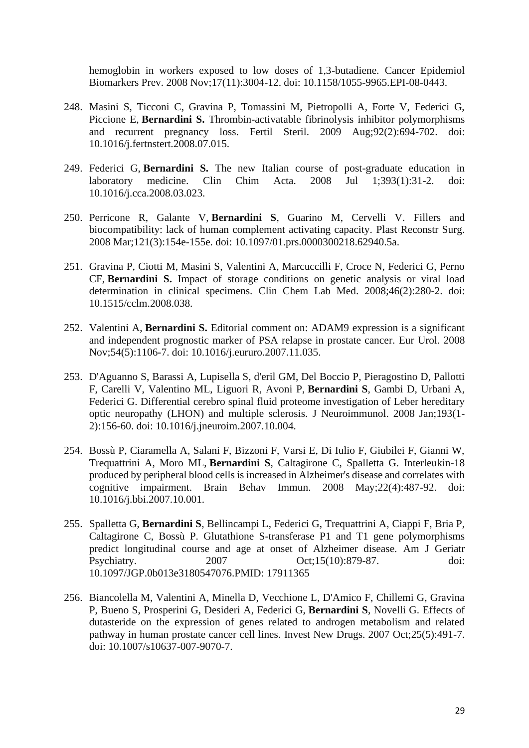[hemoglobin in workers exposed to low doses of 1,3-butadiene.](https://pubmed.ncbi.nlm.nih.gov/18990742/) Cancer Epidemiol Biomarkers Prev. 2008 Nov;17(11):3004-12. doi: 10.1158/1055-9965.EPI-08-0443.

- 248. Masini S, Ticconi C, Gravina P, Tomassini M, Pietropolli A, Forte V, Federici G, Piccione E, **Bernardini S.** [Thrombin-activatable fibrinolysis inhibitor polymorphisms](https://pubmed.ncbi.nlm.nih.gov/18774564/)  [and recurrent pregnancy loss.](https://pubmed.ncbi.nlm.nih.gov/18774564/) Fertil Steril. 2009 Aug;92(2):694-702. doi: 10.1016/j.fertnstert.2008.07.015.
- 249. Federici G, **Bernardini S.** [The new Italian course of post-graduate education in](https://pubmed.ncbi.nlm.nih.gov/18407838/)  [laboratory medicine.](https://pubmed.ncbi.nlm.nih.gov/18407838/) Clin Chim Acta. 2008 Jul 1;393(1):31-2. doi: 10.1016/j.cca.2008.03.023.
- 250. Perricone R, Galante V, **Bernardini S**, Guarino M, Cervelli V. [Fillers and](https://pubmed.ncbi.nlm.nih.gov/18317118/)  [biocompatibility: lack of human complement activating capacity.](https://pubmed.ncbi.nlm.nih.gov/18317118/) Plast Reconstr Surg. 2008 Mar;121(3):154e-155e. doi: 10.1097/01.prs.0000300218.62940.5a.
- 251. Gravina P, Ciotti M, Masini S, Valentini A, Marcuccilli F, Croce N, Federici G, Perno CF, **Bernardini S.** [Impact of storage conditions on genetic analysis or viral load](https://pubmed.ncbi.nlm.nih.gov/21630494/)  [determination in clinical specimens.](https://pubmed.ncbi.nlm.nih.gov/21630494/) Clin Chem Lab Med. 2008;46(2):280-2. doi: 10.1515/cclm.2008.038.
- 252. Valentini A, **Bernardini S.** [Editorial comment on: ADAM9 expression is a significant](https://pubmed.ncbi.nlm.nih.gov/18061338/)  [and independent prognostic marker of PSA relapse in prostate cancer.](https://pubmed.ncbi.nlm.nih.gov/18061338/) Eur Urol. 2008 Nov;54(5):1106-7. doi: 10.1016/j.eururo.2007.11.035.
- 253. D'Aguanno S, Barassi A, Lupisella S, d'eril GM, Del Boccio P, Pieragostino D, Pallotti F, Carelli V, Valentino ML, Liguori R, Avoni P, **Bernardini S**, Gambi D, Urbani A, Federici G. [Differential cerebro spinal fluid proteome investigation of Leber hereditary](https://pubmed.ncbi.nlm.nih.gov/18061280/)  [optic neuropathy \(LHON\) and multiple sclerosis.](https://pubmed.ncbi.nlm.nih.gov/18061280/) J Neuroimmunol. 2008 Jan;193(1- 2):156-60. doi: 10.1016/j.jneuroim.2007.10.004.
- 254. Bossù P, Ciaramella A, Salani F, Bizzoni F, Varsi E, Di Iulio F, Giubilei F, Gianni W, Trequattrini A, Moro ML, **Bernardini S**, Caltagirone C, Spalletta G. [Interleukin-18](https://pubmed.ncbi.nlm.nih.gov/17988833/)  [produced by peripheral blood cells is increased in Alzheimer's disease and correlates with](https://pubmed.ncbi.nlm.nih.gov/17988833/)  [cognitive impairment.](https://pubmed.ncbi.nlm.nih.gov/17988833/) Brain Behav Immun. 2008 May;22(4):487-92. doi: 10.1016/j.bbi.2007.10.001.
- 255. Spalletta G, **Bernardini S**, Bellincampi L, Federici G, Trequattrini A, Ciappi F, Bria P, Caltagirone C, Bossù P. [Glutathione S-transferase P1 and T1 gene polymorphisms](https://pubmed.ncbi.nlm.nih.gov/17911365/)  [predict longitudinal course and age at onset of Alzheimer disease.](https://pubmed.ncbi.nlm.nih.gov/17911365/) Am J Geriatr Psychiatry. 2007 Oct;15(10):879-87. doi: 10.1097/JGP.0b013e3180547076.PMID: 17911365
- 256. Biancolella M, Valentini A, Minella D, Vecchione L, D'Amico F, Chillemi G, Gravina P, Bueno S, Prosperini G, Desideri A, Federici G, **Bernardini S**, Novelli G. [Effects of](https://pubmed.ncbi.nlm.nih.gov/17636412/)  [dutasteride on the expression of genes related to androgen metabolism and related](https://pubmed.ncbi.nlm.nih.gov/17636412/)  [pathway in human prostate cancer cell lines.](https://pubmed.ncbi.nlm.nih.gov/17636412/) Invest New Drugs. 2007 Oct;25(5):491-7. doi: 10.1007/s10637-007-9070-7.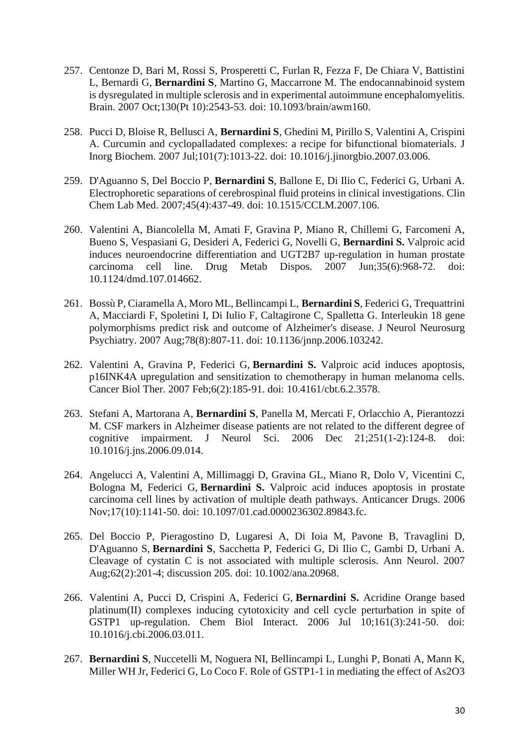- 257. Centonze D, Bari M, Rossi S, Prosperetti C, Furlan R, Fezza F, De Chiara V, Battistini L, Bernardi G, **Bernardini S**, Martino G, Maccarrone M. [The endocannabinoid system](https://pubmed.ncbi.nlm.nih.gov/17626034/)  [is dysregulated in multiple sclerosis and in experimental autoimmune encephalomyelitis.](https://pubmed.ncbi.nlm.nih.gov/17626034/) Brain. 2007 Oct;130(Pt 10):2543-53. doi: 10.1093/brain/awm160.
- 258. Pucci D, Bloise R, Bellusci A, **Bernardini S**, Ghedini M, Pirillo S, Valentini A, Crispini A. [Curcumin and cyclopalladated complexes: a recipe for bifunctional biomaterials.](https://pubmed.ncbi.nlm.nih.gov/17524485/) J Inorg Biochem. 2007 Jul;101(7):1013-22. doi: 10.1016/j.jinorgbio.2007.03.006.
- 259. D'Aguanno S, Del Boccio P, **Bernardini S**, Ballone E, Di Ilio C, Federici G, Urbani A. [Electrophoretic separations of cerebrospinal fluid proteins in clinical investigations.](https://pubmed.ncbi.nlm.nih.gov/17439319/) Clin Chem Lab Med. 2007;45(4):437-49. doi: 10.1515/CCLM.2007.106.
- 260. Valentini A, Biancolella M, Amati F, Gravina P, Miano R, Chillemi G, Farcomeni A, Bueno S, Vespasiani G, Desideri A, Federici G, Novelli G, **Bernardini S.** [Valproic acid](https://pubmed.ncbi.nlm.nih.gov/17371798/)  [induces neuroendocrine differentiation and UGT2B7 up-regulation in human prostate](https://pubmed.ncbi.nlm.nih.gov/17371798/)  [carcinoma cell line.](https://pubmed.ncbi.nlm.nih.gov/17371798/) Drug Metab Dispos. 2007 Jun;35(6):968-72. doi: 10.1124/dmd.107.014662.
- 261. Bossù P, Ciaramella A, Moro ML, Bellincampi L, **Bernardini S**, Federici G, Trequattrini A, Macciardi F, Spoletini I, Di Iulio F, Caltagirone C, Spalletta G. [Interleukin 18 gene](https://pubmed.ncbi.nlm.nih.gov/17299019/)  [polymorphisms predict risk and outcome of Alzheimer's disease.](https://pubmed.ncbi.nlm.nih.gov/17299019/) J Neurol Neurosurg Psychiatry. 2007 Aug;78(8):807-11. doi: 10.1136/jnnp.2006.103242.
- 262. Valentini A, Gravina P, Federici G, **Bernardini S.** [Valproic acid induces apoptosis,](https://pubmed.ncbi.nlm.nih.gov/17218782/)  [p16INK4A upregulation and sensitization to chemotherapy in human melanoma cells.](https://pubmed.ncbi.nlm.nih.gov/17218782/) Cancer Biol Ther. 2007 Feb;6(2):185-91. doi: 10.4161/cbt.6.2.3578.
- 263. Stefani A, Martorana A, **Bernardini S**, Panella M, Mercati F, Orlacchio A, Pierantozzi M. [CSF markers in Alzheimer disease patients are not related to the different degree of](https://pubmed.ncbi.nlm.nih.gov/17097109/)  [cognitive impairment.](https://pubmed.ncbi.nlm.nih.gov/17097109/) J Neurol Sci. 2006 Dec 21;251(1-2):124-8. doi: 10.1016/j.jns.2006.09.014.
- 264. Angelucci A, Valentini A, Millimaggi D, Gravina GL, Miano R, Dolo V, Vicentini C, Bologna M, Federici G, **Bernardini S.** [Valproic acid induces apoptosis in prostate](https://pubmed.ncbi.nlm.nih.gov/17075313/)  [carcinoma cell lines by activation of multiple death pathways.](https://pubmed.ncbi.nlm.nih.gov/17075313/) Anticancer Drugs. 2006 Nov;17(10):1141-50. doi: 10.1097/01.cad.0000236302.89843.fc.
- 265. Del Boccio P, Pieragostino D, Lugaresi A, Di Ioia M, Pavone B, Travaglini D, D'Aguanno S, **Bernardini S**, Sacchetta P, Federici G, Di Ilio C, Gambi D, Urbani A. [Cleavage of cystatin C is not associated with multiple sclerosis.](https://pubmed.ncbi.nlm.nih.gov/17006926/) Ann Neurol. 2007 Aug;62(2):201-4; discussion 205. doi: 10.1002/ana.20968.
- 266. Valentini A, Pucci D, Crispini A, Federici G, **Bernardini S.** [Acridine Orange based](https://pubmed.ncbi.nlm.nih.gov/16814760/)  [platinum\(II\) complexes inducing cytotoxicity and cell cycle perturbation in spite of](https://pubmed.ncbi.nlm.nih.gov/16814760/)  [GSTP1 up-regulation.](https://pubmed.ncbi.nlm.nih.gov/16814760/) Chem Biol Interact. 2006 Jul 10;161(3):241-50. doi: 10.1016/j.cbi.2006.03.011.
- 267. **Bernardini S**, Nuccetelli M, Noguera NI, Bellincampi L, Lunghi P, Bonati A, Mann K, Miller WH Jr, Federici G, Lo Coco F. [Role of GSTP1-1 in mediating the effect of As2O3](https://pubmed.ncbi.nlm.nih.gov/16733740/)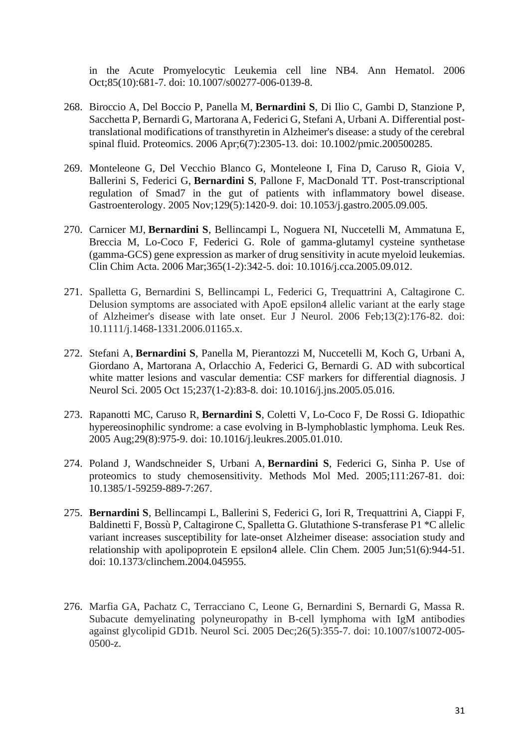[in the Acute Promyelocytic Leukemia cell line NB4.](https://pubmed.ncbi.nlm.nih.gov/16733740/) Ann Hematol. 2006 Oct;85(10):681-7. doi: 10.1007/s00277-006-0139-8.

- 268. Biroccio A, Del Boccio P, Panella M, **Bernardini S**, Di Ilio C, Gambi D, Stanzione P, Sacchetta P, Bernardi G, Martorana A, Federici G, Stefani A, Urbani A. [Differential post](https://pubmed.ncbi.nlm.nih.gov/16552785/)[translational modifications of transthyretin in Alzheimer's disease: a study of the cerebral](https://pubmed.ncbi.nlm.nih.gov/16552785/)  [spinal fluid.](https://pubmed.ncbi.nlm.nih.gov/16552785/) Proteomics. 2006 Apr;6(7):2305-13. doi: 10.1002/pmic.200500285.
- 269. Monteleone G, Del Vecchio Blanco G, Monteleone I, Fina D, Caruso R, Gioia V, Ballerini S, Federici G, **Bernardini S**, Pallone F, MacDonald TT. [Post-transcriptional](https://pubmed.ncbi.nlm.nih.gov/16285943/)  [regulation of Smad7 in the gut of patients with inflammatory bowel disease.](https://pubmed.ncbi.nlm.nih.gov/16285943/) Gastroenterology. 2005 Nov;129(5):1420-9. doi: 10.1053/j.gastro.2005.09.005.
- 270. Carnicer MJ, **Bernardini S**, Bellincampi L, Noguera NI, Nuccetelli M, Ammatuna E, Breccia M, Lo-Coco F, Federici G. [Role of gamma-glutamyl cysteine synthetase](https://pubmed.ncbi.nlm.nih.gov/16239001/)  [\(gamma-GCS\) gene expression as marker of drug sensitivity in acute myeloid leukemias.](https://pubmed.ncbi.nlm.nih.gov/16239001/) Clin Chim Acta. 2006 Mar;365(1-2):342-5. doi: 10.1016/j.cca.2005.09.012.
- 271. Spalletta G, Bernardini S, Bellincampi L, Federici G, Trequattrini A, Caltagirone C. Delusion symptoms are associated with ApoE epsilon4 allelic variant at the early stage of Alzheimer's disease with late onset. Eur J Neurol. 2006 Feb;13(2):176-82. doi: 10.1111/j.1468-1331.2006.01165.x.
- 272. Stefani A, **Bernardini S**, Panella M, Pierantozzi M, Nuccetelli M, Koch G, Urbani A, Giordano A, Martorana A, Orlacchio A, Federici G, Bernardi G. [AD with subcortical](https://pubmed.ncbi.nlm.nih.gov/15990115/)  [white matter lesions and vascular dementia: CSF markers for differential diagnosis.](https://pubmed.ncbi.nlm.nih.gov/15990115/) J Neurol Sci. 2005 Oct 15;237(1-2):83-8. doi: 10.1016/j.jns.2005.05.016.
- 273. Rapanotti MC, Caruso R, **Bernardini S**, Coletti V, Lo-Coco F, De Rossi G. [Idiopathic](https://pubmed.ncbi.nlm.nih.gov/15978951/)  hypereosinophilic [syndrome: a case evolving in B-lymphoblastic lymphoma.](https://pubmed.ncbi.nlm.nih.gov/15978951/) Leuk Res. 2005 Aug;29(8):975-9. doi: 10.1016/j.leukres.2005.01.010.
- 274. Poland J, Wandschneider S, Urbani A, **Bernardini S**, Federici G, Sinha P. [Use of](https://pubmed.ncbi.nlm.nih.gov/15911985/)  [proteomics to study chemosensitivity.](https://pubmed.ncbi.nlm.nih.gov/15911985/) Methods Mol Med. 2005;111:267-81. doi: 10.1385/1-59259-889-7:267.
- 275. **Bernardini S**, Bellincampi L, Ballerini S, Federici G, Iori R, Trequattrini A, Ciappi F, Baldinetti F, Bossù P, Caltagirone C, Spalletta G[. Glutathione S-transferase P1 \\*C allelic](https://pubmed.ncbi.nlm.nih.gov/15805147/)  [variant increases susceptibility for late-onset Alzheimer disease: association study and](https://pubmed.ncbi.nlm.nih.gov/15805147/)  [relationship with apolipoprotein E epsilon4 allele.](https://pubmed.ncbi.nlm.nih.gov/15805147/) Clin Chem. 2005 Jun;51(6):944-51. doi: 10.1373/clinchem.2004.045955.
- 276. Marfia GA, Pachatz C, Terracciano C, Leone G, Bernardini S, Bernardi G, Massa R. Subacute demyelinating polyneuropathy in B-cell lymphoma with IgM antibodies against glycolipid GD1b. Neurol Sci. 2005 Dec;26(5):355-7. doi: 10.1007/s10072-005- 0500-z.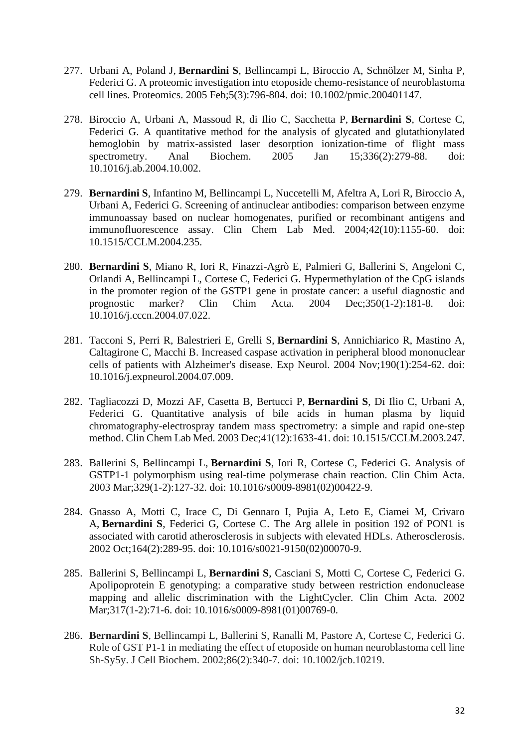- 277. Urbani A, Poland J, **Bernardini S**, Bellincampi L, Biroccio A, Schnölzer M, Sinha P, Federici G. [A proteomic investigation into etoposide](https://pubmed.ncbi.nlm.nih.gov/15682461/) chemo-resistance of neuroblastoma [cell lines.](https://pubmed.ncbi.nlm.nih.gov/15682461/) Proteomics. 2005 Feb;5(3):796-804. doi: 10.1002/pmic.200401147.
- 278. Biroccio A, Urbani A, Massoud R, di Ilio C, Sacchetta P, **Bernardini S**, Cortese C, Federici G. [A quantitative method for the analysis of glycated and glutathionylated](https://pubmed.ncbi.nlm.nih.gov/15620893/)  [hemoglobin by matrix-assisted laser desorption ionization-time of flight mass](https://pubmed.ncbi.nlm.nih.gov/15620893/)  [spectrometry.](https://pubmed.ncbi.nlm.nih.gov/15620893/) Anal Biochem. 2005 Jan 15;336(2):279-88. doi: 10.1016/j.ab.2004.10.002.
- 279. **Bernardini S**, Infantino M, Bellincampi L, Nuccetelli M, Afeltra A, Lori R, Biroccio A, Urbani A, Federici G. [Screening of antinuclear antibodies: comparison between enzyme](https://pubmed.ncbi.nlm.nih.gov/15552275/)  [immunoassay based on nuclear homogenates, purified or recombinant antigens and](https://pubmed.ncbi.nlm.nih.gov/15552275/)  [immunofluorescence assay.](https://pubmed.ncbi.nlm.nih.gov/15552275/) Clin Chem Lab Med. 2004;42(10):1155-60. doi: 10.1515/CCLM.2004.235.
- 280. **Bernardini S**, Miano R, Iori R, Finazzi-Agrò E, Palmieri G, Ballerini S, Angeloni C, Orlandi A, Bellincampi L, Cortese C, Federici G. [Hypermethylation of the CpG islands](https://pubmed.ncbi.nlm.nih.gov/15530476/)  [in the promoter region of the GSTP1 gene in prostate cancer: a useful diagnostic and](https://pubmed.ncbi.nlm.nih.gov/15530476/)  [prognostic marker?](https://pubmed.ncbi.nlm.nih.gov/15530476/) Clin Chim Acta. 2004 Dec;350(1-2):181-8. doi: 10.1016/j.cccn.2004.07.022.
- 281. Tacconi S, Perri R, Balestrieri E, Grelli S, **Bernardini S**, Annichiarico R, Mastino A, Caltagirone C, Macchi B. [Increased caspase activation in peripheral blood mononuclear](https://pubmed.ncbi.nlm.nih.gov/15473998/)  [cells of patients with Alzheimer's disease.](https://pubmed.ncbi.nlm.nih.gov/15473998/) Exp Neurol. 2004 Nov;190(1):254-62. doi: 10.1016/j.expneurol.2004.07.009.
- 282. Tagliacozzi D, Mozzi AF, Casetta B, Bertucci P, **Bernardini S**, Di Ilio C, Urbani A, Federici G. [Quantitative analysis of bile acids in human plasma by liquid](https://pubmed.ncbi.nlm.nih.gov/14708888/)  [chromatography-electrospray tandem mass spectrometry: a simple and rapid one-step](https://pubmed.ncbi.nlm.nih.gov/14708888/)  [method.](https://pubmed.ncbi.nlm.nih.gov/14708888/) Clin Chem Lab Med. 2003 Dec;41(12):1633-41. doi: 10.1515/CCLM.2003.247.
- 283. Ballerini S, Bellincampi L, **Bernardini S**, Iori R, Cortese C, Federici G. [Analysis of](https://pubmed.ncbi.nlm.nih.gov/12589975/)  [GSTP1-1 polymorphism using real-time polymerase chain reaction.](https://pubmed.ncbi.nlm.nih.gov/12589975/) Clin Chim Acta. 2003 Mar;329(1-2):127-32. doi: 10.1016/s0009-8981(02)00422-9.
- 284. Gnasso A, Motti C, Irace C, Di Gennaro I, Pujia A, Leto E, Ciamei M, Crivaro A, **Bernardini S**, Federici G, Cortese C. [The Arg allele in position 192 of PON1 is](https://pubmed.ncbi.nlm.nih.gov/12204800/)  [associated with carotid atherosclerosis in subjects with elevated HDLs.](https://pubmed.ncbi.nlm.nih.gov/12204800/) Atherosclerosis. 2002 Oct;164(2):289-95. doi: 10.1016/s0021-9150(02)00070-9.
- 285. Ballerini S, Bellincampi L, **Bernardini S**, Casciani S, Motti C, Cortese C, Federici G. [Apolipoprotein E genotyping: a comparative study between restriction endonuclease](https://pubmed.ncbi.nlm.nih.gov/11814460/)  [mapping and allelic discrimination with the LightCycler.](https://pubmed.ncbi.nlm.nih.gov/11814460/) Clin Chim Acta. 2002 Mar;317(1-2):71-6. doi: 10.1016/s0009-8981(01)00769-0.
- 286. **Bernardini S**, Bellincampi L, Ballerini S, Ranalli M, Pastore A, Cortese C, Federici G. Role of GST P1-1 in mediating the effect of etoposide on human neuroblastoma cell line Sh-Sy5y. J Cell Biochem. 2002;86(2):340-7. doi: 10.1002/jcb.10219.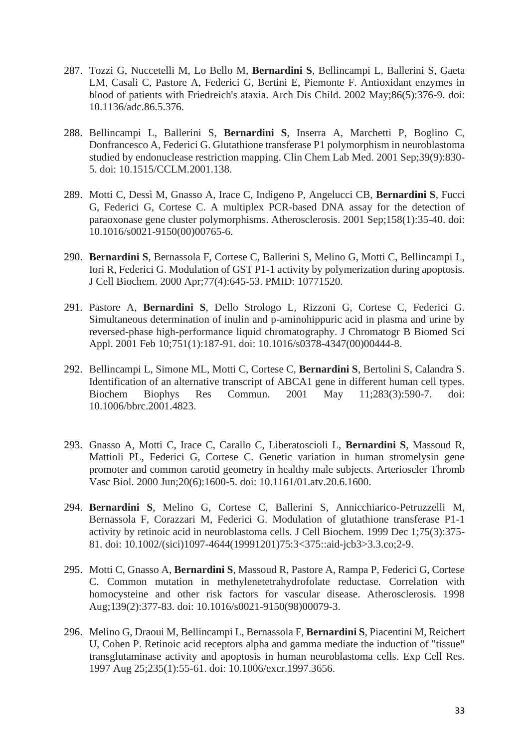- 287. Tozzi G, Nuccetelli M, Lo Bello M, **Bernardini S**, Bellincampi L, Ballerini S, Gaeta LM, Casali C, Pastore A, Federici G, Bertini E, Piemonte F. Antioxidant enzymes in blood of patients with Friedreich's ataxia. Arch Dis Child. 2002 May;86(5):376-9. doi: 10.1136/adc.86.5.376.
- 288. Bellincampi L, Ballerini S, **Bernardini S**, Inserra A, Marchetti P, Boglino C, Donfrancesco A, Federici G. Glutathione transferase P1 polymorphism in neuroblastoma studied by endonuclease restriction mapping. Clin Chem Lab Med. 2001 Sep;39(9):830- 5. doi: 10.1515/CCLM.2001.138.
- 289. Motti C, Dessì M, Gnasso A, Irace C, Indigeno P, Angelucci CB, **Bernardini S**, Fucci G, Federici G, Cortese C. A multiplex PCR-based DNA assay for the detection of paraoxonase gene cluster polymorphisms. Atherosclerosis. 2001 Sep;158(1):35-40. doi: 10.1016/s0021-9150(00)00765-6.
- 290. **Bernardini S**, Bernassola F, Cortese C, Ballerini S, Melino G, Motti C, Bellincampi L, Iori R, Federici G. Modulation of GST P1-1 activity by polymerization during apoptosis. J Cell Biochem. 2000 Apr;77(4):645-53. PMID: 10771520.
- 291. Pastore A, **Bernardini S**, Dello Strologo L, Rizzoni G, Cortese C, Federici G. Simultaneous determination of inulin and p-aminohippuric acid in plasma and urine by reversed-phase high-performance liquid chromatography. J Chromatogr B Biomed Sci Appl. 2001 Feb 10;751(1):187-91. doi: 10.1016/s0378-4347(00)00444-8.
- 292. Bellincampi L, Simone ML, Motti C, Cortese C, **Bernardini S**, Bertolini S, Calandra S. Identification of an alternative transcript of ABCA1 gene in different human cell types. Biochem Biophys Res Commun. 2001 May 11;283(3):590-7. doi: 10.1006/bbrc.2001.4823.
- 293. Gnasso A, Motti C, Irace C, Carallo C, Liberatoscioli L, **Bernardini S**, Massoud R, Mattioli PL, Federici G, Cortese C. Genetic variation in human stromelysin gene promoter and common carotid geometry in healthy male subjects. Arterioscler Thromb Vasc Biol. 2000 Jun;20(6):1600-5. doi: 10.1161/01.atv.20.6.1600.
- 294. **Bernardini S**, Melino G, Cortese C, Ballerini S, Annicchiarico-Petruzzelli M, Bernassola F, Corazzari M, Federici G. Modulation of glutathione transferase P1-1 activity by retinoic acid in neuroblastoma cells. J Cell Biochem. 1999 Dec 1;75(3):375- 81. doi: 10.1002/(sici)1097-4644(19991201)75:3<375::aid-jcb3>3.3.co;2-9.
- 295. Motti C, Gnasso A, **Bernardini S**, Massoud R, Pastore A, Rampa P, Federici G, Cortese C. Common mutation in methylenetetrahydrofolate reductase. Correlation with homocysteine and other risk factors for vascular disease. Atherosclerosis. 1998 Aug;139(2):377-83. doi: 10.1016/s0021-9150(98)00079-3.
- 296. Melino G, Draoui M, Bellincampi L, Bernassola F, **Bernardini S**, Piacentini M, Reichert U, Cohen P. Retinoic acid receptors alpha and gamma mediate the induction of "tissue" transglutaminase activity and apoptosis in human neuroblastoma cells. Exp Cell Res. 1997 Aug 25;235(1):55-61. doi: 10.1006/excr.1997.3656.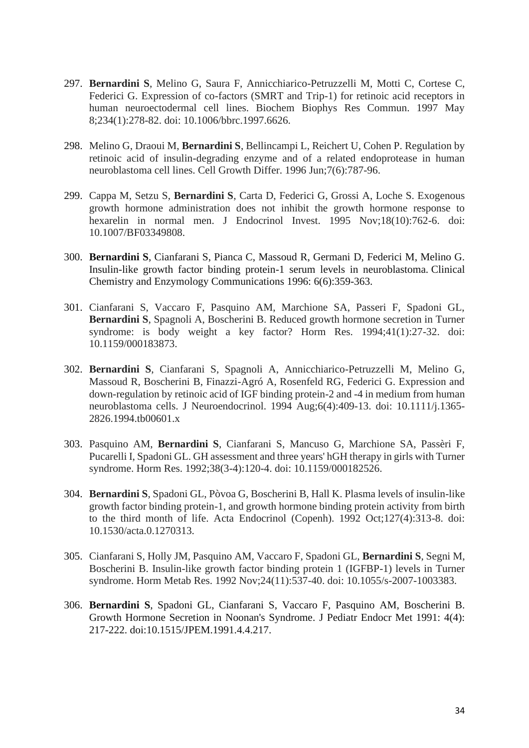- 297. **Bernardini S**, Melino G, Saura F, Annicchiarico-Petruzzelli M, Motti C, Cortese C, Federici G. Expression of co-factors (SMRT and Trip-1) for retinoic acid receptors in human neuroectodermal cell lines. Biochem Biophys Res Commun. 1997 May 8;234(1):278-82. doi: 10.1006/bbrc.1997.6626.
- 298. Melino G, Draoui M, **Bernardini S**, Bellincampi L, Reichert U, Cohen P. Regulation by retinoic acid of insulin-degrading enzyme and of a related endoprotease in human neuroblastoma cell lines. Cell Growth Differ. 1996 Jun;7(6):787-96.
- 299. Cappa M, Setzu S, **Bernardini S**, Carta D, Federici G, Grossi A, Loche S. Exogenous growth hormone administration does not inhibit the growth hormone response to hexarelin in normal men. J Endocrinol Invest. 1995 Nov;18(10):762-6. doi: 10.1007/BF03349808.
- 300. **Bernardini S**, Cianfarani S, Pianca C, Massoud R, Germani D, Federici M, Melino G. Insulin-like growth factor binding protein-1 serum levels in neuroblastoma. Clinical Chemistry and Enzymology Communications 1996: 6(6):359-363.
- 301. Cianfarani S, Vaccaro F, Pasquino AM, Marchione SA, Passeri F, Spadoni GL, **Bernardini S**, Spagnoli A, Boscherini B. Reduced growth hormone secretion in Turner syndrome: is body weight a key factor? Horm Res. 1994;41(1):27-32. doi: 10.1159/000183873.
- 302. **Bernardini S**, Cianfarani S, Spagnoli A, Annicchiarico-Petruzzelli M, Melino G, Massoud R, Boscherini B, Finazzi-Agró A, Rosenfeld RG, Federici G. Expression and down-regulation by retinoic acid of IGF binding protein-2 and -4 in medium from human neuroblastoma cells. J Neuroendocrinol. 1994 Aug;6(4):409-13. doi: 10.1111/j.1365- 2826.1994.tb00601.x
- 303. Pasquino AM, **Bernardini S**, Cianfarani S, Mancuso G, Marchione SA, Passèri F, Pucarelli I, Spadoni GL. GH assessment and three years' hGH therapy in girls with Turner syndrome. Horm Res. 1992;38(3-4):120-4. doi: 10.1159/000182526.
- 304. **Bernardini S**, Spadoni GL, Pòvoa G, Boscherini B, Hall K. Plasma levels of insulin-like growth factor binding protein-1, and growth hormone binding protein activity from birth to the third month of life. Acta Endocrinol (Copenh). 1992 Oct;127(4):313-8. doi: 10.1530/acta.0.1270313.
- 305. Cianfarani S, Holly JM, Pasquino AM, Vaccaro F, Spadoni GL, **Bernardini S**, Segni M, Boscherini B. Insulin-like growth factor binding protein 1 (IGFBP-1) levels in Turner syndrome. Horm Metab Res. 1992 Nov;24(11):537-40. doi: 10.1055/s-2007-1003383.
- 306. **Bernardini S**, Spadoni GL, Cianfarani S, Vaccaro F, Pasquino AM, Boscherini B. Growth Hormone Secretion in Noonan's Syndrome. J Pediatr Endocr Met 1991: 4(4): 217-222. doi:10.1515/JPEM.1991.4.4.217.